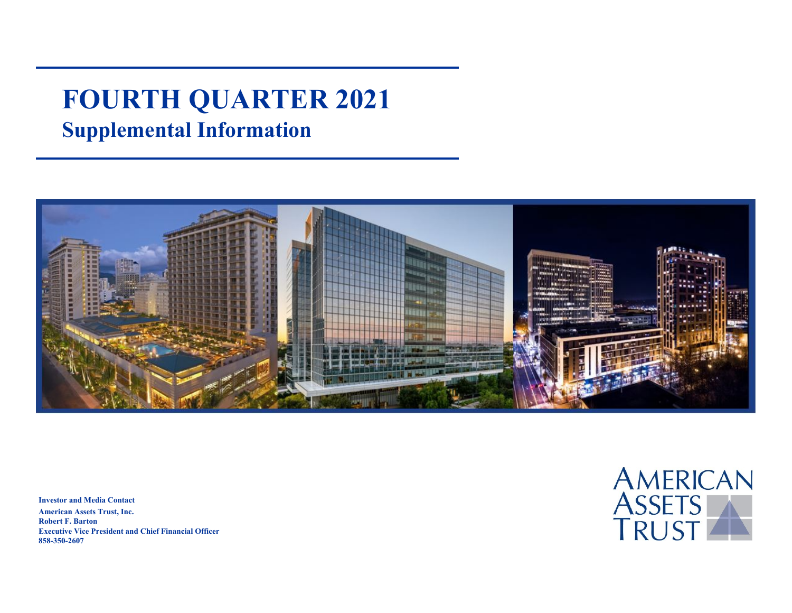## **FOURTH QUARTER 2021 Supplemental Information**



**Investor and Media Contact American Assets Trust, Inc. Robert F. Barton Executive Vice President and Chief Financial Officer 858-350-2607**

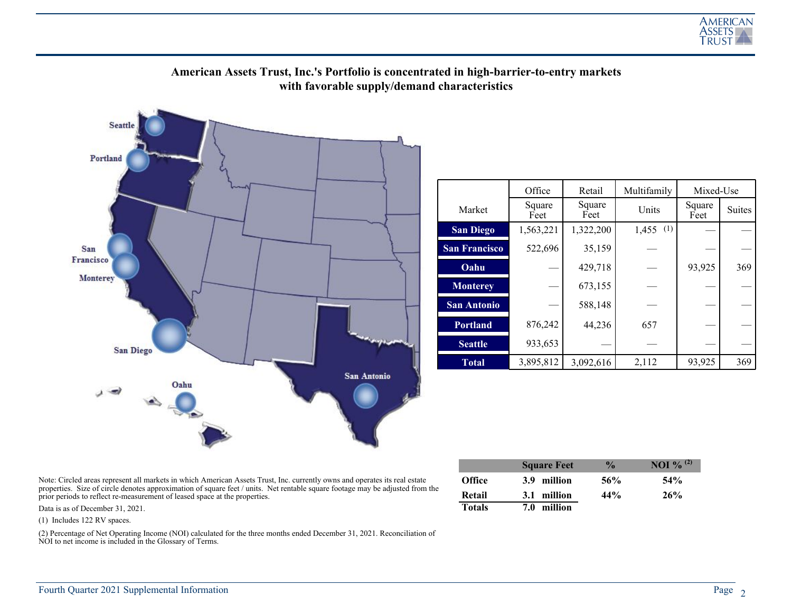### AMERICAN<br>ASSETS **TRUST**



| American Assets Trust, Inc.'s Portfolio is concentrated in high-barrier-to-entry markets |  |
|------------------------------------------------------------------------------------------|--|
| with favorable supply/demand characteristics                                             |  |

|                      | Office         | Retail         | Multifamily  | Mixed-Use      |               |
|----------------------|----------------|----------------|--------------|----------------|---------------|
| Market               | Square<br>Feet | Square<br>Feet | Units        | Square<br>Feet | <b>Suites</b> |
| <b>San Diego</b>     | 1,563,221      | 1,322,200      | (1)<br>1,455 |                |               |
| <b>San Francisco</b> | 522,696        | 35,159         |              |                |               |
| Oahu                 |                | 429,718        |              | 93,925         | 369           |
| <b>Monterey</b>      |                | 673,155        |              |                |               |
| <b>San Antonio</b>   |                | 588,148        |              |                |               |
| <b>Portland</b>      | 876,242        | 44,236         | 657          |                |               |
| <b>Seattle</b>       | 933,653        |                |              |                |               |
| <b>Total</b>         | 3,895,812      | 3,092,616      | 2,112        | 93,925         | 369           |

Note: Circled areas represent all markets in which American Assets Trust, Inc. currently owns and operates its real estate properties. Size of circle denotes approximation of square feet / units. Net rentable square footage may be adjusted from the prior periods to reflect re-measurement of leased space at the properties.

Data is as of December 31, 2021.

(1) Includes 122 RV spaces.

(2) Percentage of Net Operating Income (NOI) calculated for the three months ended December 31, 2021. Reconciliation of NOI to net income is included in the Glossary of Terms.

|               | <b>Square Feet</b> | $\frac{0}{0}$ | <b>NOI</b> % $^{(2)}$ |
|---------------|--------------------|---------------|-----------------------|
| <b>Office</b> | 3.9 million        | 56%           | 54%                   |
| Retail        | 3.1 million        | 44%           | 26%                   |
| <b>Totals</b> | 7.0<br>million     |               |                       |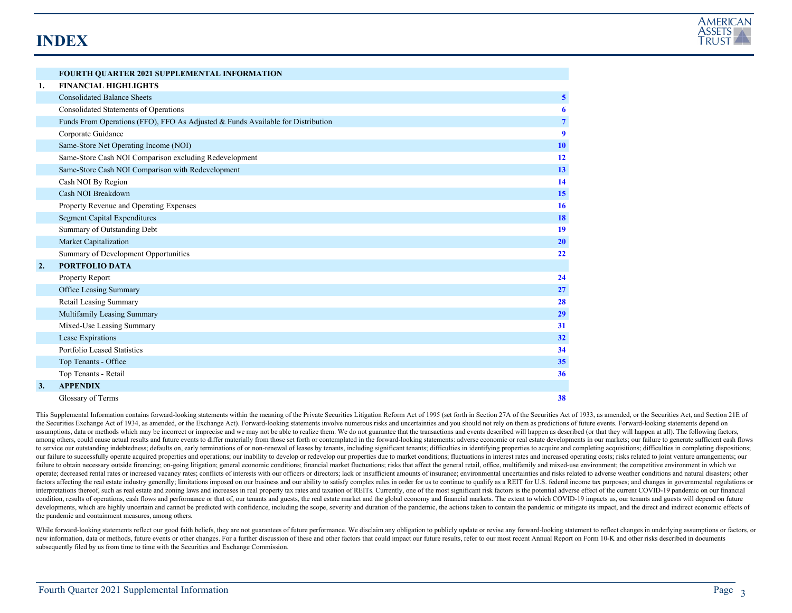### **INDEX**

![](_page_2_Picture_1.jpeg)

|    | <b>FOURTH QUARTER 2021 SUPPLEMENTAL INFORMATION</b>                             |                 |
|----|---------------------------------------------------------------------------------|-----------------|
| 1. | <b>FINANCIAL HIGHLIGHTS</b>                                                     |                 |
|    | <b>Consolidated Balance Sheets</b>                                              | 5 <sup>5</sup>  |
|    | Consolidated Statements of Operations                                           | 6               |
|    | Funds From Operations (FFO), FFO As Adjusted & Funds Available for Distribution | $7\phantom{.0}$ |
|    | Corporate Guidance                                                              | 9               |
|    | Same-Store Net Operating Income (NOI)                                           | <b>10</b>       |
|    | Same-Store Cash NOI Comparison excluding Redevelopment                          | 12              |
|    | Same-Store Cash NOI Comparison with Redevelopment                               | 13              |
|    | Cash NOI By Region                                                              | 14              |
|    | Cash NOI Breakdown                                                              | 15              |
|    | Property Revenue and Operating Expenses                                         | 16              |
|    | <b>Segment Capital Expenditures</b>                                             | <b>18</b>       |
|    | Summary of Outstanding Debt                                                     | 19              |
|    | Market Capitalization                                                           | 20              |
|    | Summary of Development Opportunities                                            | 22              |
| 2. | <b>PORTFOLIO DATA</b>                                                           |                 |
|    | Property Report                                                                 | 24              |
|    | Office Leasing Summary                                                          | 27              |
|    | Retail Leasing Summary                                                          | 28              |
|    | Multifamily Leasing Summary                                                     | 29              |
|    | Mixed-Use Leasing Summary                                                       | 31              |
|    | Lease Expirations                                                               | 32              |
|    | Portfolio Leased Statistics                                                     | 34              |
|    | Top Tenants - Office                                                            | 35              |
|    | Top Tenants - Retail                                                            | 36              |
| 3. | <b>APPENDIX</b>                                                                 |                 |
|    | Glossary of Terms                                                               | 38              |

This Supplemental Information contains forward-looking statements within the meaning of the Private Securities Litigation Reform Act of 1995 (set forth in Section 27A of the Securities Act of 1933, as amended, or the Secur the Securities Exchange Act of 1934, as amended, or the Exchange Act). Forward-looking statements involve numerous risks and uncertainties and you should not rely on them as predictions of future events. Forward-looking st assumptions, data or methods which may be incorrect or imprecise and we may not be able to realize them. We do not guarantee that the transactions and events described will happen as described (or that they will happen at among others, could cause actual results and future events to differ materially from those set forth or contemplated in the forward-looking statements: adverse economic or real estate developments in our markets; our failu to service our outstanding indebtedness; defaults on, early terminations of or non-renewal of leases by tenants, including significant tenants; difficulties in identifying properties to acquire and completing acquisitions; our failure to successfully operate acquired properties and operations; our inability to develop or redevelop our properties due to market conditions; fluctuations in interest rates and increased operating costs; risks rel failure to obtain necessary outside financing; on-going litigation; general economic conditions; financial market fluctuations; risks that affect the general retail, office, multifamily and mixed-use environment; the compe operate; decreased rental rates or increased vacancy rates; conflicts of interests with our officers or directors; lack or insufficient amounts of insurance; environmental uncertainties and risks related to adverse weather factors affecting the real estate industry generally; limitations imposed on our business and our ability to satisfy complex rules in order for us to continue to qualify as a REIT for U.S. federal income tax purposes; and interpretations thereof, such as real estate and zoning laws and increases in real property tax rates and taxation of REITs. Currently, one of the most significant risk factors is the potential adverse effect of the curren condition, results of operations, cash flows and performance or that of, our tenants and guests, the real estate market and the global economy and financial markets. The extent to which COVID-19 impacts us, our tenants and developments, which are highly uncertain and cannot be predicted with confidence, including the scope, severity and duration of the pandemic, the actions taken to contain the pandemic or mitigate its impact, and the direct the pandemic and containment measures, among others.

While forward-looking statements reflect our good faith beliefs, they are not guarantees of future performance. We disclaim any obligation to publicly update or revise any forward-looking statement to reflect changes in un new information, data or methods, future events or other changes. For a further discussion of these and other factors that could impact our future results, refer to our most recent Annual Report on Form 10-K and other risk subsequently filed by us from time to time with the Securities and Exchange Commission.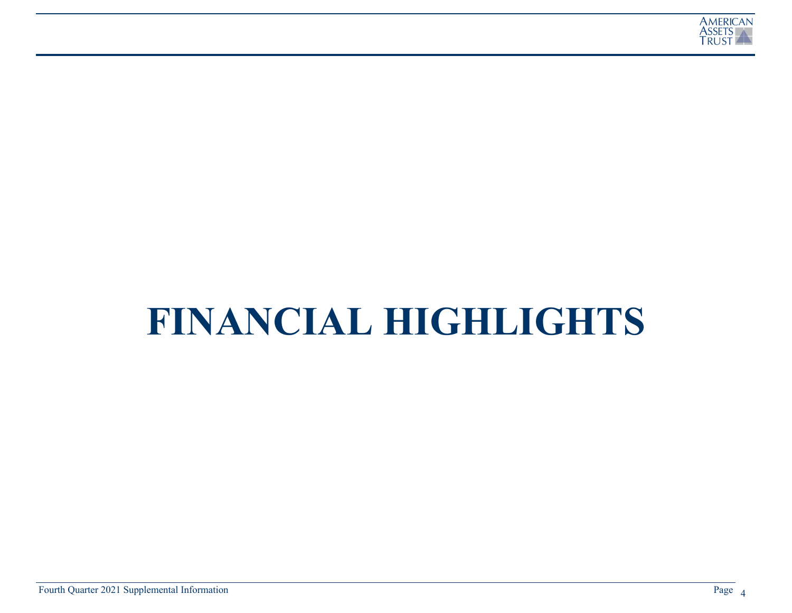![](_page_3_Picture_0.jpeg)

## **FINANCIAL HIGHLIGHTS**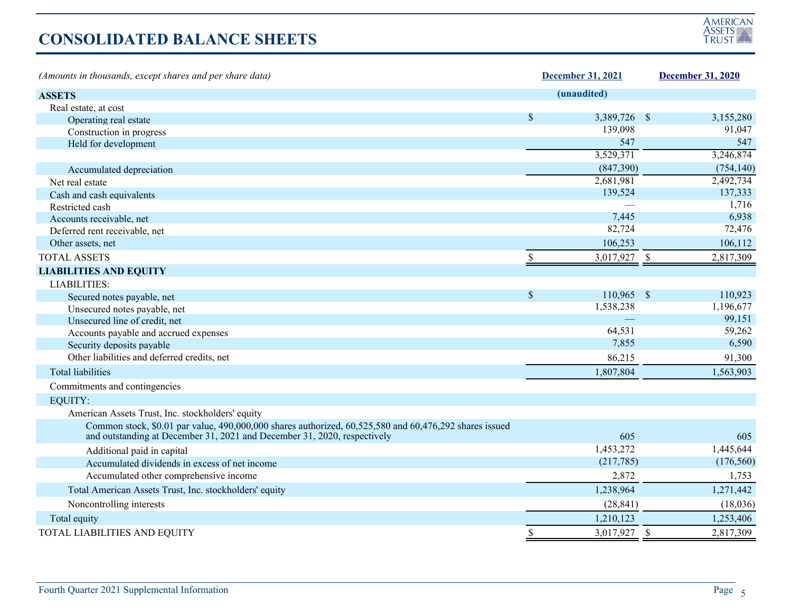### <span id="page-4-0"></span>**CONSOLIDATED BALANCE SHEETS**

![](_page_4_Picture_1.jpeg)

| (Amounts in thousands, except shares and per share data)                                                                                                                           |                           | <b>December 31, 2021</b> | <b>December 31, 2020</b> |
|------------------------------------------------------------------------------------------------------------------------------------------------------------------------------------|---------------------------|--------------------------|--------------------------|
| <b>ASSETS</b>                                                                                                                                                                      |                           | (unaudited)              |                          |
| Real estate, at cost                                                                                                                                                               |                           |                          |                          |
| Operating real estate                                                                                                                                                              | $\mathsf{\$}$             | 3,389,726 \$             | 3,155,280                |
| Construction in progress                                                                                                                                                           |                           | 139,098                  | 91,047                   |
| Held for development                                                                                                                                                               |                           | 547                      | 547                      |
|                                                                                                                                                                                    |                           | 3,529,371                | 3,246,874                |
| Accumulated depreciation                                                                                                                                                           |                           | (847,390)                | (754, 140)               |
| Net real estate                                                                                                                                                                    |                           | 2,681,981                | 2,492,734                |
| Cash and cash equivalents                                                                                                                                                          |                           | 139,524                  | 137,333                  |
| Restricted cash                                                                                                                                                                    |                           |                          | 1,716                    |
| Accounts receivable, net                                                                                                                                                           |                           | 7,445                    | 6,938                    |
| Deferred rent receivable, net                                                                                                                                                      |                           | 82,724                   | 72,476                   |
| Other assets, net                                                                                                                                                                  |                           | 106,253                  | 106,112                  |
| <b>TOTAL ASSETS</b>                                                                                                                                                                | \$                        | 3,017,927 \$             | 2,817,309                |
| <b>LIABILITIES AND EQUITY</b>                                                                                                                                                      |                           |                          |                          |
| <b>LIABILITIES:</b>                                                                                                                                                                |                           |                          |                          |
| Secured notes payable, net                                                                                                                                                         | $\boldsymbol{\mathsf{S}}$ | $110,965$ \$             | 110,923                  |
| Unsecured notes payable, net                                                                                                                                                       |                           | 1,538,238                | 1,196,677                |
| Unsecured line of credit, net                                                                                                                                                      |                           |                          | 99,151                   |
| Accounts payable and accrued expenses                                                                                                                                              |                           | 64,531                   | 59,262                   |
| Security deposits payable                                                                                                                                                          |                           | 7,855                    | 6,590                    |
| Other liabilities and deferred credits, net                                                                                                                                        |                           | 86,215                   | 91,300                   |
| <b>Total liabilities</b>                                                                                                                                                           |                           | 1,807,804                | 1,563,903                |
| Commitments and contingencies                                                                                                                                                      |                           |                          |                          |
| EQUITY:                                                                                                                                                                            |                           |                          |                          |
| American Assets Trust, Inc. stockholders' equity                                                                                                                                   |                           |                          |                          |
| Common stock, \$0.01 par value, 490,000,000 shares authorized, 60,525,580 and 60,476,292 shares issued<br>and outstanding at December 31, 2021 and December 31, 2020, respectively |                           | 605                      | 605                      |
| Additional paid in capital                                                                                                                                                         |                           | 1,453,272                | 1,445,644                |
| Accumulated dividends in excess of net income                                                                                                                                      |                           | (217,785)                | (176, 560)               |
| Accumulated other comprehensive income                                                                                                                                             |                           | 2,872                    | 1,753                    |
| Total American Assets Trust, Inc. stockholders' equity                                                                                                                             |                           | 1,238,964                | 1,271,442                |
| Noncontrolling interests                                                                                                                                                           |                           | (28, 841)                | (18,036)                 |
| Total equity                                                                                                                                                                       |                           | 1,210,123                | 1,253,406                |
|                                                                                                                                                                                    |                           |                          |                          |
| TOTAL LIABILITIES AND EQUITY                                                                                                                                                       | \$                        | 3,017,927 \$             | 2,817,309                |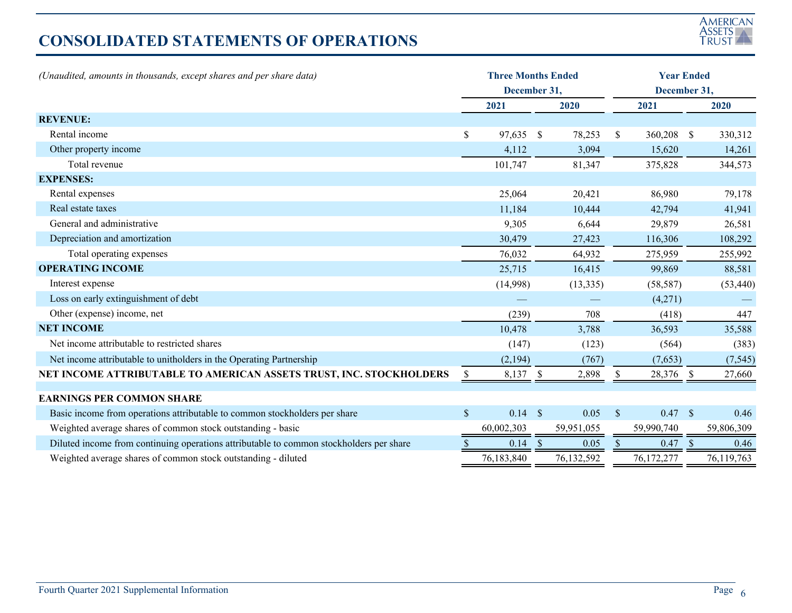### <span id="page-5-0"></span>**CONSOLIDATED STATEMENTS OF OPERATIONS**

![](_page_5_Picture_1.jpeg)

| (Unaudited, amounts in thousands, except shares and per share data)                     |               | <b>Three Months Ended</b> |               |            | <b>Year Ended</b> |              |               |            |  |
|-----------------------------------------------------------------------------------------|---------------|---------------------------|---------------|------------|-------------------|--------------|---------------|------------|--|
|                                                                                         |               | December 31.              |               |            |                   | December 31, |               |            |  |
|                                                                                         |               | 2021                      |               | 2020       | 2021              |              |               | 2020       |  |
| <b>REVENUE:</b>                                                                         |               |                           |               |            |                   |              |               |            |  |
| Rental income                                                                           | \$            | 97,635                    | $\mathbb{S}$  | 78,253     | <sup>S</sup>      | 360,208 \$   |               | 330,312    |  |
| Other property income                                                                   |               | 4,112                     |               | 3,094      |                   | 15,620       |               | 14,261     |  |
| Total revenue                                                                           |               | 101,747                   |               | 81,347     |                   | 375,828      |               | 344,573    |  |
| <b>EXPENSES:</b>                                                                        |               |                           |               |            |                   |              |               |            |  |
| Rental expenses                                                                         |               | 25,064                    |               | 20,421     |                   | 86,980       |               | 79,178     |  |
| Real estate taxes                                                                       |               | 11,184                    |               | 10,444     |                   | 42,794       |               | 41,941     |  |
| General and administrative                                                              |               | 9,305                     |               | 6,644      |                   | 29,879       |               | 26,581     |  |
| Depreciation and amortization                                                           |               | 30,479                    |               | 27,423     |                   | 116,306      |               | 108,292    |  |
| Total operating expenses                                                                |               | 76,032                    |               | 64,932     |                   | 275,959      |               | 255,992    |  |
| <b>OPERATING INCOME</b>                                                                 |               | 25,715                    |               | 16,415     |                   | 99,869       |               | 88,581     |  |
| Interest expense                                                                        |               | (14,998)                  |               | (13, 335)  |                   | (58, 587)    |               | (53, 440)  |  |
| Loss on early extinguishment of debt                                                    |               |                           |               |            |                   | (4,271)      |               |            |  |
| Other (expense) income, net                                                             |               | (239)                     |               | 708        |                   | (418)        |               | 447        |  |
| <b>NET INCOME</b>                                                                       |               | 10,478                    |               | 3,788      |                   | 36,593       |               | 35,588     |  |
| Net income attributable to restricted shares                                            |               | (147)                     |               | (123)      |                   | (564)        |               | (383)      |  |
| Net income attributable to unitholders in the Operating Partnership                     |               | (2, 194)                  |               | (767)      |                   | (7,653)      |               | (7, 545)   |  |
| NET INCOME ATTRIBUTABLE TO AMERICAN ASSETS TRUST, INC. STOCKHOLDERS                     | <sup>\$</sup> | 8,137 \$                  |               | 2,898      | <sup>S</sup>      | 28,376 \$    |               | 27,660     |  |
| <b>EARNINGS PER COMMON SHARE</b>                                                        |               |                           |               |            |                   |              |               |            |  |
| Basic income from operations attributable to common stockholders per share              | $\mathcal{S}$ | $0.14$ \$                 |               | 0.05       | $\mathbb{S}$      | 0.47 S       |               | 0.46       |  |
| Weighted average shares of common stock outstanding - basic                             |               | 60,002,303                |               | 59,951,055 |                   | 59,990,740   |               | 59,806,309 |  |
| Diluted income from continuing operations attributable to common stockholders per share |               | 0.14                      | $\mathcal{S}$ | 0.05       | $\mathbb{S}$      | 0.47         | $\mathcal{S}$ | 0.46       |  |
| Weighted average shares of common stock outstanding - diluted                           |               | 76,183,840                |               | 76,132,592 |                   | 76,172,277   |               | 76,119,763 |  |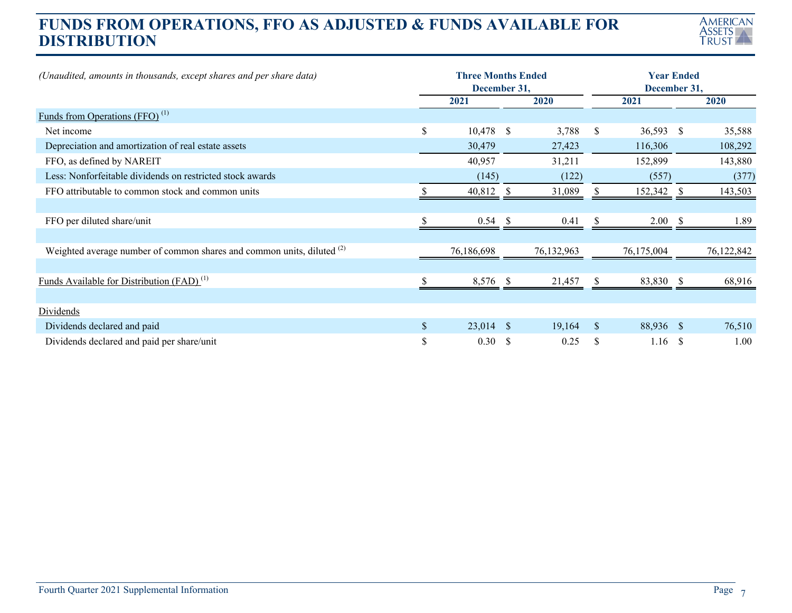### <span id="page-6-0"></span>**FUNDS FROM OPERATIONS, FFO AS ADJUSTED & FUNDS AVAILABLE FOR DISTRIBUTION**

![](_page_6_Picture_1.jpeg)

| (Unaudited, amounts in thousands, except shares and per share data)               |              | <b>Three Months Ended</b> |  | <b>Year Ended</b> |              |            |  |            |  |
|-----------------------------------------------------------------------------------|--------------|---------------------------|--|-------------------|--------------|------------|--|------------|--|
|                                                                                   |              | December 31,              |  | December 31,      |              |            |  |            |  |
|                                                                                   |              | 2021                      |  | 2020              |              | 2021       |  | 2020       |  |
| Funds from Operations (FFO) <sup>(1)</sup>                                        |              |                           |  |                   |              |            |  |            |  |
| Net income                                                                        | \$           | $10,478$ \$               |  | 3,788             | \$           | 36,593 \$  |  | 35,588     |  |
| Depreciation and amortization of real estate assets                               |              | 30,479                    |  | 27,423            |              | 116,306    |  | 108,292    |  |
| FFO, as defined by NAREIT                                                         |              | 40,957                    |  | 31,211            |              | 152,899    |  | 143,880    |  |
| Less: Nonforfeitable dividends on restricted stock awards                         |              | (145)                     |  | (122)             |              | (557)      |  | (377)      |  |
| FFO attributable to common stock and common units                                 |              | 40,812                    |  | 31,089            |              | 152,342    |  | 143,503    |  |
|                                                                                   |              |                           |  |                   |              |            |  |            |  |
| FFO per diluted share/unit                                                        | S            | $0.54$ \$                 |  | 0.41              |              | 2.00 S     |  | 1.89       |  |
|                                                                                   |              |                           |  |                   |              |            |  |            |  |
| Weighted average number of common shares and common units, diluted <sup>(2)</sup> |              | 76,186,698                |  | 76,132,963        |              | 76,175,004 |  | 76,122,842 |  |
|                                                                                   |              |                           |  |                   |              |            |  |            |  |
| Funds Available for Distribution (FAD) <sup>(1)</sup>                             |              | 8,576 \$                  |  | 21,457            |              | 83,830 \$  |  | 68,916     |  |
|                                                                                   |              |                           |  |                   |              |            |  |            |  |
| Dividends                                                                         |              |                           |  |                   |              |            |  |            |  |
| Dividends declared and paid                                                       | $\mathbb{S}$ | $23,014$ \$               |  | 19,164            | <sup>S</sup> | 88,936 \$  |  | 76,510     |  |
| Dividends declared and paid per share/unit                                        | \$           | $0.30 \quad$ \$           |  | 0.25              | \$           | $1.16$ \$  |  | 1.00       |  |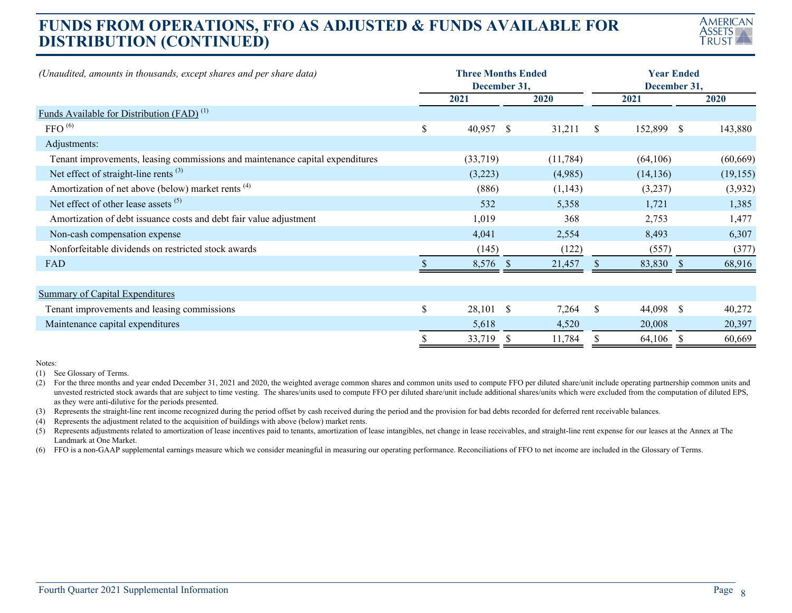### **FUNDS FROM OPERATIONS, FFO AS ADJUSTED & FUNDS AVAILABLE FOR DISTRIBUTION (CONTINUED)**

![](_page_7_Picture_1.jpeg)

| (Unaudited, amounts in thousands, except shares and per share data)           |    | <b>Three Months Ended</b><br>December 31, |              |           | <b>Year Ended</b><br>December 31, |            |  |           |  |  |
|-------------------------------------------------------------------------------|----|-------------------------------------------|--------------|-----------|-----------------------------------|------------|--|-----------|--|--|
|                                                                               |    | 2021                                      |              | 2020      |                                   | 2021       |  | 2020      |  |  |
| Funds Available for Distribution (FAD) <sup>(1)</sup>                         |    |                                           |              |           |                                   |            |  |           |  |  |
| FFO <sup>(6)</sup>                                                            | \$ | $40,957$ \$                               |              | 31,211    | S                                 | 152,899 \$ |  | 143,880   |  |  |
| Adjustments:                                                                  |    |                                           |              |           |                                   |            |  |           |  |  |
| Tenant improvements, leasing commissions and maintenance capital expenditures |    | (33,719)                                  |              | (11, 784) |                                   | (64, 106)  |  | (60, 669) |  |  |
| Net effect of straight-line rents $(3)$                                       |    | (3,223)                                   |              | (4,985)   |                                   | (14, 136)  |  | (19, 155) |  |  |
| Amortization of net above (below) market rents <sup>(4)</sup>                 |    | (886)                                     |              | (1, 143)  |                                   | (3,237)    |  | (3,932)   |  |  |
| Net effect of other lease assets <sup>(5)</sup>                               |    | 532                                       |              | 5,358     |                                   | 1,721      |  | 1,385     |  |  |
| Amortization of debt issuance costs and debt fair value adjustment            |    | 1,019                                     |              | 368       |                                   | 2,753      |  | 1,477     |  |  |
| Non-cash compensation expense                                                 |    | 4,041                                     |              | 2,554     |                                   | 8,493      |  | 6,307     |  |  |
| Nonforfeitable dividends on restricted stock awards                           |    | (145)                                     |              | (122)     |                                   | (557)      |  | (377)     |  |  |
| FAD                                                                           |    | 8,576 \$                                  |              | 21,457    |                                   | 83,830 \$  |  | 68,916    |  |  |
|                                                                               |    |                                           |              |           |                                   |            |  |           |  |  |
| <b>Summary of Capital Expenditures</b>                                        |    |                                           |              |           |                                   |            |  |           |  |  |
| Tenant improvements and leasing commissions                                   | \$ | 28,101 \$                                 |              | 7,264     | \$                                | 44,098 \$  |  | 40,272    |  |  |
| Maintenance capital expenditures                                              |    | 5,618                                     |              | 4,520     |                                   | 20,008     |  | 20,397    |  |  |
|                                                                               | S  | 33,719                                    | <sup>8</sup> | 11,784    |                                   | 64,106 \$  |  | 60,669    |  |  |

Notes:

(1) See Glossary of Terms.

(2) For the three months and year ended December 31, 2021 and 2020, the weighted average common shares and common units used to compute FFO per diluted share/unit include operating partnership common units and unvested restricted stock awards that are subject to time vesting. The shares/units used to compute FFO per diluted share/unit include additional shares/units which were excluded from the computation of diluted EPS, as they were anti-dilutive for the periods presented.

(3) Represents the straight-line rent income recognized during the period offset by cash received during the period and the provision for bad debts recorded for deferred rent receivable balances.

(4) Represents the adjustment related to the acquisition of buildings with above (below) market rents.

 $(5)$  Represents adjustments related to amortization of lease incentives paid to tenants, amortization of lease intangibles, net change in lease receivables, and straight-line rent expense for our leases at the Annex at T Landmark at One Market.

(6) FFO is a non-GAAP supplemental earnings measure which we consider meaningful in measuring our operating performance. Reconciliations of FFO to net income are included in the Glossary of Terms.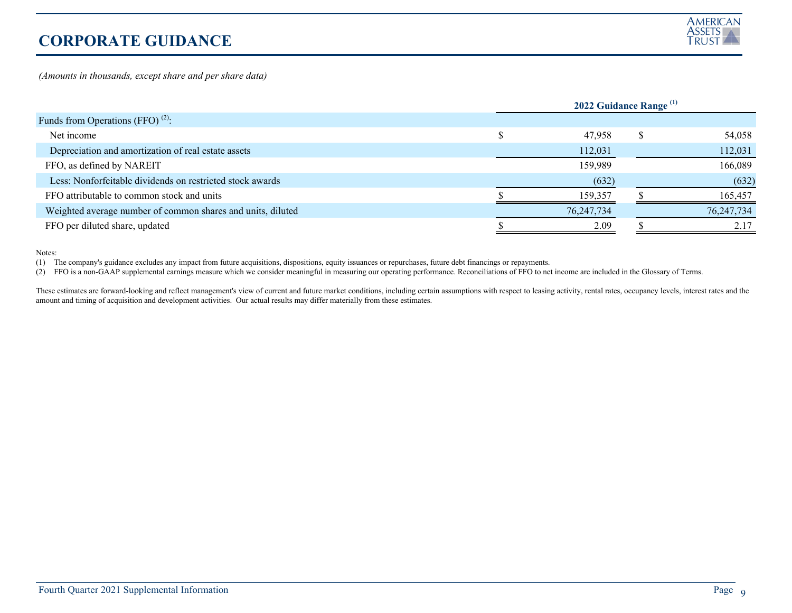### <span id="page-8-0"></span>**CORPORATE GUIDANCE**

*(Amounts in thousands, except share and per share data)*

|                                                             | 2022 Guidance Range <sup>(1)</sup> |  |              |  |  |
|-------------------------------------------------------------|------------------------------------|--|--------------|--|--|
| Funds from Operations (FFO) <sup>(2)</sup> :                |                                    |  |              |  |  |
| Net income                                                  | 47,958                             |  | 54,058       |  |  |
| Depreciation and amortization of real estate assets         | 112,031                            |  | 112,031      |  |  |
| FFO, as defined by NAREIT                                   | 159,989                            |  | 166,089      |  |  |
| Less: Nonforfeitable dividends on restricted stock awards   | (632)                              |  | (632)        |  |  |
| FFO attributable to common stock and units                  | 159,357                            |  | 165,457      |  |  |
| Weighted average number of common shares and units, diluted | 76, 247, 734                       |  | 76, 247, 734 |  |  |
| FFO per diluted share, updated                              | 2.09                               |  |              |  |  |

Notes:

(1) The company's guidance excludes any impact from future acquisitions, dispositions, equity issuances or repurchases, future debt financings or repayments.

(2) FFO is a non-GAAP supplemental earnings measure which we consider meaningful in measuring our operating performance. Reconciliations of FFO to net income are included in the Glossary of Terms.

These estimates are forward-looking and reflect management's view of current and future market conditions, including certain assumptions with respect to leasing activity, rental rates, occupancy levels, interest rates and amount and timing of acquisition and development activities. Our actual results may differ materially from these estimates.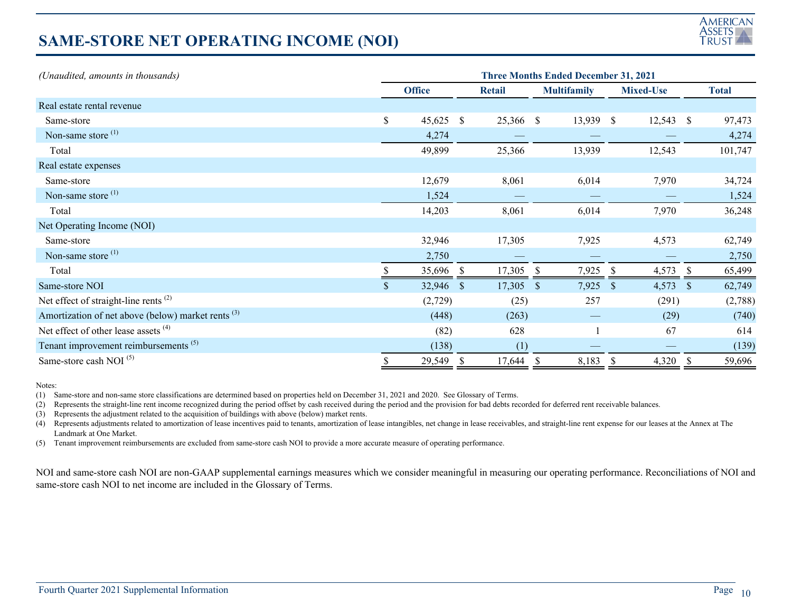### <span id="page-9-0"></span>**SAME-STORE NET OPERATING INCOME (NOI)**

![](_page_9_Picture_1.jpeg)

| (Unaudited, amounts in thousands)                             | <b>Three Months Ended December 31, 2021</b> |               |               |           |               |                    |    |                  |    |              |
|---------------------------------------------------------------|---------------------------------------------|---------------|---------------|-----------|---------------|--------------------|----|------------------|----|--------------|
|                                                               |                                             | <b>Office</b> | <b>Retail</b> |           |               | <b>Multifamily</b> |    | <b>Mixed-Use</b> |    | <b>Total</b> |
| Real estate rental revenue                                    |                                             |               |               |           |               |                    |    |                  |    |              |
| Same-store                                                    | \$                                          | 45,625        | <sup>S</sup>  | 25,366 \$ |               | 13,939 \$          |    | $12,543$ \$      |    | 97,473       |
| Non-same store $(1)$                                          |                                             | 4,274         |               |           |               |                    |    |                  |    | 4,274        |
| Total                                                         |                                             | 49,899        |               | 25,366    |               | 13,939             |    | 12,543           |    | 101,747      |
| Real estate expenses                                          |                                             |               |               |           |               |                    |    |                  |    |              |
| Same-store                                                    |                                             | 12,679        |               | 8,061     |               | 6,014              |    | 7,970            |    | 34,724       |
| Non-same store <sup>(1)</sup>                                 |                                             | 1,524         |               |           |               |                    |    |                  |    | 1,524        |
| Total                                                         |                                             | 14,203        |               | 8,061     |               | 6,014              |    | 7,970            |    | 36,248       |
| Net Operating Income (NOI)                                    |                                             |               |               |           |               |                    |    |                  |    |              |
| Same-store                                                    |                                             | 32,946        |               | 17,305    |               | 7,925              |    | 4,573            |    | 62,749       |
| Non-same store $(1)$                                          |                                             | 2,750         |               |           |               |                    |    |                  |    | 2,750        |
| Total                                                         | Ъ.                                          | 35,696 \$     |               | 17,305    | <sup>S</sup>  | 7,925              | -S | 4,573            | -S | 65,499       |
| Same-store NOI                                                | \$                                          | 32,946        | $\mathbb{S}$  | 17,305    | $\mathcal{S}$ | $7,925$ \$         |    | $4,573$ \$       |    | 62,749       |
| Net effect of straight-line rents $(2)$                       |                                             | (2,729)       |               | (25)      |               | 257                |    | (291)            |    | (2,788)      |
| Amortization of net above (below) market rents <sup>(3)</sup> |                                             | (448)         |               | (263)     |               |                    |    | (29)             |    | (740)        |
| Net effect of other lease assets $(4)$                        |                                             | (82)          |               | 628       |               |                    |    | 67               |    | 614          |
| Tenant improvement reimbursements <sup>(5)</sup>              |                                             | (138)         |               | (1)       |               |                    |    |                  |    | (139)        |
| Same-store cash NOI $(5)$                                     |                                             | 29,549        | <sup>2</sup>  | 17,644    | <sup>8</sup>  | 8,183              |    | 4,320            |    | 59,696       |

Notes:

(1) Same-store and non-same store classifications are determined based on properties held on December 31, 2021 and 2020. See Glossary of Terms.

(2) Represents the straight-line rent income recognized during the period offset by cash received during the period and the provision for bad debts recorded for deferred rent receivable balances.

(3) Represents the adjustment related to the acquisition of buildings with above (below) market rents.

(4) Represents adjustments related to amortization of lease incentives paid to tenants, amortization of lease intangibles, net change in lease receivables, and straight-line rent expense for our leases at the Annex at The Landmark at One Market.

(5) Tenant improvement reimbursements are excluded from same-store cash NOI to provide a more accurate measure of operating performance.

NOI and same-store cash NOI are non-GAAP supplemental earnings measures which we consider meaningful in measuring our operating performance. Reconciliations of NOI and same-store cash NOI to net income are included in the Glossary of Terms.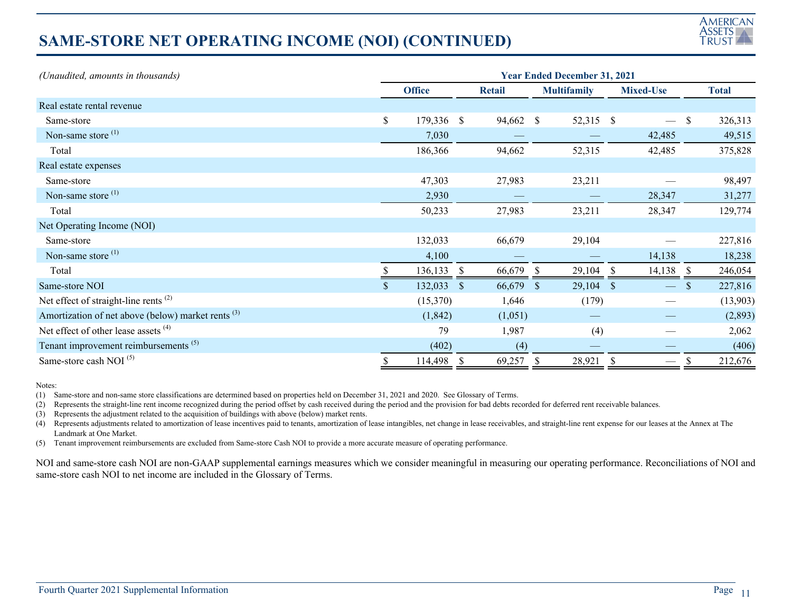### **SAME-STORE NET OPERATING INCOME (NOI) (CONTINUED)**

![](_page_10_Picture_1.jpeg)

| (Unaudited, amounts in thousands)                             | <b>Year Ended December 31, 2021</b> |               |              |               |                         |                  |    |              |  |  |  |
|---------------------------------------------------------------|-------------------------------------|---------------|--------------|---------------|-------------------------|------------------|----|--------------|--|--|--|
|                                                               |                                     | <b>Office</b> |              | <b>Retail</b> | <b>Multifamily</b>      | <b>Mixed-Use</b> |    | <b>Total</b> |  |  |  |
| Real estate rental revenue                                    |                                     |               |              |               |                         |                  |    |              |  |  |  |
| Same-store                                                    | \$                                  | 179,336 \$    |              | 94,662 \$     | 52,315 \$               |                  | \$ | 326,313      |  |  |  |
| Non-same store $(1)$                                          |                                     | 7,030         |              |               |                         | 42,485           |    | 49,515       |  |  |  |
| Total                                                         |                                     | 186,366       |              | 94,662        | 52,315                  | 42,485           |    | 375,828      |  |  |  |
| Real estate expenses                                          |                                     |               |              |               |                         |                  |    |              |  |  |  |
| Same-store                                                    |                                     | 47,303        |              | 27,983        | 23,211                  |                  |    | 98,497       |  |  |  |
| Non-same store $(1)$                                          |                                     | 2,930         |              |               |                         | 28,347           |    | 31,277       |  |  |  |
| Total                                                         |                                     | 50,233        |              | 27,983        | 23,211                  | 28,347           |    | 129,774      |  |  |  |
| Net Operating Income (NOI)                                    |                                     |               |              |               |                         |                  |    |              |  |  |  |
| Same-store                                                    |                                     | 132,033       |              | 66,679        | 29,104                  |                  |    | 227,816      |  |  |  |
| Non-same store $(1)$                                          |                                     | 4,100         |              |               |                         | 14,138           |    | 18,238       |  |  |  |
| Total                                                         | S                                   | 136,133       | -S           | 66,679        | 29,104<br>\$            | 14,138           |    | 246,054      |  |  |  |
| Same-store NOI                                                | $\mathbb{S}$                        | 132,033       | -S           | 66,679 \$     | $29,104$ \$             |                  |    | 227,816      |  |  |  |
| Net effect of straight-line rents $^{(2)}$                    |                                     | (15,370)      |              | 1,646         | (179)                   |                  |    | (13,903)     |  |  |  |
| Amortization of net above (below) market rents <sup>(3)</sup> |                                     | (1, 842)      |              | (1,051)       |                         |                  |    | (2,893)      |  |  |  |
| Net effect of other lease assets $(4)$                        |                                     | 79            |              | 1,987         | (4)                     |                  |    | 2,062        |  |  |  |
| Tenant improvement reimbursements <sup>(5)</sup>              |                                     | (402)         |              | (4)           |                         |                  |    | (406)        |  |  |  |
| Same-store cash NOI <sup>(5)</sup>                            | S.                                  | 114,498       | <sup>S</sup> | 69,257        | 28,921<br><sup>\$</sup> |                  |    | 212,676      |  |  |  |

Notes:

(1) Same-store and non-same store classifications are determined based on properties held on December 31, 2021 and 2020. See Glossary of Terms.

(2) Represents the straight-line rent income recognized during the period offset by cash received during the period and the provision for bad debts recorded for deferred rent receivable balances.

(3) Represents the adjustment related to the acquisition of buildings with above (below) market rents.

(4) Represents adjustments related to amortization of lease incentives paid to tenants, amortization of lease intangibles, net change in lease receivables, and straight-line rent expense for our leases at the Annex at The Landmark at One Market.

(5) Tenant improvement reimbursements are excluded from Same-store Cash NOI to provide a more accurate measure of operating performance.

NOI and same-store cash NOI are non-GAAP supplemental earnings measures which we consider meaningful in measuring our operating performance. Reconciliations of NOI and same-store cash NOI to net income are included in the Glossary of Terms.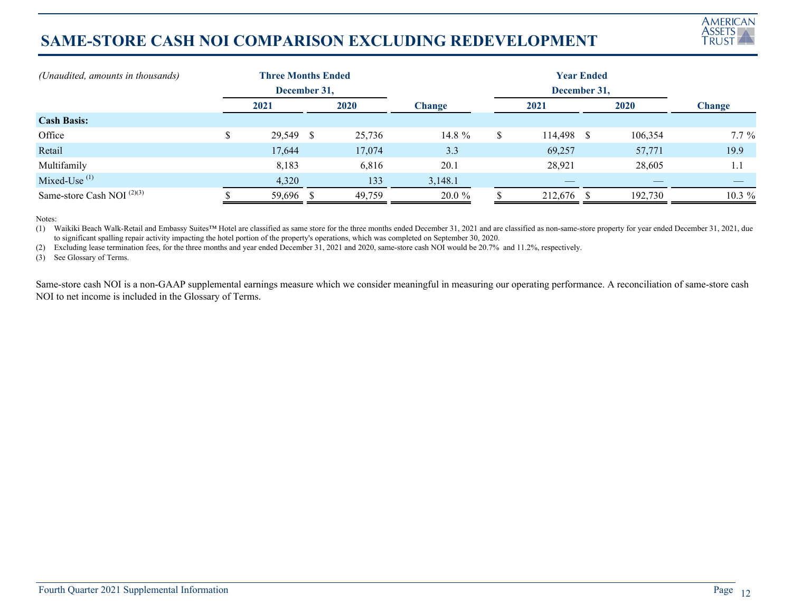### <span id="page-11-0"></span>**SAME-STORE CASH NOI COMPARISON EXCLUDING REDEVELOPMENT**

| (Unaudited, amounts in thousands) |              | <b>Three Months Ended</b> |  |        |               | <b>Year Ended</b> |              |    |         |               |  |
|-----------------------------------|--------------|---------------------------|--|--------|---------------|-------------------|--------------|----|---------|---------------|--|
|                                   | December 31, |                           |  |        |               |                   | December 31, |    |         |               |  |
|                                   |              | 2021                      |  | 2020   | <b>Change</b> | 2021              |              |    | 2020    | <b>Change</b> |  |
| <b>Cash Basis:</b>                |              |                           |  |        |               |                   |              |    |         |               |  |
| Office                            |              | 29,549 \$                 |  | 25,736 | 14.8 %        | \$                | 114,498      | -S | 106,354 | $7.7\%$       |  |
| Retail                            |              | 17,644                    |  | 17,074 | 3.3           |                   | 69,257       |    | 57,771  | 19.9          |  |
| Multifamily                       |              | 8,183                     |  | 6,816  | 20.1          |                   | 28,921       |    | 28,605  |               |  |
| Mixed-Use $(1)$                   |              | 4,320                     |  | 133    | 3,148.1       |                   |              |    |         |               |  |
| Same-store Cash NOI $^{(2)(3)}$   |              | 59,696                    |  | 49,759 | 20.0 %        |                   | 212,676      |    | 192,730 | 10.3 %        |  |

Notes:

(1) Waikiki Beach Walk-Retail and Embassy Suites™ Hotel are classified as same store for the three months ended December 31, 2021 and are classified as non-same-store property for year ended December 31, 2021, due to significant spalling repair activity impacting the hotel portion of the property's operations, which was completed on September 30, 2020.

(2) Excluding lease termination fees, for the three months and year ended December 31, 2021 and 2020, same-store cash NOI would be 20.7% and 11.2%, respectively.

(3) See Glossary of Terms.

Same-store cash NOI is a non-GAAP supplemental earnings measure which we consider meaningful in measuring our operating performance. A reconciliation of same-store cash NOI to net income is included in the Glossary of Terms.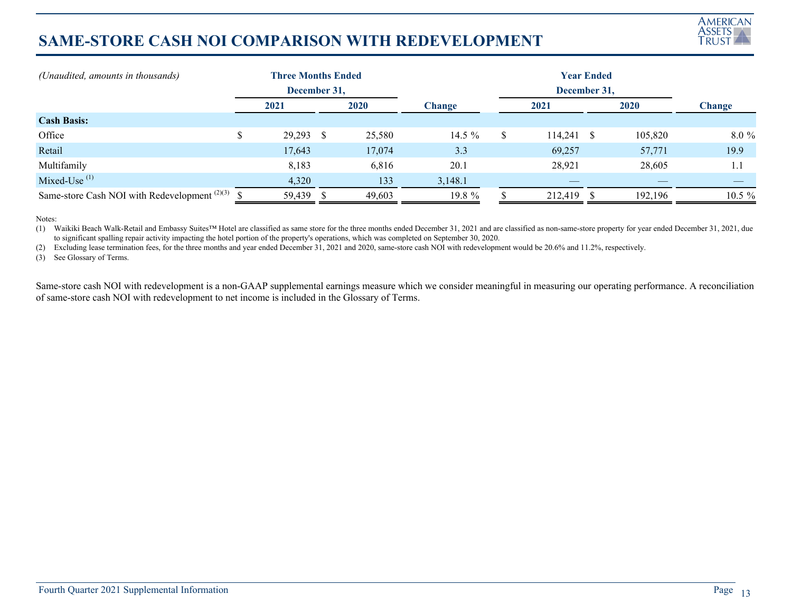### <span id="page-12-0"></span>**SAME-STORE CASH NOI COMPARISON WITH REDEVELOPMENT**

![](_page_12_Picture_1.jpeg)

| (Unaudited, amounts in thousands)                                     |  | <b>Three Months Ended</b> |  |        | <b>Year Ended</b> |              |         |     |         |               |  |  |
|-----------------------------------------------------------------------|--|---------------------------|--|--------|-------------------|--------------|---------|-----|---------|---------------|--|--|
|                                                                       |  | December 31,              |  |        |                   | December 31, |         |     |         |               |  |  |
|                                                                       |  | 2021                      |  | 2020   | <b>Change</b>     |              | 2021    |     | 2020    | <b>Change</b> |  |  |
| <b>Cash Basis:</b>                                                    |  |                           |  |        |                   |              |         |     |         |               |  |  |
| Office                                                                |  | $29,293$ \$               |  | 25,580 | 14.5 $%$          | S            | 114,241 | - S | 105,820 | $8.0 \%$      |  |  |
| Retail                                                                |  | 17,643                    |  | 17,074 | 3.3               |              | 69,257  |     | 57,771  | 19.9          |  |  |
| Multifamily                                                           |  | 8,183                     |  | 6,816  | 20.1              |              | 28,921  |     | 28,605  |               |  |  |
| Mixed-Use $(1)$                                                       |  | 4,320                     |  | 133    | 3,148.1           |              |         |     |         |               |  |  |
| Same-store Cash NOI with Redevelopment <sup><math>(2)(3)</math></sup> |  | 59,439 \$                 |  | 49,603 | 19.8 %            |              | 212,419 |     | 192,196 | $10.5 \%$     |  |  |

Notes:

(1) Waikiki Beach Walk-Retail and Embassy Suites™ Hotel are classified as same store for the three months ended December 31, 2021 and are classified as non-same-store property for year ended December 31, 2021, due to significant spalling repair activity impacting the hotel portion of the property's operations, which was completed on September 30, 2020.

(2) Excluding lease termination fees, for the three months and year ended December 31, 2021 and 2020, same-store cash NOI with redevelopment would be 20.6% and 11.2%, respectively.

(3) See Glossary of Terms.

Same-store cash NOI with redevelopment is a non-GAAP supplemental earnings measure which we consider meaningful in measuring our operating performance. A reconciliation of same-store cash NOI with redevelopment to net income is included in the Glossary of Terms.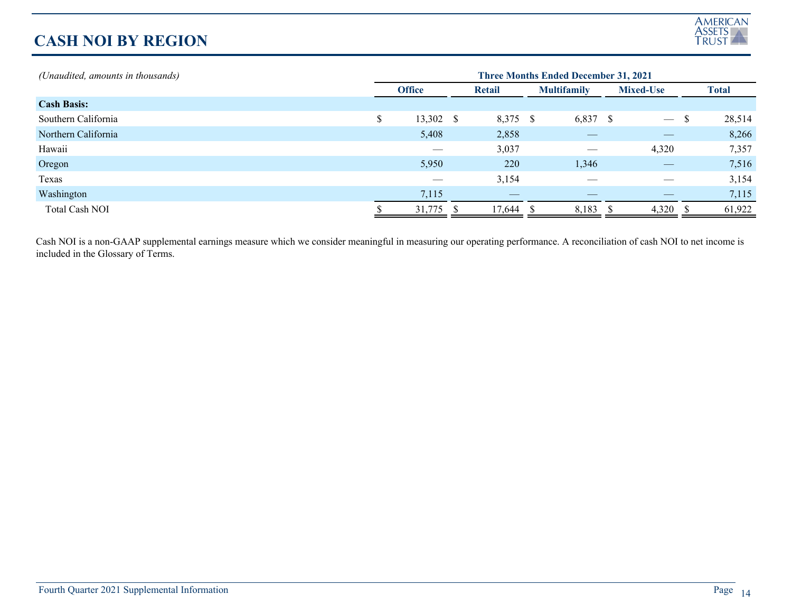### <span id="page-13-0"></span>**CASH NOI BY REGION**

![](_page_13_Picture_1.jpeg)

| (Unaudited, amounts in thousands) | <b>Three Months Ended December 31, 2021</b>                              |             |  |          |  |            |  |                          |    |              |
|-----------------------------------|--------------------------------------------------------------------------|-------------|--|----------|--|------------|--|--------------------------|----|--------------|
|                                   | <b>Multifamily</b><br><b>Office</b><br><b>Mixed-Use</b><br><b>Retail</b> |             |  |          |  |            |  |                          |    | <b>Total</b> |
| <b>Cash Basis:</b>                |                                                                          |             |  |          |  |            |  |                          |    |              |
| Southern California               | S.                                                                       | $13,302$ \$ |  | 8,375 \$ |  | $6,837$ \$ |  | $\overline{\phantom{a}}$ | -S | 28,514       |
| Northern California               |                                                                          | 5,408       |  | 2,858    |  |            |  |                          |    | 8,266        |
| Hawaii                            |                                                                          | __          |  | 3,037    |  | __         |  | 4,320                    |    | 7,357        |
| Oregon                            |                                                                          | 5,950       |  | 220      |  | 1,346      |  |                          |    | 7,516        |
| Texas                             |                                                                          |             |  | 3,154    |  |            |  |                          |    | 3,154        |
| Washington                        |                                                                          | 7,115       |  |          |  |            |  |                          |    | 7,115        |
| <b>Total Cash NOI</b>             |                                                                          | 31,775      |  | 17,644   |  | 8,183      |  | 4,320                    |    | 61,922       |

Cash NOI is a non-GAAP supplemental earnings measure which we consider meaningful in measuring our operating performance. A reconciliation of cash NOI to net income is included in the Glossary of Terms.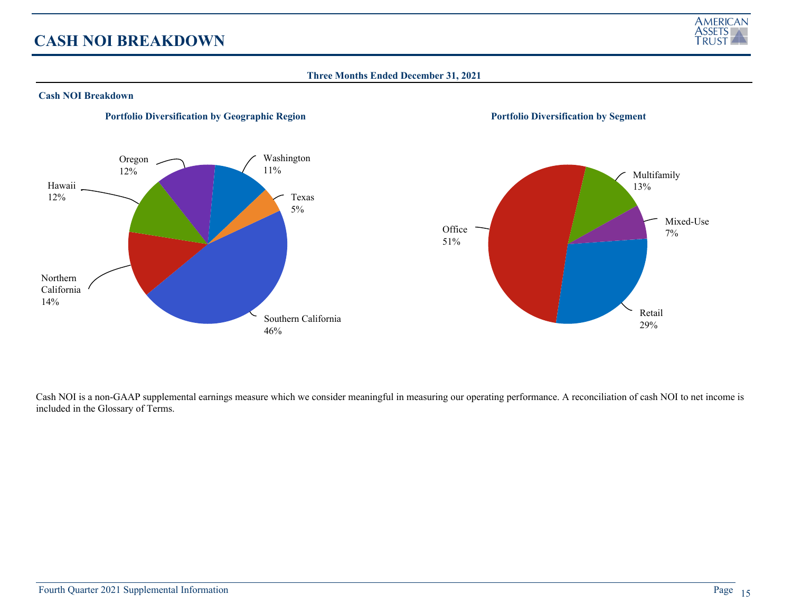### <span id="page-14-0"></span>**CASH NOI BREAKDOWN**

![](_page_14_Picture_1.jpeg)

#### **Three Months Ended December 31, 2021**

#### **Cash NOI Breakdown**

![](_page_14_Figure_4.jpeg)

Cash NOI is a non-GAAP supplemental earnings measure which we consider meaningful in measuring our operating performance. A reconciliation of cash NOI to net income is included in the Glossary of Terms.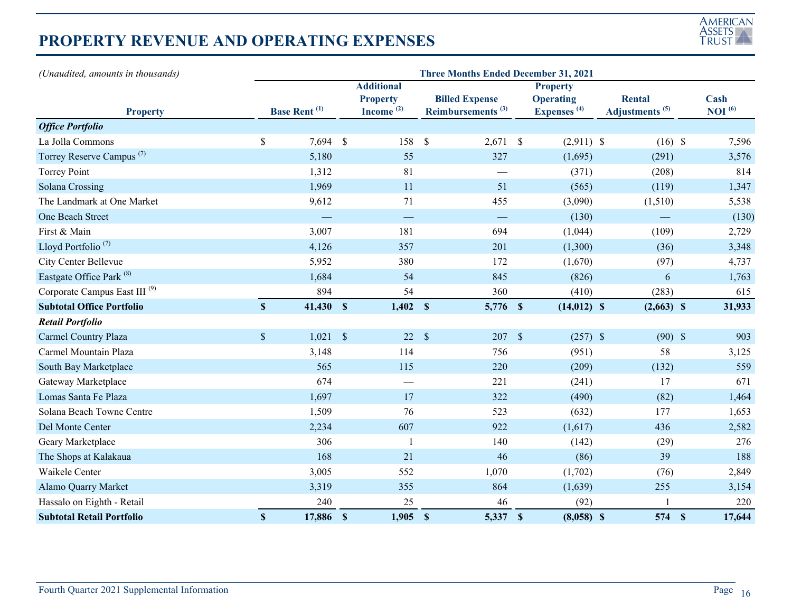### <span id="page-15-0"></span>**PROPERTY REVENUE AND OPERATING EXPENSES**

![](_page_15_Picture_1.jpeg)

| (Unaudited, amounts in thousands)        | <b>Three Months Ended December 31, 2021</b> |                                 |  |                                 |               |                                                        |  |                                             |                                             |  |                            |  |
|------------------------------------------|---------------------------------------------|---------------------------------|--|---------------------------------|---------------|--------------------------------------------------------|--|---------------------------------------------|---------------------------------------------|--|----------------------------|--|
|                                          |                                             |                                 |  | <b>Additional</b>               |               |                                                        |  | <b>Property</b>                             |                                             |  |                            |  |
| <b>Property</b>                          |                                             | <b>Base Rent</b> <sup>(1)</sup> |  | <b>Property</b><br>Income $(2)$ |               | <b>Billed Expense</b><br>Reimbursements <sup>(3)</sup> |  | <b>Operating</b><br>Expenses <sup>(4)</sup> | <b>Rental</b><br>Adjustments <sup>(5)</sup> |  | Cash<br>NOI <sup>(6)</sup> |  |
| <b>Office Portfolio</b>                  |                                             |                                 |  |                                 |               |                                                        |  |                                             |                                             |  |                            |  |
| La Jolla Commons                         | $\$$                                        | $7,694$ \$                      |  | 158                             | \$            | $2,671$ \$                                             |  | $(2,911)$ \$                                | $(16)$ \$                                   |  | 7,596                      |  |
| Torrey Reserve Campus <sup>(7)</sup>     |                                             | 5,180                           |  | 55                              |               | 327                                                    |  | (1,695)                                     | (291)                                       |  | 3,576                      |  |
| <b>Torrey Point</b>                      |                                             | 1,312                           |  | 81                              |               | $\hspace{0.1mm}-\hspace{0.1mm}$                        |  | (371)                                       | (208)                                       |  | 814                        |  |
| Solana Crossing                          |                                             | 1,969                           |  | 11                              |               | 51                                                     |  | (565)                                       | (119)                                       |  | 1,347                      |  |
| The Landmark at One Market               |                                             | 9,612                           |  | 71                              |               | 455                                                    |  | (3,090)                                     | (1,510)                                     |  | 5,538                      |  |
| One Beach Street                         |                                             |                                 |  | $\overline{\phantom{a}}$        |               |                                                        |  | (130)                                       |                                             |  | (130)                      |  |
| First & Main                             |                                             | 3,007                           |  | 181                             |               | 694                                                    |  | (1,044)                                     | (109)                                       |  | 2,729                      |  |
| Lloyd Portfolio <sup>(7)</sup>           |                                             | 4,126                           |  | 357                             |               | 201                                                    |  | (1,300)                                     | (36)                                        |  | 3,348                      |  |
| City Center Bellevue                     |                                             | 5,952                           |  | 380                             |               | 172                                                    |  | (1,670)                                     | (97)                                        |  | 4,737                      |  |
| Eastgate Office Park <sup>(8)</sup>      |                                             | 1,684                           |  | 54                              |               | 845                                                    |  | (826)                                       | 6                                           |  | 1,763                      |  |
| Corporate Campus East III <sup>(9)</sup> |                                             | 894                             |  | 54                              |               | 360                                                    |  | (410)                                       | (283)                                       |  | 615                        |  |
| <b>Subtotal Office Portfolio</b>         | $\mathbf{s}$                                | $41,430$ \$                     |  | $1,402$ \$                      |               | 5,776 \$                                               |  | $(14, 012)$ \$                              | $(2,663)$ \$                                |  | 31,933                     |  |
| <b>Retail Portfolio</b>                  |                                             |                                 |  |                                 |               |                                                        |  |                                             |                                             |  |                            |  |
| Carmel Country Plaza                     | $\mathcal{S}$                               | $1,021$ \$                      |  | 22                              | $\mathcal{S}$ | 207 \$                                                 |  | $(257)$ \$                                  | $(90)$ \$                                   |  | 903                        |  |
| Carmel Mountain Plaza                    |                                             | 3,148                           |  | 114                             |               | 756                                                    |  | (951)                                       | 58                                          |  | 3,125                      |  |
| South Bay Marketplace                    |                                             | 565                             |  | 115                             |               | 220                                                    |  | (209)                                       | (132)                                       |  | 559                        |  |
| Gateway Marketplace                      |                                             | 674                             |  | $\overbrace{\qquad \qquad }^{}$ |               | 221                                                    |  | (241)                                       | 17                                          |  | 671                        |  |
| Lomas Santa Fe Plaza                     |                                             | 1,697                           |  | 17                              |               | 322                                                    |  | (490)                                       | (82)                                        |  | 1,464                      |  |
| Solana Beach Towne Centre                |                                             | 1,509                           |  | 76                              |               | 523                                                    |  | (632)                                       | 177                                         |  | 1,653                      |  |
| Del Monte Center                         |                                             | 2,234                           |  | 607                             |               | 922                                                    |  | (1,617)                                     | 436                                         |  | 2,582                      |  |
| Geary Marketplace                        |                                             | 306                             |  | -1                              |               | 140                                                    |  | (142)                                       | (29)                                        |  | 276                        |  |
| The Shops at Kalakaua                    |                                             | 168                             |  | 21                              |               | 46                                                     |  | (86)                                        | 39                                          |  | 188                        |  |
| Waikele Center                           |                                             | 3,005                           |  | 552                             |               | 1,070                                                  |  | (1,702)                                     | (76)                                        |  | 2,849                      |  |
| Alamo Quarry Market                      |                                             | 3,319                           |  | 355                             |               | 864                                                    |  | (1,639)                                     | 255                                         |  | 3,154                      |  |
| Hassalo on Eighth - Retail               |                                             | 240                             |  | $25\,$                          |               | 46                                                     |  | (92)                                        |                                             |  | 220                        |  |
| <b>Subtotal Retail Portfolio</b>         | $\mathbf S$                                 | 17,886 \$                       |  | $1,905$ \$                      |               | 5,337 \$                                               |  | $(8,058)$ \$                                | 574 \$                                      |  | 17,644                     |  |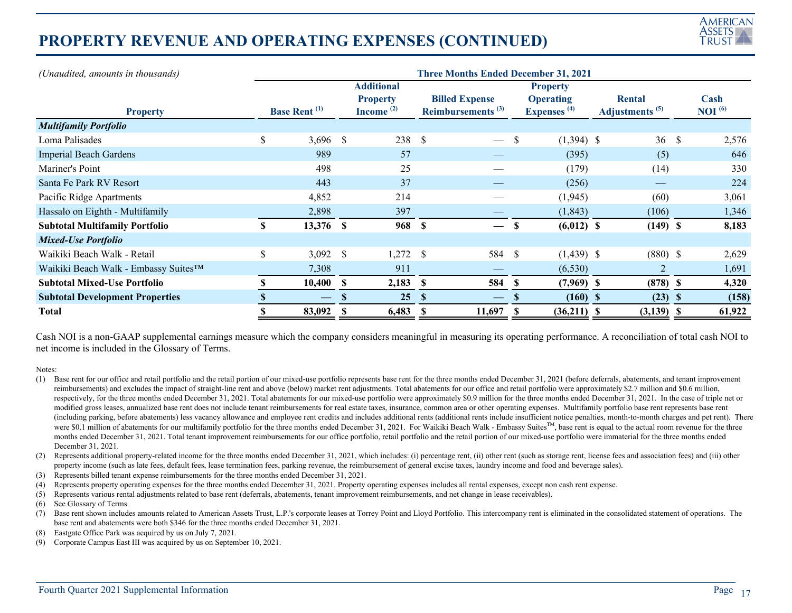### **PROPERTY REVENUE AND OPERATING EXPENSES (CONTINUED)**

![](_page_16_Picture_1.jpeg)

| (Unaudited, amounts in thousands)      | <b>Three Months Ended December 31, 2021</b> |                  |              |                                                      |               |                                                        |                                                                |               |                                             |                |  |                            |
|----------------------------------------|---------------------------------------------|------------------|--------------|------------------------------------------------------|---------------|--------------------------------------------------------|----------------------------------------------------------------|---------------|---------------------------------------------|----------------|--|----------------------------|
| <b>Property</b>                        | <b>Base Rent</b> <sup>(1)</sup>             |                  |              | <b>Additional</b><br><b>Property</b><br>Income $(2)$ |               | <b>Billed Expense</b><br>Reimbursements <sup>(3)</sup> | <b>Property</b><br><b>Operating</b><br>Expenses <sup>(4)</sup> |               | <b>Rental</b><br>Adjustments <sup>(5)</sup> |                |  | Cash<br>NOI <sup>(6)</sup> |
| <b>Multifamily Portfolio</b>           |                                             |                  |              |                                                      |               |                                                        |                                                                |               |                                             |                |  |                            |
| Loma Palisades                         | \$                                          | $3,696$ \$       |              | 238                                                  | <sup>\$</sup> | $\overbrace{\hspace{27mm}}^{}$                         | \$                                                             | $(1,394)$ \$  |                                             | 36S            |  | 2,576                      |
| <b>Imperial Beach Gardens</b>          |                                             | 989              |              | 57                                                   |               |                                                        |                                                                | (395)         |                                             | (5)            |  | 646                        |
| Mariner's Point                        |                                             | 498              |              | 25                                                   |               |                                                        |                                                                | (179)         |                                             | (14)           |  | 330                        |
| Santa Fe Park RV Resort                |                                             | 443              |              | 37                                                   |               |                                                        |                                                                | (256)         |                                             |                |  | 224                        |
| Pacific Ridge Apartments               |                                             | 4,852            |              | 214                                                  |               |                                                        |                                                                | (1, 945)      |                                             | (60)           |  | 3,061                      |
| Hassalo on Eighth - Multifamily        |                                             | 2,898            |              | 397                                                  |               |                                                        |                                                                | (1, 843)      |                                             | (106)          |  | 1,346                      |
| <b>Subtotal Multifamily Portfolio</b>  | \$                                          | $13,376$ \$      |              | 968                                                  | S             |                                                        | S                                                              | $(6,012)$ \$  |                                             | $(149)$ \$     |  | 8,183                      |
| <b>Mixed-Use Portfolio</b>             |                                             |                  |              |                                                      |               |                                                        |                                                                |               |                                             |                |  |                            |
| Waikiki Beach Walk - Retail            | \$                                          | 3,092 $\sqrt{s}$ |              | $1,272$ \$                                           |               | 584                                                    | <sup>\$</sup>                                                  | $(1,439)$ \$  |                                             | $(880)$ \$     |  | 2,629                      |
| Waikiki Beach Walk - Embassy Suites™   |                                             | 7,308            |              | 911                                                  |               |                                                        |                                                                | (6, 530)      |                                             | $\overline{2}$ |  | 1,691                      |
| <b>Subtotal Mixed-Use Portfolio</b>    |                                             | 10,400           | -S           | 2,183                                                | <b>S</b>      | 584                                                    | S                                                              | $(7,969)$ \$  |                                             | $(878)$ \$     |  | 4,320                      |
| <b>Subtotal Development Properties</b> |                                             |                  | <sup>S</sup> | 25                                                   | $\mathbf{s}$  | —                                                      | S.                                                             | $(160)$ \$    |                                             | $(23)$ \$      |  | (158)                      |
| Total                                  |                                             | 83,092           | S            | 6,483                                                | S             | 11,697                                                 | -S                                                             | $(36,211)$ \$ |                                             | $(3,139)$ \$   |  | 61,922                     |

Cash NOI is a non-GAAP supplemental earnings measure which the company considers meaningful in measuring its operating performance. A reconciliation of total cash NOI to net income is included in the Glossary of Terms.

Notes:

- (1) Base rent for our office and retail portfolio and the retail portion of our mixed-use portfolio represents base rent for the three months ended December 31, 2021 (before deferrals, abatements, and tenant improvement reimbursements) and excludes the impact of straight-line rent and above (below) market rent adjustments. Total abatements for our office and retail portfolio were approximately \$2.7 million and \$0.6 million, respectively, for the three months ended December 31, 2021. Total abatements for our mixed-use portfolio were approximately \$0.9 million for the three months ended December 31, 2021. In the case of triple net or modified gross leases, annualized base rent does not include tenant reimbursements for real estate taxes, insurance, common area or other operating expenses. Multifamily portfolio base rent represents base rent (including parking, before abatements) less vacancy allowance and employee rent credits and includes additional rents (additional rents include insufficient notice penalties, month-to-month charges and pet rent). There were \$0.1 million of abatements for our multifamily portfolio for the three months ended December 31, 2021. For Waikiki Beach Walk - Embassy Suites<sup>TM</sup>, base rent is equal to the actual room revenue for the three months ended December 31, 2021. Total tenant improvement reimbursements for our office portfolio, retail portfolio and the retail portion of our mixed-use portfolio were immaterial for the three months ended December 31, 2021.
- (2) Represents additional property-related income for the three months ended December 31, 2021, which includes: (i) percentage rent, (ii) other rent (such as storage rent, license fees and association fees) and (iii) other property income (such as late fees, default fees, lease termination fees, parking revenue, the reimbursement of general excise taxes, laundry income and food and beverage sales).
- (3) Represents billed tenant expense reimbursements for the three months ended December 31, 2021.
- (4) Represents property operating expenses for the three months ended December 31, 2021. Property operating expenses includes all rental expenses, except non cash rent expense.
- (5) Represents various rental adjustments related to base rent (deferrals, abatements, tenant improvement reimbursements, and net change in lease receivables).
- (6) See Glossary of Terms.
- (7) Base rent shown includes amounts related to American Assets Trust, L.P.'s corporate leases at Torrey Point and Lloyd Portfolio. This intercompany rent is eliminated in the consolidated statement of operations. The base rent and abatements were both \$346 for the three months ended December 31, 2021.
- (8) Eastgate Office Park was acquired by us on July 7, 2021.
- (9) Corporate Campus East III was acquired by us on September 10, 2021.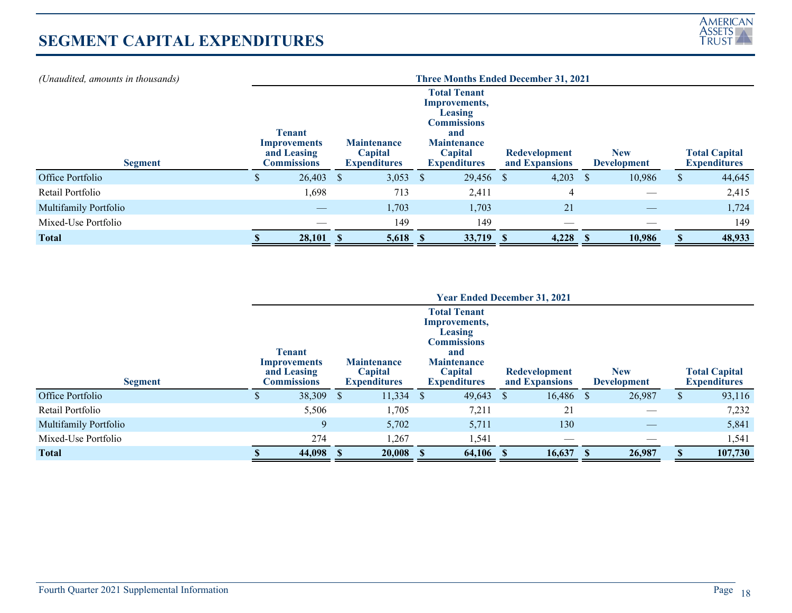### <span id="page-17-0"></span>**SEGMENT CAPITAL EXPENDITURES**

![](_page_17_Picture_1.jpeg)

| (Unaudited, amounts in thousands) |                                                                    |                                                      | <b>Three Months Ended December 31, 2021</b>                                                                                                        |                                 |                                  |                                             |
|-----------------------------------|--------------------------------------------------------------------|------------------------------------------------------|----------------------------------------------------------------------------------------------------------------------------------------------------|---------------------------------|----------------------------------|---------------------------------------------|
| <b>Segment</b>                    | <b>Tenant</b><br>Improvements<br>and Leasing<br><b>Commissions</b> | <b>Maintenance</b><br>Capital<br><b>Expenditures</b> | <b>Total Tenant</b><br>Improvements,<br><b>Leasing</b><br><b>Commissions</b><br>and<br><b>Maintenance</b><br><b>Capital</b><br><b>Expenditures</b> | Redevelopment<br>and Expansions | <b>New</b><br><b>Development</b> | <b>Total Capital</b><br><b>Expenditures</b> |
| Office Portfolio                  | 26,403<br>D                                                        | $3,053$ \$<br>- \$                                   | 29,456 \$                                                                                                                                          | 4,203                           | 10,986<br><sup>S</sup>           | 44,645<br>ъ.                                |
| Retail Portfolio                  | 1,698                                                              | 713                                                  | 2,411                                                                                                                                              | $\overline{4}$                  |                                  | 2,415                                       |
| Multifamily Portfolio             |                                                                    | 1,703                                                | 1,703                                                                                                                                              | 21                              |                                  | 1,724                                       |
| Mixed-Use Portfolio               |                                                                    | 149                                                  | 149                                                                                                                                                |                                 |                                  | 149                                         |
| <b>Total</b>                      | 28,101                                                             | 5,618<br>- \$                                        | 33,719 \$                                                                                                                                          | 4,228                           | 10,986                           | 48,933                                      |

|                       |                                                                    | <b>Year Ended December 31, 2021</b> |                                                      |                                                                                                                                      |  |                                 |                                  |  |                                             |  |  |
|-----------------------|--------------------------------------------------------------------|-------------------------------------|------------------------------------------------------|--------------------------------------------------------------------------------------------------------------------------------------|--|---------------------------------|----------------------------------|--|---------------------------------------------|--|--|
| <b>Segment</b>        | <b>Tenant</b><br>Improvements<br>and Leasing<br><b>Commissions</b> |                                     | <b>Maintenance</b><br>Capital<br><b>Expenditures</b> | <b>Total Tenant</b><br>Improvements,<br>Leasing<br><b>Commissions</b><br>and<br><b>Maintenance</b><br>Capital<br><b>Expenditures</b> |  | Redevelopment<br>and Expansions | <b>New</b><br><b>Development</b> |  | <b>Total Capital</b><br><b>Expenditures</b> |  |  |
| Office Portfolio      | 38,309 \$                                                          |                                     | $11,334$ \$                                          | $49,643$ \$                                                                                                                          |  | $16,486$ \$                     | 26,987                           |  | 93,116                                      |  |  |
| Retail Portfolio      | 5,506                                                              |                                     | 1,705                                                | 7,211                                                                                                                                |  | 21                              |                                  |  | 7,232                                       |  |  |
| Multifamily Portfolio |                                                                    | 9                                   | 5,702                                                | 5,711                                                                                                                                |  | 130                             |                                  |  | 5,841                                       |  |  |
| Mixed-Use Portfolio   | 274                                                                |                                     | 1,267                                                | 1,541                                                                                                                                |  |                                 |                                  |  | 1,541                                       |  |  |
| <b>Total</b>          | 44,098                                                             |                                     | 20,008                                               |                                                                                                                                      |  | 16,637                          | 26,987                           |  | 107,730                                     |  |  |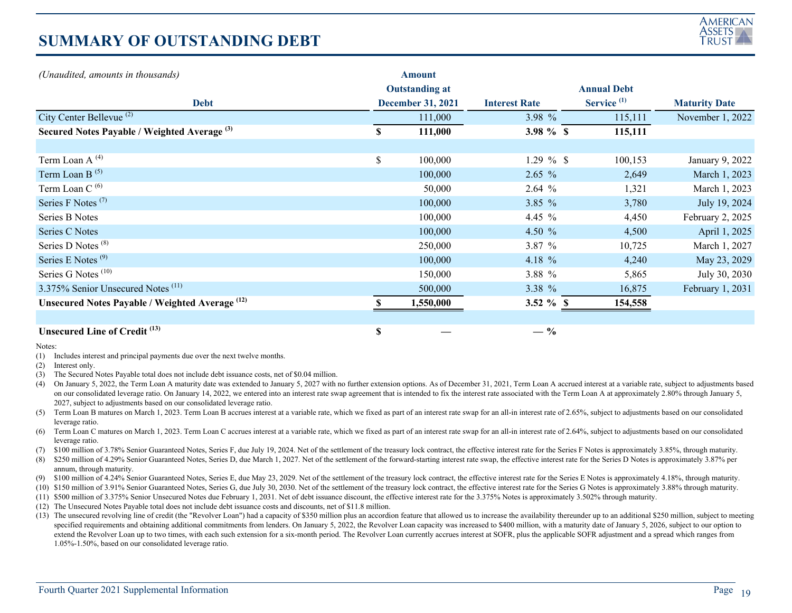### <span id="page-18-0"></span>**SUMMARY OF OUTSTANDING DEBT**

![](_page_18_Picture_1.jpeg)

| (Unaudited, amounts in thousands)                       |                       | <b>Amount</b>            |                      |                        |                      |
|---------------------------------------------------------|-----------------------|--------------------------|----------------------|------------------------|----------------------|
|                                                         | <b>Outstanding at</b> |                          |                      | <b>Annual Debt</b>     |                      |
| <b>Debt</b>                                             |                       | <b>December 31, 2021</b> | <b>Interest Rate</b> | Service <sup>(1)</sup> | <b>Maturity Date</b> |
| City Center Bellevue <sup>(2)</sup>                     |                       | 111,000                  | 3.98 %               | 115,111                | November 1, 2022     |
| Secured Notes Payable / Weighted Average <sup>(3)</sup> | \$                    | 111,000                  | 3.98 $%$ \$          | 115,111                |                      |
|                                                         |                       |                          |                      |                        |                      |
| Term Loan A $(4)$                                       | \$                    | 100,000                  | 1.29 $%$ \$          | 100,153                | January 9, 2022      |
| Term Loan B $(5)$                                       |                       | 100,000                  | $2.65\%$             | 2,649                  | March 1, 2023        |
| Term Loan C $(6)$                                       |                       | 50,000                   | 2.64%                | 1,321                  | March 1, 2023        |
| Series F Notes $(7)$                                    |                       | 100,000                  | 3.85 $%$             | 3,780                  | July 19, 2024        |
| Series B Notes                                          |                       | 100,000                  | 4.45 $\%$            | 4,450                  | February 2, 2025     |
| Series C Notes                                          |                       | 100,000                  | 4.50 $%$             | 4,500                  | April 1, 2025        |
| Series D Notes <sup>(8)</sup>                           |                       | 250,000                  | 3.87 $%$             | 10,725                 | March 1, 2027        |
| Series E Notes <sup>(9)</sup>                           |                       | 100,000                  | 4.18 $%$             | 4,240                  | May 23, 2029         |
| Series G Notes <sup>(10)</sup>                          |                       | 150,000                  | 3.88 %               | 5,865                  | July 30, 2030        |
| 3.375% Senior Unsecured Notes <sup>(11)</sup>           |                       | 500,000                  | 3.38 %               | 16,875                 | February 1, 2031     |
| Unsecured Notes Payable / Weighted Average (12)         |                       | 1,550,000                | 3.52 $%$ \$          | 154,558                |                      |
| <b>Unsecured Line of Credit (13)</b>                    | \$                    |                          | $-$ %                |                        |                      |

Notes:

- (1) Includes interest and principal payments due over the next twelve months.
- (2) Interest only.
- (3) The Secured Notes Payable total does not include debt issuance costs, net of \$0.04 million.
- (4) On January 5, 2022, the Term Loan A maturity date was extended to January 5, 2027 with no further extension options. As of December 31, 2021, Term Loan A accrued interest at a variable rate, subject to adjustments based on our consolidated leverage ratio. On January 14, 2022, we entered into an interest rate swap agreement that is intended to fix the interest rate associated with the Term Loan A at approximately 2.80% through January 5, 2027, subject to adjustments based on our consolidated leverage ratio.
- (5) Term Loan B matures on March 1, 2023. Term Loan B accrues interest at a variable rate, which we fixed as part of an interest rate swap for an all-in interest rate of 2.65%, subject to adjustments based on our consolida leverage ratio.
- (6) Term Loan C matures on March 1, 2023. Term Loan C accrues interest at a variable rate, which we fixed as part of an interest rate swap for an all-in interest rate of 2.64%, subject to adjustments based on our consolida leverage ratio.
- (7) \$100 million of 3.78% Senior Guaranteed Notes, Series F, due July 19, 2024. Net of the settlement of the treasury lock contract, the effective interest rate for the Series F Notes is approximately 3.85%, through maturi
- (8) \$250 million of 4.29% Senior Guaranteed Notes, Series D, due March 1, 2027. Net of the settlement of the forward-starting interest rate swap, the effective interest rate for the Series D Notes is approximately 3.87% per annum, through maturity.
- (9) \$100 million of 4.24% Senior Guaranteed Notes, Series E, due May 23, 2029. Net of the settlement of the treasury lock contract, the effective interest rate for the Series E Notes is approximately 4.18%, through maturity.
- (10) \$150 million of 3.91% Senior Guaranteed Notes, Series G, due July 30, 2030. Net of the settlement of the treasury lock contract, the effective interest rate for the Series G Notes is approximately 3.88% through maturi
- (11) \$500 million of 3.375% Senior Unsecured Notes due February 1, 2031. Net of debt issuance discount, the effective interest rate for the 3.375% Notes is approximately 3.502% through maturity.
- (12) The Unsecured Notes Payable total does not include debt issuance costs and discounts, net of \$11.8 million.
- (13) The unsecured revolving line of credit (the "Revolver Loan") had a capacity of \$350 million plus an accordion feature that allowed us to increase the availability thereunder up to an additional \$250 million, subject t specified requirements and obtaining additional commitments from lenders. On January 5, 2022, the Revolver Loan capacity was increased to \$400 million, with a maturity date of January 5, 2026, subject to our option to extend the Revolver Loan up to two times, with each such extension for a six-month period. The Revolver Loan currently accrues interest at SOFR, plus the applicable SOFR adjustment and a spread which ranges from 1.05%-1.50%, based on our consolidated leverage ratio.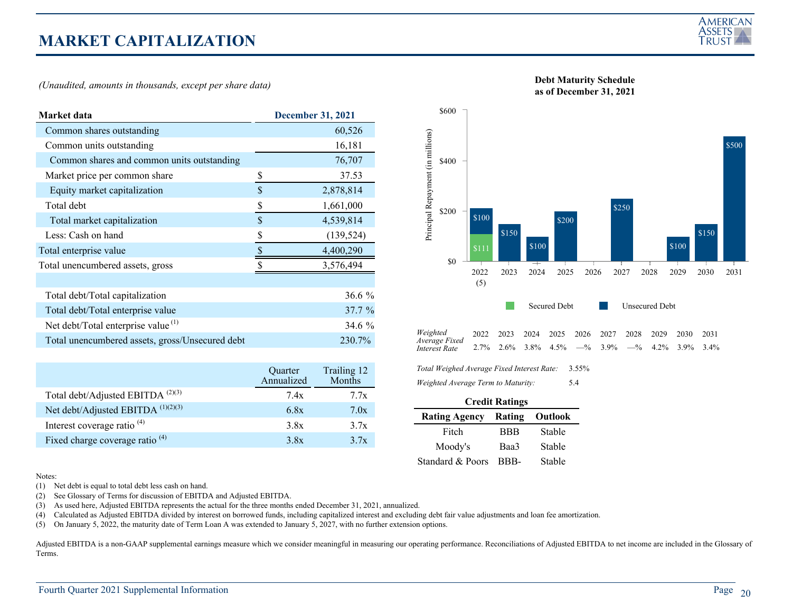![](_page_19_Picture_1.jpeg)

<span id="page-19-0"></span>*(Unaudited, amounts in thousands, except per share data)*

| Market data                                     | <b>December 31, 2021</b> |
|-------------------------------------------------|--------------------------|
| Common shares outstanding                       | 60,526                   |
| Common units outstanding                        | 16,181                   |
| Common shares and common units outstanding      | 76,707                   |
| Market price per common share                   | \$<br>37.53              |
| Equity market capitalization                    | \$<br>2,878,814          |
| Total debt                                      | \$<br>1,661,000          |
| Total market capitalization                     | \$<br>4,539,814          |
| Less: Cash on hand                              | \$<br>(139, 524)         |
| Total enterprise value                          | \$<br>4,400,290          |
| Total unencumbered assets, gross                | 3,576,494                |
|                                                 |                          |
| Total debt/Total capitalization                 | 36.6%                    |
| Total debt/Total enterprise value               | 37.7%                    |
| Net debt/Total enterprise value <sup>(1)</sup>  | 34.6 %                   |
| Total unencumbered assets, gross/Unsecured debt | 230.7%                   |

|                                              | Quarter<br>Annualized | Trailing 12<br>Months |
|----------------------------------------------|-----------------------|-----------------------|
| Total debt/Adjusted EBITDA <sup>(2)(3)</sup> | 7.4x                  | 7.7x                  |
| Net debt/Adjusted EBITDA $^{(1)(2)(3)}$      | 6.8x                  | 7.0x                  |
| Interest coverage ratio $(4)$                | 3.8x                  | 3.7x                  |
| Fixed charge coverage ratio <sup>(4)</sup>   | 3.8x                  | 3.7x                  |

![](_page_19_Figure_5.jpeg)

**Debt Maturity Schedule as of December 31, 2021**

| Weighted<br>Average Fixed |  |  | 2022 2023 2024 2025 2026 2027 2028 2029 2030 2031                           |  |  |
|---------------------------|--|--|-----------------------------------------------------------------------------|--|--|
| Interest Rate             |  |  | $2.7\%$ $2.6\%$ $3.8\%$ $4.5\%$ $-$ % $3.9\%$ $-$ % $4.2\%$ $3.9\%$ $3.4\%$ |  |  |

*Total Weighed Average Fixed Interest Rate:* 3.55%

*Weighted Average Term to Maturity:* 5.4

|                      | <b>Credit Ratings</b> |         |
|----------------------|-----------------------|---------|
| <b>Rating Agency</b> | Rating                | Outlook |
| Fitch                | BBB                   | Stable  |
| Moody's              | Baa3                  | Stable  |
| Standard & Poors     | BBB-                  | Stable  |

Notes:

(1) Net debt is equal to total debt less cash on hand.

(2) See Glossary of Terms for discussion of EBITDA and Adjusted EBITDA.

(3) As used here, Adjusted EBITDA represents the actual for the three months ended December 31, 2021, annualized.

(4) Calculated as Adjusted EBITDA divided by interest on borrowed funds, including capitalized interest and excluding debt fair value adjustments and loan fee amortization.

(5) On January 5, 2022, the maturity date of Term Loan A was extended to January 5, 2027, with no further extension options.

Adjusted EBITDA is a non-GAAP supplemental earnings measure which we consider meaningful in measuring our operating performance. Reconciliations of Adjusted EBITDA to net income are included in the Glossary of Terms.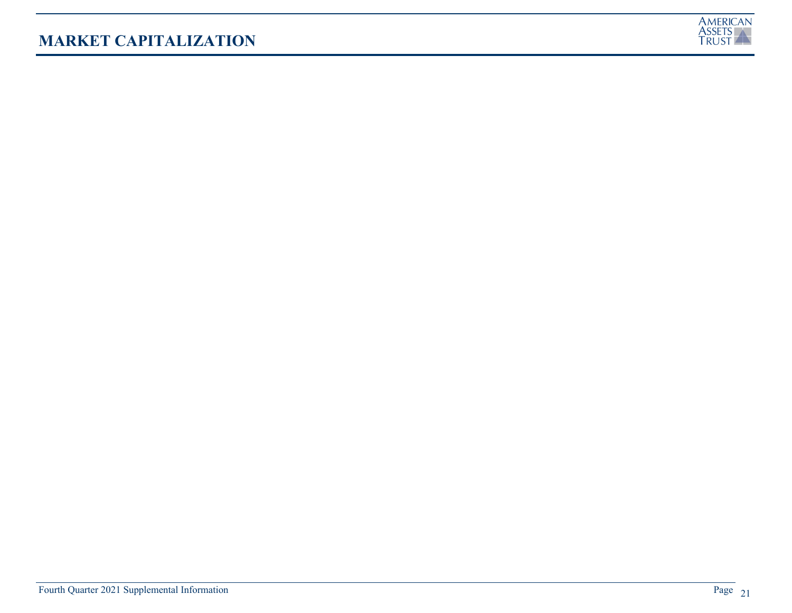![](_page_20_Picture_1.jpeg)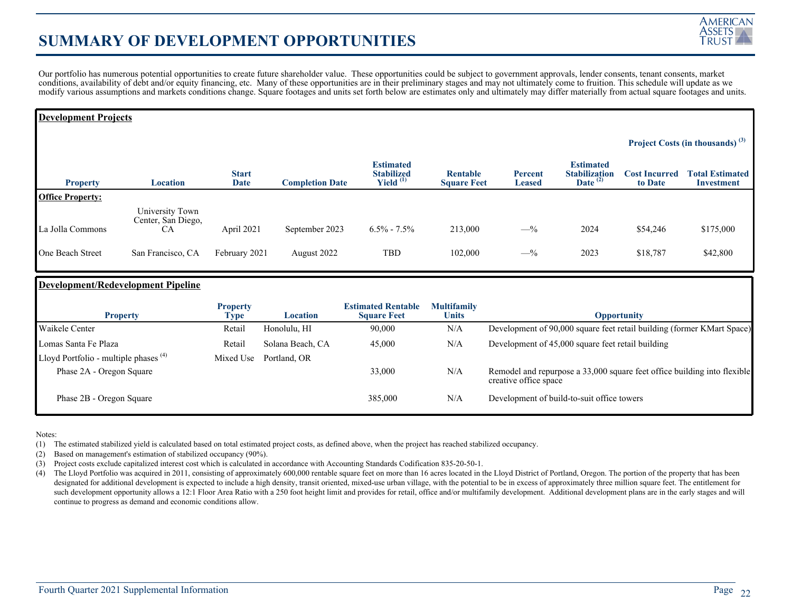### <span id="page-21-0"></span>**SUMMARY OF DEVELOPMENT OPPORTUNITIES**

![](_page_21_Picture_1.jpeg)

Our portfolio has numerous potential opportunities to create future shareholder value. These opportunities could be subject to government approvals, lender consents, tenant consents, market conditions, availability of debt and/or equity financing, etc. Many of these opportunities are in their preliminary stages and may not ultimately come to fruition. This schedule will update as we modify various assumptions and markets conditions change. Square footages and units set forth below are estimates only and ultimately may differ materially from actual square footages and units.

| <b>Development Projects</b> |                                                    |                             |                        |                                                      |                                |                                 |                                                        |                                 |                                       |
|-----------------------------|----------------------------------------------------|-----------------------------|------------------------|------------------------------------------------------|--------------------------------|---------------------------------|--------------------------------------------------------|---------------------------------|---------------------------------------|
|                             |                                                    |                             |                        |                                                      |                                |                                 |                                                        |                                 | Project Costs (in thousands) $^{(3)}$ |
| <b>Property</b>             | <b>Location</b>                                    | <b>Start</b><br><b>Date</b> | <b>Completion Date</b> | <b>Estimated</b><br><b>Stabilized</b><br>Yield $(1)$ | Rentable<br><b>Square Feet</b> | <b>Percent</b><br><b>Leased</b> | <b>Estimated</b><br><b>Stabilization</b><br>Date $(2)$ | <b>Cost Incurred</b><br>to Date | <b>Total Estimated</b><br>Investment  |
| <b>Office Property:</b>     |                                                    |                             |                        |                                                      |                                |                                 |                                                        |                                 |                                       |
| La Jolla Commons            | University Town<br>Center, San Diego,<br><b>CA</b> | April 2021                  | September 2023         | $6.5\% - 7.5\%$                                      | 213,000                        | $-$ %                           | 2024                                                   | \$54,246                        | \$175,000                             |
| One Beach Street            | San Francisco, CA                                  | February 2021               | August 2022            | <b>TBD</b>                                           | 102,000                        | $- \frac{9}{6}$                 | 2023                                                   | \$18,787                        | \$42,800                              |

#### **Development/Redevelopment Pipeline**

| <b>Property</b>                         | <b>Property</b><br>Type | Location         | <b>Estimated Rentable</b><br><b>Square Feet</b> | <b>Multifamily</b><br>Units | Opportunity                                                                                       |
|-----------------------------------------|-------------------------|------------------|-------------------------------------------------|-----------------------------|---------------------------------------------------------------------------------------------------|
| <b>Waikele Center</b>                   | Retail                  | Honolulu, HI     | 90,000                                          | N/A                         | Development of 90,000 square feet retail building (former KMart Space)                            |
| Lomas Santa Fe Plaza                    | Retail                  | Solana Beach, CA | 45,000                                          | N/A                         | Development of 45,000 square feet retail building                                                 |
| Lloyd Portfolio - multiple phases $(4)$ | Mixed Use               | Portland, OR     |                                                 |                             |                                                                                                   |
| Phase 2A - Oregon Square                |                         |                  | 33,000                                          | N/A                         | Remodel and repurpose a 33,000 square feet office building into flexible<br>creative office space |
| Phase 2B - Oregon Square                |                         |                  | 385,000                                         | N/A                         | Development of build-to-suit office towers                                                        |

Notes:

(1) The estimated stabilized yield is calculated based on total estimated project costs, as defined above, when the project has reached stabilized occupancy.

(2) Based on management's estimation of stabilized occupancy (90%).

(3) Project costs exclude capitalized interest cost which is calculated in accordance with Accounting Standards Codification 835-20-50-1.

(4) The Lloyd Portfolio was acquired in 2011, consisting of approximately 600,000 rentable square feet on more than 16 acres located in the Lloyd District of Portland, Oregon. The portion of the property that has been designated for additional development is expected to include a high density, transit oriented, mixed-use urban village, with the potential to be in excess of approximately three million square feet. The entitlement for such development opportunity allows a 12:1 Floor Area Ratio with a 250 foot height limit and provides for retail, office and/or multifamily development. Additional development plans are in the early stages and will continue to progress as demand and economic conditions allow.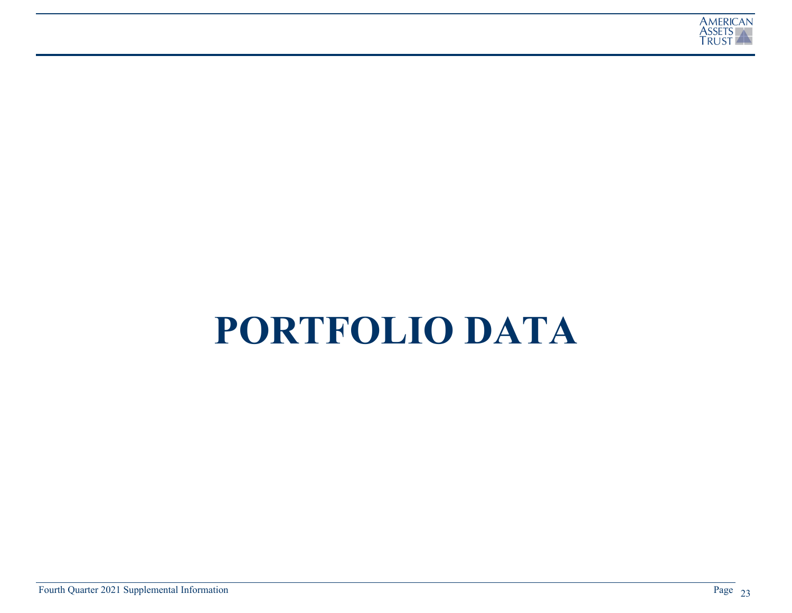![](_page_22_Picture_0.jpeg)

# **PORTFOLIO DATA**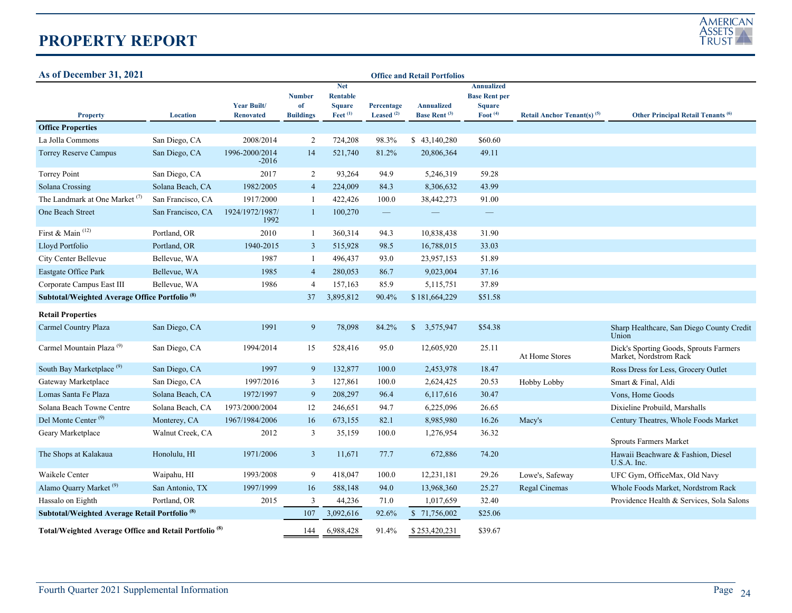### <span id="page-23-0"></span>**PROPERTY REPORT**

![](_page_23_Picture_1.jpeg)

| As of December 31, 2021                                           |                   |                                 |                                         |                                                                            |                            | <b>Office and Retail Portfolios</b>                  |                                                                          |                                               |                                                                  |
|-------------------------------------------------------------------|-------------------|---------------------------------|-----------------------------------------|----------------------------------------------------------------------------|----------------------------|------------------------------------------------------|--------------------------------------------------------------------------|-----------------------------------------------|------------------------------------------------------------------|
| <b>Property</b>                                                   | <b>Location</b>   | Year Built/<br><b>Renovated</b> | <b>Number</b><br>of<br><b>Buildings</b> | <b>Net</b><br><b>Rentable</b><br><b>Square</b><br>Feet $^{\left(1\right)}$ | Percentage<br>Leased $(2)$ | <b>Annualized</b><br><b>Base Rent</b> <sup>(3)</sup> | <b>Annualized</b><br><b>Base Rent per</b><br><b>Square</b><br>Foot $(4)$ | <b>Retail Anchor Tenant(s)</b> <sup>(5)</sup> | Other Principal Retail Tenants <sup>(6)</sup>                    |
| <b>Office Properties</b>                                          |                   |                                 |                                         |                                                                            |                            |                                                      |                                                                          |                                               |                                                                  |
| La Jolla Commons                                                  | San Diego, CA     | 2008/2014                       | 2                                       | 724,208                                                                    | 98.3%                      | \$43,140,280                                         | \$60.60                                                                  |                                               |                                                                  |
| <b>Torrey Reserve Campus</b>                                      | San Diego, CA     | 1996-2000/2014<br>$-2016$       | 14                                      | 521,740                                                                    | 81.2%                      | 20,806,364                                           | 49.11                                                                    |                                               |                                                                  |
| Torrey Point                                                      | San Diego, CA     | 2017                            | 2                                       | 93,264                                                                     | 94.9                       | 5,246,319                                            | 59.28                                                                    |                                               |                                                                  |
| Solana Crossing                                                   | Solana Beach, CA  | 1982/2005                       | $\overline{4}$                          | 224,009                                                                    | 84.3                       | 8,306,632                                            | 43.99                                                                    |                                               |                                                                  |
| The Landmark at One Market <sup>(1)</sup>                         | San Francisco, CA | 1917/2000                       | $\mathbf{1}$                            | 422,426                                                                    | 100.0                      | 38,442,273                                           | 91.00                                                                    |                                               |                                                                  |
| One Beach Street                                                  | San Francisco, CA | 1924/1972/1987/<br>1992         | $\mathbf{1}$                            | 100,270                                                                    | $\qquad \qquad -$          |                                                      |                                                                          |                                               |                                                                  |
| First & Main <sup>(12)</sup>                                      | Portland, OR      | 2010                            | -1                                      | 360,314                                                                    | 94.3                       | 10,838,438                                           | 31.90                                                                    |                                               |                                                                  |
| Lloyd Portfolio                                                   | Portland, OR      | 1940-2015                       | $\overline{3}$                          | 515,928                                                                    | 98.5                       | 16,788,015                                           | 33.03                                                                    |                                               |                                                                  |
| City Center Bellevue                                              | Bellevue, WA      | 1987                            | $\mathbf{1}$                            | 496,437                                                                    | 93.0                       | 23,957,153                                           | 51.89                                                                    |                                               |                                                                  |
| Eastgate Office Park                                              | Bellevue, WA      | 1985                            | $\overline{4}$                          | 280,053                                                                    | 86.7                       | 9,023,004                                            | 37.16                                                                    |                                               |                                                                  |
| Corporate Campus East III                                         | Bellevue, WA      | 1986                            | $\overline{4}$                          | 157,163                                                                    | 85.9                       | 5, 115, 751                                          | 37.89                                                                    |                                               |                                                                  |
| Subtotal/Weighted Average Office Portfolio <sup>(8)</sup>         |                   |                                 | 37                                      | 3,895,812                                                                  | 90.4%                      | \$181,664,229                                        | \$51.58                                                                  |                                               |                                                                  |
| <b>Retail Properties</b>                                          |                   |                                 |                                         |                                                                            |                            |                                                      |                                                                          |                                               |                                                                  |
| Carmel Country Plaza                                              | San Diego, CA     | 1991                            | 9                                       | 78,098                                                                     | 84.2%                      | \$3,575,947                                          | \$54.38                                                                  |                                               | Sharp Healthcare, San Diego County Credit<br>Union               |
| Carmel Mountain Plaza <sup>(9)</sup>                              | San Diego, CA     | 1994/2014                       | 15                                      | 528,416                                                                    | 95.0                       | 12,605,920                                           | 25.11                                                                    | At Home Stores                                | Dick's Sporting Goods, Sprouts Farmers<br>Market, Nordstrom Rack |
| South Bay Marketplace <sup>(9)</sup>                              | San Diego, CA     | 1997                            | 9                                       | 132,877                                                                    | 100.0                      | 2,453,978                                            | 18.47                                                                    |                                               | Ross Dress for Less, Grocery Outlet                              |
| Gateway Marketplace                                               | San Diego, CA     | 1997/2016                       | 3                                       | 127,861                                                                    | 100.0                      | 2,624,425                                            | 20.53                                                                    | Hobby Lobby                                   | Smart & Final, Aldi                                              |
| Lomas Santa Fe Plaza                                              | Solana Beach, CA  | 1972/1997                       | 9                                       | 208,297                                                                    | 96.4                       | 6,117,616                                            | 30.47                                                                    |                                               | Vons, Home Goods                                                 |
| Solana Beach Towne Centre                                         | Solana Beach, CA  | 1973/2000/2004                  | 12                                      | 246,651                                                                    | 94.7                       | 6,225,096                                            | 26.65                                                                    |                                               | Dixieline Probuild, Marshalls                                    |
| Del Monte Center <sup>(9)</sup>                                   | Monterey, CA      | 1967/1984/2006                  | 16                                      | 673,155                                                                    | 82.1                       | 8,985,980                                            | 16.26                                                                    | Macy's                                        | Century Theatres, Whole Foods Market                             |
| Geary Marketplace                                                 | Walnut Creek, CA  | 2012                            | 3                                       | 35,159                                                                     | 100.0                      | 1,276,954                                            | 36.32                                                                    |                                               | <b>Sprouts Farmers Market</b>                                    |
| The Shops at Kalakaua                                             | Honolulu, HI      | 1971/2006                       | $\overline{\mathbf{3}}$                 | 11,671                                                                     | 77.7                       | 672,886                                              | 74.20                                                                    |                                               | Hawaii Beachware & Fashion, Diesel<br>U.S.A. Inc.                |
| Waikele Center                                                    | Waipahu, HI       | 1993/2008                       | 9                                       | 418,047                                                                    | 100.0                      | 12,231,181                                           | 29.26                                                                    | Lowe's, Safeway                               | UFC Gym, OfficeMax, Old Navy                                     |
| Alamo Quarry Market <sup>(9)</sup>                                | San Antonio, TX   | 1997/1999                       | 16                                      | 588,148                                                                    | 94.0                       | 13,968,360                                           | 25.27                                                                    | Regal Cinemas                                 | Whole Foods Market, Nordstrom Rack                               |
| Hassalo on Eighth                                                 | Portland, OR      | 2015                            | 3                                       | 44,236                                                                     | 71.0                       | 1,017,659                                            | 32.40                                                                    |                                               | Providence Health & Services, Sola Salons                        |
| Subtotal/Weighted Average Retail Portfolio <sup>(8)</sup>         |                   |                                 | 107                                     | 3,092,616                                                                  | 92.6%                      | \$71,756,002                                         | \$25.06                                                                  |                                               |                                                                  |
| Total/Weighted Average Office and Retail Portfolio <sup>(8)</sup> |                   |                                 | 144                                     | 6.988.428                                                                  | 91.4%                      | \$253,420,231                                        | \$39.67                                                                  |                                               |                                                                  |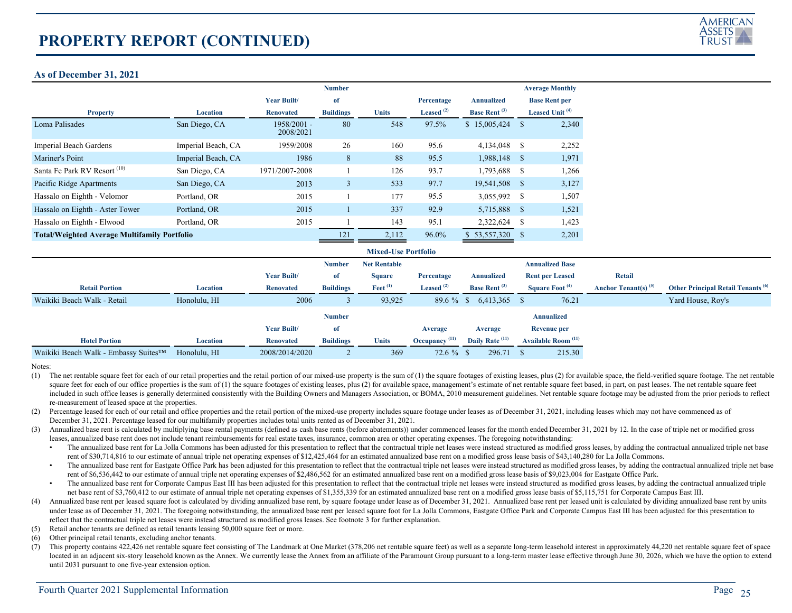![](_page_24_Picture_1.jpeg)

|                                                     |                    |                          | <b>Number</b>    |              |              |                                 |      | <b>Average Monthly</b>     |
|-----------------------------------------------------|--------------------|--------------------------|------------------|--------------|--------------|---------------------------------|------|----------------------------|
|                                                     |                    | Year Built/              | of               |              | Percentage   | <b>Annualized</b>               |      | <b>Base Rent per</b>       |
| <b>Property</b>                                     | Location           | <b>Renovated</b>         | <b>Buildings</b> | <b>Units</b> | Leased $(2)$ | <b>Base Rent</b> <sup>(3)</sup> |      | Leased Unit <sup>(4)</sup> |
| Loma Palisades                                      | San Diego, CA      | 1958/2001 -<br>2008/2021 | 80               | 548          | 97.5%        | \$15,005,424                    |      | 2,340                      |
| <b>Imperial Beach Gardens</b>                       | Imperial Beach, CA | 1959/2008                | 26               | 160          | 95.6         | 4,134,048                       | S    | 2,252                      |
| Mariner's Point                                     | Imperial Beach, CA | 1986                     | 8                | 88           | 95.5         | 1,988,148                       | -S   | 1,971                      |
| Santa Fe Park RV Resort <sup>(10)</sup>             | San Diego, CA      | 1971/2007-2008           |                  | 126          | 93.7         | 1,793,688                       | -S   | 1,266                      |
| Pacific Ridge Apartments                            | San Diego, CA      | 2013                     | 3                | 533          | 97.7         | 19,541,508                      | -S   | 3,127                      |
| Hassalo on Eighth - Velomor                         | Portland, OR       | 2015                     |                  | 177          | 95.5         | 3,055,992                       | - \$ | 1,507                      |
| Hassalo on Eighth - Aster Tower                     | Portland, OR       | 2015                     |                  | 337          | 92.9         | 5,715,888                       | -S   | 1,521                      |
| Hassalo on Eighth - Elwood                          | Portland, OR       | 2015                     |                  | 143          | 95.1         | 2,322,624                       | -S   | 1,423                      |
| <b>Total/Weighted Average Multifamily Portfolio</b> |                    |                          | 121              | 2,112        | 96.0%        | \$53,557,320                    |      | 2,201                      |

| <b>Mixed-Use Portfolio</b>           |              |                  |                  |                     |                  |                                 |                                       |                                 |                                               |  |  |
|--------------------------------------|--------------|------------------|------------------|---------------------|------------------|---------------------------------|---------------------------------------|---------------------------------|-----------------------------------------------|--|--|
|                                      |              |                  | <b>Number</b>    | <b>Net Rentable</b> |                  |                                 | <b>Annualized Base</b>                |                                 |                                               |  |  |
|                                      |              | Year Built/      | of               | <b>Square</b>       | Percentage       | Annualized                      | <b>Rent per Leased</b>                | <b>Retail</b>                   |                                               |  |  |
| <b>Retail Portion</b>                | Location     | <b>Renovated</b> | <b>Buildings</b> | Feet $(1)$          | Leased $(2)$     | <b>Base Rent</b> <sup>(3)</sup> | Square Foot <sup>(4)</sup>            | Anchor Tenant(s) <sup>(5)</sup> | Other Principal Retail Tenants <sup>(6)</sup> |  |  |
| Waikiki Beach Walk - Retail          | Honolulu, HI | 2006             |                  | 93,925              | 89.6 %           | 6,413,365 \$                    | 76.21                                 |                                 | Yard House, Roy's                             |  |  |
|                                      |              |                  | <b>Number</b>    |                     |                  |                                 | <b>Annualized</b>                     |                                 |                                               |  |  |
|                                      |              | Year Built/      | of               |                     | Average          | Average                         | Revenue per                           |                                 |                                               |  |  |
| <b>Hotel Portion</b>                 | Location     | <b>Renovated</b> | <b>Buildings</b> | <b>Units</b>        | Occupancy $(11)$ | Daily Rate (11)                 | <b>Available Room</b> <sup>(11)</sup> |                                 |                                               |  |  |
| Waikiki Beach Walk - Embassy Suites™ | Honolulu, HI | 2008/2014/2020   |                  | 369                 | $72.6 \%$ \$     | 296.71                          | 215.30                                |                                 |                                               |  |  |

#### Notes:

- (1) The net rentable square feet for each of our retail properties and the retail portion of our mixed-use property is the sum of (1) the square footages of existing leases, plus (2) for available space, the field-verified square feet for each of our office properties is the sum of (1) the square footages of existing leases, plus (2) for available space, management's estimate of net rentable square feet based, in part, on past leases. The ne included in such office leases is generally determined consistently with the Building Owners and Managers Association, or BOMA, 2010 measurement guidelines. Net rentable square footage may be adjusted from the prior period re-measurement of leased space at the properties.
- Percentage leased for each of our retail and office properties and the retail portion of the mixed-use property includes square footage under leases as of December 31, 2021, including leases which may not have commenced as December 31, 2021. Percentage leased for our multifamily properties includes total units rented as of December 31, 2021.
- (3) Annualized base rent is calculated by multiplying base rental payments (defined as cash base rents (before abatements)) under commenced leases for the month ended December 31, 2021 by 12. In the case of triple net or m leases, annualized base rent does not include tenant reimbursements for real estate taxes, insurance, common area or other operating expenses. The foregoing notwithstanding:
	- The annualized base rent for La Jolla Commons has been adjusted for this presentation to reflect that the contractual triple net leases were instead structured as modified gross leases, by adding the contractual annualiz rent of \$30,714,816 to our estimate of annual triple net operating expenses of \$12,425,464 for an estimated annualized base rent on a modified gross lease basis of \$43,140,280 for La Jolla Commons.
	- The annualized base rent for Eastgate Office Park has been adjusted for this presentation to reflect that the contractual triple net leases were instead structured as modified gross leases, by adding the contractual annu rent of \$6,536,442 to our estimate of annual triple net operating expenses of \$2,486,562 for an estimated annualized base rent on a modified gross lease basis of \$9,023,004 for Eastgate Office Park.
	- The annualized base rent for Corporate Campus East III has been adjusted for this presentation to reflect that the contractual triple net leases were instead structured as modified gross leases, by adding the contractual a net base rent of \$3,760,412 to our estimate of annual triple net operating expenses of \$1,355,339 for an estimated annualized base rent on a modified gross lease basis of \$5,115,751 for Corporate Campus East III.
- (4) Annualized base rent per leased square foot is calculated by dividing annualized base rent, by square footage under lease as of December 31, 2021. Annualized base rent per leased unit is calculated by dividing annualiz under lease as of December 31, 2021. The foregoing notwithstanding, the annualized base rent per leased square foot for La Jolla Commons, Eastgate Office Park and Corporate Campus East III has been adjusted for this presen reflect that the contractual triple net leases were instead structured as modified gross leases. See footnote 3 for further explanation.
- (5) Retail anchor tenants are defined as retail tenants leasing 50,000 square feet or more.
- (6) Other principal retail tenants, excluding anchor tenants.
- (7) This property contains 422,426 net rentable square feet consisting of The Landmark at One Market (378,206 net rentable square feet) as well as a separate long-term leasehold interest in approximately 44,220 net rentabl located in an adjacent six-story leasehold known as the Annex. We currently lease the Annex from an affiliate of the Paramount Group pursuant to a long-term master lease effective through June 30, 2026, which we have the o until 2031 pursuant to one five-year extension option.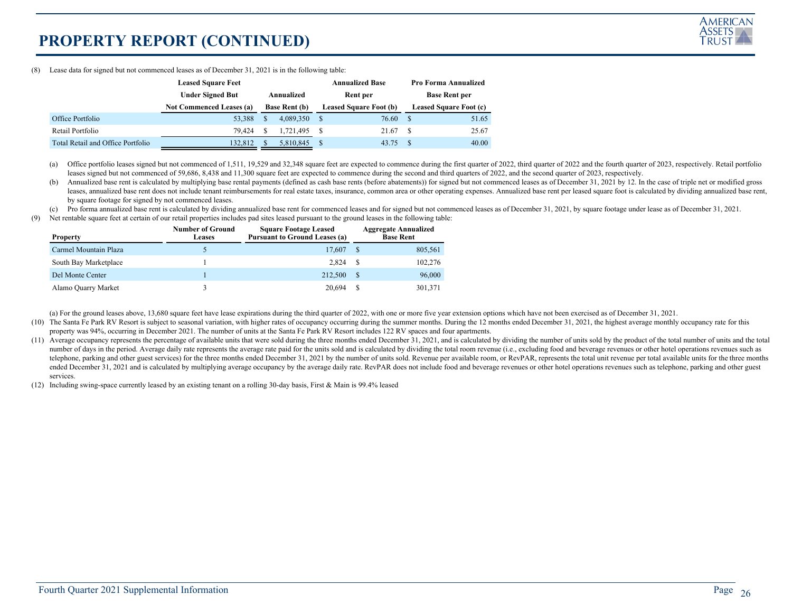![](_page_25_Picture_1.jpeg)

#### (8) Lease data for signed but not commenced leases as of December 31, 2021 is in the following table:

|                                   | <b>Leased Square Feet</b>       |                      | <b>Annualized Base</b>        | <b>Pro Forma Annualized</b> |                        |  |
|-----------------------------------|---------------------------------|----------------------|-------------------------------|-----------------------------|------------------------|--|
|                                   | <b>Under Signed But</b>         | Annualized           | Rent per                      |                             | <b>Base Rent per</b>   |  |
|                                   | <b>Not Commenced Leases (a)</b> | <b>Base Rent (b)</b> | <b>Leased Square Foot (b)</b> |                             | Leased Square Foot (c) |  |
| Office Portfolio                  | 53.388                          | 4.089.350            | 76.60                         | - \$                        | 51.65                  |  |
| Retail Portfolio                  | 79.424                          | 1.721.495            | 21.67                         | - S                         | 25.67                  |  |
| Total Retail and Office Portfolio | 132,812                         | 5,810,845            | 43.75                         |                             | 40.00                  |  |

(a) Office portfolio leases signed but not commenced of 1,511, 19,529 and 32,348 square feet are expected to commence during the first quarter of 2022, third quarter of 2022 and the fourth quarter of 2023, respectively. Re leases signed but not commenced of 59,686, 8,438 and 11,300 square feet are expected to commence during the second and third quarters of 2022, and the second quarter of 2023, respectively.

(b) Annualized base rent is calculated by multiplying base rental payments (defined as cash base rents (before abatements)) for signed but not commenced leases as of December 31, 2021 by 12. In the case of triple net or mo leases, annualized base rent does not include tenant reimbursements for real estate taxes, insurance, common area or other operating expenses. Annualized base rent per leased square foot is calculated by dividing annualize by square footage for signed by not commenced leases.

(c) Pro forma annualized base rent is calculated by dividing annualized base rent for commenced leases and for signed but not commenced leases as of December 31, 2021, by square footage under lease as of December 31, 2021.

(9) Net rentable square feet at certain of our retail properties includes pad sites leased pursuant to the ground leases in the following table:

| <b>Property</b>       | <b>Number of Ground</b><br><b>Leases</b> | <b>Square Footage Leased</b><br><b>Pursuant to Ground Leases (a)</b> | <b>Aggregate Annualized</b><br><b>Base Rent</b> |         |
|-----------------------|------------------------------------------|----------------------------------------------------------------------|-------------------------------------------------|---------|
| Carmel Mountain Plaza |                                          | 17,607                                                               |                                                 | 805,561 |
| South Bay Marketplace |                                          | 2.824                                                                | £.                                              | 102,276 |
| Del Monte Center      |                                          | 212.500                                                              | <sup>S</sup>                                    | 96,000  |
| Alamo Quarry Market   |                                          | 20.694                                                               |                                                 | 301,371 |

(a) For the ground leases above, 13,680 square feet have lease expirations during the third quarter of 2022, with one or more five year extension options which have not been exercised as of December 31, 2021.

- (10) The Santa Fe Park RV Resort is subject to seasonal variation, with higher rates of occupancy occurring during the summer months. During the 12 months ended December 31, 2021, the highest average monthly occupancy rate property was 94%, occurring in December 2021. The number of units at the Santa Fe Park RV Resort includes 122 RV spaces and four apartments.
- (11) Average occupancy represents the percentage of available units that were sold during the three months ended December 31, 2021, and is calculated by dividing the number of units sold by the product of the total number number of days in the period. Average daily rate represents the average rate paid for the units sold and is calculated by dividing the total room revenue (i.e., excluding food and beverage revenues or other hotel operation telephone, parking and other guest services) for the three months ended December 31, 2021 by the number of units sold. Revenue per available room, or RevPAR, represents the total unit revenue per total available units for ended December 31, 2021 and is calculated by multiplying average occupancy by the average daily rate. RevPAR does not include food and beverage revenues or other hotel operations revenues such as telephone, parking and oth services.

<sup>(12)</sup> Including swing-space currently leased by an existing tenant on a rolling 30-day basis, First & Main is 99.4% leased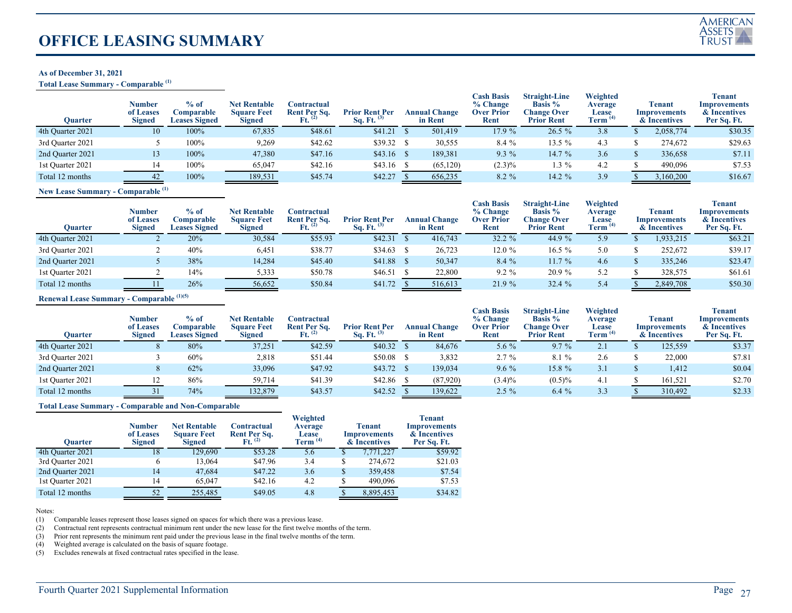### <span id="page-26-0"></span>**OFFICE LEASING SUMMARY**

![](_page_26_Picture_1.jpeg)

#### **As of December 31, 2021**

**Total Lease Summary - Comparable (1)**

| <b>Tenant</b><br><b>Improvements</b><br>& Incentives<br>Per Sq. Ft. | Tenant<br>Improvements<br>& Incentives | Weighted<br>Average<br>Lease<br>Term <sup>(4)</sup> | <b>Straight-Line</b><br><b>Basis</b> %<br><b>Change Over</b><br><b>Prior Rent</b> | <b>Cash Basis</b><br>$% Change$<br><b>Over Prior</b><br>Rent | <b>Annual Change</b><br>in Rent | <b>Prior Rent Per</b><br>Sq. Ft. $(3)$ | <b>Contractual</b><br><b>Rent Per Sq.</b><br>Ft. (2) | <b>Net Rentable</b><br><b>Sauare Feet</b><br><b>Signed</b> | $%$ of<br>C <b>omparable</b><br><b>Leases Signed</b> | <b>Number</b><br>of Leases<br><b>Signed</b> | <b>Ouarter</b>   |
|---------------------------------------------------------------------|----------------------------------------|-----------------------------------------------------|-----------------------------------------------------------------------------------|--------------------------------------------------------------|---------------------------------|----------------------------------------|------------------------------------------------------|------------------------------------------------------------|------------------------------------------------------|---------------------------------------------|------------------|
| \$30.35                                                             | 2,058,774                              | 3.8                                                 | $26.5 \%$                                                                         | 17.9%                                                        | 501,419                         | $$41.21$ \ \$                          | \$48.61                                              | 67,835                                                     | 100%                                                 | 10                                          | 4th Quarter 2021 |
| \$29.63                                                             | 274.672                                | 4.3                                                 | 13.5 %                                                                            | 8.4 %                                                        | 30,555                          | $$39.32$ \$                            | \$42.62                                              | 9,269                                                      | 100%                                                 |                                             | 3rd Quarter 2021 |
| \$7.11                                                              | 336,658                                | 3.6                                                 | 14.7 %                                                                            | $9.3\%$                                                      | 189,381                         | $$43.16$ \ \$                          | \$47.16                                              | 47,380                                                     | 100%                                                 | 13                                          | 2nd Ouarter 2021 |
| \$7.53                                                              | 490,096                                | 4.2                                                 | $1.3\%$                                                                           | $(2.3)\%$                                                    | (65, 120)                       | $$43.16$ \ \$                          | \$42.16                                              | 65,047                                                     | 100%                                                 |                                             | 1st Ouarter 2021 |
| \$16.67                                                             | 3,160,200                              | 3.9                                                 | 14.2 %                                                                            | $8.2 \%$                                                     | 656,235                         | \$42.27                                | \$45.74                                              | 189,531                                                    | 100%                                                 | 42                                          | Total 12 months  |
|                                                                     |                                        |                                                     |                                                                                   |                                                              |                                 |                                        |                                                      |                                                            |                                                      |                                             |                  |

#### **New Lease Summary - Comparable (1)**

| <b>Ouarter</b>   | <b>Number</b><br>of Leases<br><b>Signed</b> | $%$ of<br><b>Comparable</b><br><b>Leases Signed</b> | <b>Net Rentable</b><br><b>Square Feet</b><br><b>Signed</b> | <b>Contractual</b><br><b>Rent Per Sq.</b><br>Ft. (2) | <b>Prior Rent Per</b><br>Sq. Ft. $(3)$ | <b>Annual Change</b><br>in Rent | <b>Cash Basis</b><br>% Change<br><b>Over Prior</b><br>Rent | <b>Straight-Line</b><br><b>Basis</b> %<br><b>Change Over</b><br><b>Prior Rent</b> | Weighted<br><b>Average</b><br>Lease<br>Term $(4)$ | Tenant<br>Improvements<br>& Incentives | <b>Tenant</b><br><b>Improvements</b><br>& Incentives<br>Per Sq. Ft. |
|------------------|---------------------------------------------|-----------------------------------------------------|------------------------------------------------------------|------------------------------------------------------|----------------------------------------|---------------------------------|------------------------------------------------------------|-----------------------------------------------------------------------------------|---------------------------------------------------|----------------------------------------|---------------------------------------------------------------------|
| 4th Quarter 2021 |                                             | 20%                                                 | 30,584                                                     | \$55.93                                              | \$42.31                                | 416,743                         | 32.2 %                                                     | 44.9 %                                                                            | 5.9                                               | 933,215                                | \$63.21                                                             |
| 3rd Ouarter 2021 |                                             | 40%                                                 | 6,451                                                      | \$38.77                                              | $$34.63$ \$                            | 26,723                          | $12.0 \%$                                                  | $16.5 \%$                                                                         | 5.0                                               | 252,672                                | \$39.17                                                             |
| 2nd Quarter 2021 |                                             | 38%                                                 | 14,284                                                     | \$45.40                                              | \$41.88                                | 50,347                          | $8.4\%$                                                    | 11.7%                                                                             | 4.6                                               | 335,246                                | \$23.47                                                             |
| 1st Ouarter 2021 |                                             | 14%                                                 | 5,333                                                      | \$50.78                                              | \$46.51                                | 22.800                          | $9.2\%$                                                    | 20.9%                                                                             | 5.2                                               | 328,575                                | \$61.61                                                             |
| Total 12 months  |                                             | 26%                                                 | 56,652                                                     | \$50.84                                              | \$41.72                                | 516,613                         | 21.9%                                                      | 32.4 %                                                                            | 5.4                                               | 2,849,708                              | \$50.30                                                             |

**Renewal Lease Summary - Comparable (1)(5)**

| <b>Ouarter</b>   | <b>Number</b><br>of Leases<br><b>Signed</b> | $%$ of<br><b>Comparable</b><br><b>Leases Signed</b> | <b>Net Rentable</b><br><b>Square Feet</b><br>Signed | <b>Contractual</b><br>Rent Per Sq.<br>Ft. (2) | <b>Prior Rent Per</b><br>Sq. Ft. $(3)$ | <b>Annual Change</b><br>in Rent | <b>Cash Basis</b><br>$% Change$<br><b>Over Prior</b><br>Rent | <b>Straight-Line</b><br><b>Basis</b> %<br><b>Change Over</b><br><b>Prior Rent</b> | Weighted<br>Average<br>Lease<br>Term $(4)$ | Tenant<br><b>Improvements</b><br>& Incentives | <b>Tenant</b><br><b>Improvements</b><br>& Incentives<br>Per Sq. Ft. |
|------------------|---------------------------------------------|-----------------------------------------------------|-----------------------------------------------------|-----------------------------------------------|----------------------------------------|---------------------------------|--------------------------------------------------------------|-----------------------------------------------------------------------------------|--------------------------------------------|-----------------------------------------------|---------------------------------------------------------------------|
| 4th Quarter 2021 |                                             | 80%                                                 | 37,251                                              | \$42.59                                       | \$40.32                                | 84,676                          | 5.6 $%$                                                      | $9.7\%$                                                                           | $\mathcal{L}$ . 1                          | 125,559                                       | \$3.37                                                              |
| 3rd Ouarter 2021 |                                             | 60%                                                 | 2,818                                               | \$51.44                                       | $$50.08$ \ \$                          | 3,832                           | $2.7\%$                                                      | $8.1\%$                                                                           | 2.6                                        | 22,000                                        | \$7.81                                                              |
| 2nd Quarter 2021 |                                             | 62%                                                 | 33,096                                              | \$47.92                                       | $$43.72$ \ \$                          | 139,034                         | $9.6\%$                                                      | 15.8 %                                                                            | .                                          | 1,412                                         | \$0.04                                                              |
| 1st Ouarter 2021 |                                             | 86%                                                 | 59,714                                              | \$41.39                                       |                                        | (87,920)                        | $(3.4)\%$                                                    | $(0.5)\%$                                                                         | 4.1                                        | 161,521                                       | \$2.70                                                              |
| Total 12 months  |                                             | 74%                                                 | 132,879                                             | \$43.57                                       | \$42.52                                | 139,622                         | $2.5 \%$                                                     | $6.4\%$                                                                           | 3.3                                        | 310,492                                       | \$2.33                                                              |

**Total Lease Summary - Comparable and Non-Comparable**

| <b>Ouarter</b>   | <b>Number</b><br>of Leases<br><b>Signed</b> | <b>Net Rentable</b><br><b>Square Feet</b><br><b>Signed</b> | Contractual<br><b>Rent Per Sq.</b><br>$Ft.$ <sup>(2)</sup> | Weighted<br>Average<br><b>Lease</b><br>$Term^{(4)}$ |    | <b>Tenant</b><br><b>Improvements</b><br>& Incentives | <b>Tenant</b><br><b>Improvements</b><br>& Incentives<br>Per Sq. Ft. |
|------------------|---------------------------------------------|------------------------------------------------------------|------------------------------------------------------------|-----------------------------------------------------|----|------------------------------------------------------|---------------------------------------------------------------------|
| 4th Quarter 2021 | 18                                          | 129.690                                                    | \$53.28                                                    | 5.6                                                 |    | 7.771.227                                            | \$59.92                                                             |
| 3rd Ouarter 2021 | 6                                           | 13.064                                                     | \$47.96                                                    | 3.4                                                 | \$ | 274.672                                              | \$21.03                                                             |
| 2nd Quarter 2021 | 14                                          | 47.684                                                     | \$47.22                                                    | 3.6                                                 | S  | 359.458                                              | \$7.54                                                              |
| 1st Quarter 2021 | 14                                          | 65,047                                                     | \$42.16                                                    | 4.2                                                 |    | 490.096                                              | \$7.53                                                              |
| Total 12 months  | 52                                          | 255,485                                                    | \$49.05                                                    | 4.8                                                 |    | 8,895,453                                            | \$34.82                                                             |

Notes:

(1) Comparable leases represent those leases signed on spaces for which there was a previous lease.

(2) Contractual rent represents contractual minimum rent under the new lease for the first twelve months of the term.

Prior rent represents the minimum rent paid under the previous lease in the final twelve months of the term.

(4) Weighted average is calculated on the basis of square footage.

(5) Excludes renewals at fixed contractual rates specified in the lease.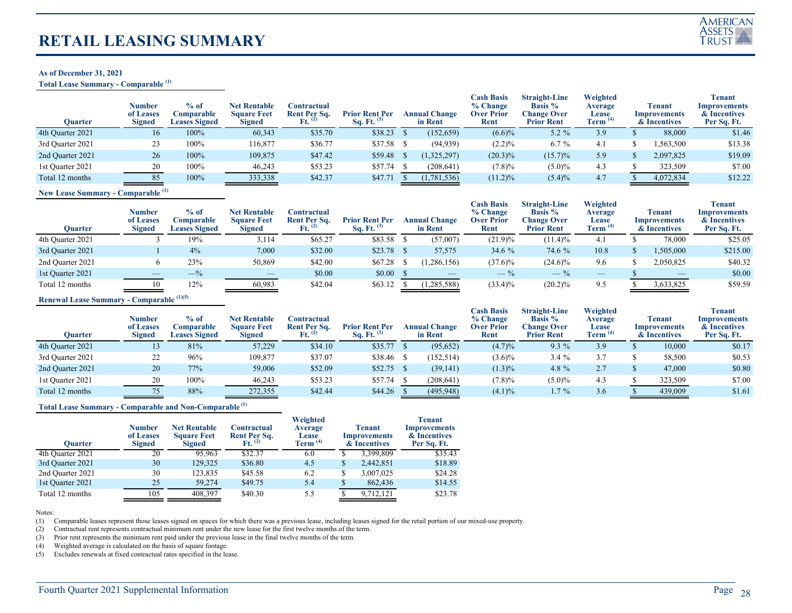### <span id="page-27-0"></span>**RETAIL LEASING SUMMARY**

![](_page_27_Picture_1.jpeg)

#### **As of December 31, 2021**

**Total Lease Summary - Comparable (1)**

| <b>Ouarter</b>   | <b>Number</b><br>of Leases<br><b>Signed</b> | $%$ of<br>Comparable<br><b>Leases Signed</b> | <b>Net Rentable</b><br><b>Square Feet</b><br><b>Signed</b> | <b>Contractual</b><br><b>Rent Per Sq.</b><br>Ft. $(4)$ | <b>Prior Rent Per</b><br>Sq. Ft. $(3)$ | <b>Annual Change</b><br>in Rent | <b>Cash Basis</b><br>$% Change$<br><b>Over Prior</b><br>Rent | <b>Straight-Line</b><br><b>Basis</b> %<br><b>Change Over</b><br><b>Prior Rent</b> | Weighted<br>Average<br>Lease<br>Term <sup>(4)</sup> | <b>Tenant</b><br><b>Improvements</b><br>& Incentives | <b>Tenant</b><br><b>Improvements</b><br>& Incentives<br>Per Sq. Ft. |
|------------------|---------------------------------------------|----------------------------------------------|------------------------------------------------------------|--------------------------------------------------------|----------------------------------------|---------------------------------|--------------------------------------------------------------|-----------------------------------------------------------------------------------|-----------------------------------------------------|------------------------------------------------------|---------------------------------------------------------------------|
| 4th Quarter 2021 | 16.                                         | 100%                                         | 60,343                                                     | \$35.70                                                | \$38.23                                | (152, 659)                      | $(6.6)\%$                                                    | $5.2 \%$                                                                          | 3.9                                                 | 88,000                                               | \$1.46                                                              |
| 3rd Ouarter 2021 | 23                                          | 100%                                         | 116,877                                                    | \$36.77                                                | $$37.58$ \, \$                         | (94, 939)                       | $(2.2)\%$                                                    | $6.7\%$                                                                           | 4.1                                                 | 1,563,500                                            | \$13.38                                                             |
| 2nd Quarter 2021 | 26                                          | 100%                                         | 109,875                                                    | \$47.42                                                | \$59.48                                | 1,325,297                       | $(20.3)\%$                                                   | $(15.7)\%$                                                                        | 5.9                                                 | 2,097,825                                            | \$19.09                                                             |
| 1st Ouarter 2021 | 20                                          | 100%                                         | 46,243                                                     | \$53.23                                                | \$57.74                                | (208, 641)                      | $(7.8)\%$                                                    | $(5.0)\%$                                                                         | 4.3                                                 | 323,509                                              | \$7.00                                                              |
| Total 12 months  | 85                                          | 100%                                         | 333,338                                                    | \$42.37                                                | \$47.71                                | 1,781,536)                      | $(11.2)\%$                                                   | $(5.4)\%$                                                                         | 4.7                                                 | 4,072,834                                            | \$12.22                                                             |

#### **New Lease Summary - Comparable (1)**

| <b>Ouarter</b>   | <b>Number</b><br>of Leases<br><b>Signed</b> | $%$ of<br><b>Comparable</b><br><b>Leases Signed</b> | <b>Net Rentable</b><br><b>Square Feet</b><br>Signed | <b>Contractual</b><br><b>Rent Per Sq.</b><br>$Ft.$ <sup>(2)</sup> | <b>Prior Rent Per</b><br>Sq. Ft. $(3)$ | Annual Change<br>in Rent | <b>Cash Basis</b><br>$%$ Change<br><b>Over Prior</b><br>Rent | <b>Straight-Line</b><br><b>Basis</b> %<br>Change Over<br><b>Prior Rent</b> | Weighted<br>Average<br>Lease<br>$Term^{(4)}$ | Tenant<br><b>Improvements</b><br>& Incentives | <b>Tenant</b><br><b>Improvements</b><br>& Incentives<br>Per Sq. Ft. |
|------------------|---------------------------------------------|-----------------------------------------------------|-----------------------------------------------------|-------------------------------------------------------------------|----------------------------------------|--------------------------|--------------------------------------------------------------|----------------------------------------------------------------------------|----------------------------------------------|-----------------------------------------------|---------------------------------------------------------------------|
| 4th Quarter 2021 |                                             | 19%                                                 | 3,114                                               | \$65.27                                                           | \$83.58                                | (57,007)                 | $(21.9)\%$                                                   | $(11.4)\%$                                                                 | 4.1                                          | 78,000                                        | \$25.05                                                             |
| 3rd Ouarter 2021 |                                             | 4%                                                  | 7,000                                               | \$32.00                                                           | \$23.78                                | 57,575                   | 34.6 %                                                       | 74.6 %                                                                     | 10.8                                         | .505,000                                      | \$215.00                                                            |
| 2nd Ouarter 2021 |                                             | 23%                                                 | 50,869                                              | \$42.00                                                           | \$67.28                                | 1,286,156)               | $(37.6)\%$                                                   | $(24.6)\%$                                                                 | 9.6                                          | 2,050,825                                     | \$40.32                                                             |
| 1st Quarter 2021 |                                             | $-$ %                                               | $\overline{\phantom{0}}$                            | \$0.00                                                            | \$0.00                                 |                          | $- \frac{9}{6}$                                              | $-$ %                                                                      |                                              |                                               | \$0.00                                                              |
| Total 12 months  |                                             | 12%                                                 | 60,983                                              | \$42.04                                                           | \$63.12                                | (1, 285, 588)            | $(33.4)\%$                                                   | (20.2)%                                                                    | 9.5                                          | 3,633,825                                     | \$59.59                                                             |

**Renewal Lease Summary - Comparable (1)(5)**

| <b>Ouarter</b>   | <b>Number</b><br>of Leases<br><b>Signed</b> | $%$ of<br><b>Comparable</b><br><b>Leases Signed</b> | <b>Net Rentable</b><br><b>Square Feet</b><br>Signed | <b>Contractual</b><br><b>Rent Per Sq.</b><br>Ft. $(2)$ | <b>Prior Rent Per</b><br>Sq. Ft. $(3)$ | <b>Annual Change</b><br>in Rent | <b>Cash Basis</b><br>$% Change$<br><b>Over Prior</b><br>Rent | <b>Straight-Line</b><br><b>Basis</b> %<br><b>Change Over</b><br><b>Prior Rent</b> | Weighted<br>Average<br>Lease<br>Term $(4)$ | <b>Tenant</b><br><b>Improvements</b><br>& Incentives | <b>Tenant</b><br>Improvements<br>& Incentives<br>Per Sq. Ft. |
|------------------|---------------------------------------------|-----------------------------------------------------|-----------------------------------------------------|--------------------------------------------------------|----------------------------------------|---------------------------------|--------------------------------------------------------------|-----------------------------------------------------------------------------------|--------------------------------------------|------------------------------------------------------|--------------------------------------------------------------|
| 4th Quarter 2021 | 13                                          | 81%                                                 | 57,229                                              | \$34.10                                                | \$35.77                                | (95,652)                        | $(4.7)\%$                                                    | $9.3\%$                                                                           | 3.9                                        | 10,000                                               | \$0.17                                                       |
| 3rd Ouarter 2021 | 22                                          | 96%                                                 | 109,877                                             | \$37.07                                                | \$38.46                                | (152, 514)                      | $(3.6)\%$                                                    | $3.4\%$                                                                           |                                            | 58,500                                               | \$0.53                                                       |
| 2nd Quarter 2021 | 20                                          | 77%                                                 | 59,006                                              | \$52.09                                                | \$52.75                                | (39, 141)                       | $(1.3)\%$                                                    | 4.8 %                                                                             |                                            | 47,000                                               | \$0.80                                                       |
| 1st Ouarter 2021 | 20                                          | 100%                                                | 46,243                                              | \$53.23                                                | \$57.74                                | (208, 641)                      | $(7.8)\%$                                                    | $(5.0)\%$                                                                         | 4.3                                        | 323,509                                              | \$7.00                                                       |
| Total 12 months  |                                             | 88%                                                 | 272,355                                             | \$42.44                                                | \$44.26                                | (495, 948)                      | $(4.1)\%$                                                    | $1.7\%$                                                                           | 3.6                                        | 439,009                                              | \$1.61                                                       |

#### **Total Lease Summary - Comparable and Non-Comparable (1)**

| <b>Ouarter</b>   | <b>Number</b><br>of Leases<br><b>Signed</b> | <b>Net Rentable</b><br><b>Square Feet</b><br>Signed | <b>Contractual</b><br>Rent Per Sq. $Ft^{(2)}$ | Weighted<br>Average<br><b>Lease</b><br>Term $(4)$ | <b>Tenant</b><br><b>Improvements</b><br>& Incentives | <b>Tenant</b><br><b>Improvements</b><br>& Incentives<br>Per Sq. Ft. |
|------------------|---------------------------------------------|-----------------------------------------------------|-----------------------------------------------|---------------------------------------------------|------------------------------------------------------|---------------------------------------------------------------------|
| 4th Quarter 2021 | 20                                          | 95.963                                              | \$32.37                                       | 6.0                                               | 3.399.809                                            | \$35.43                                                             |
| 3rd Ouarter 2021 | 30                                          | 129.325                                             | \$36.80                                       | 4.5                                               | \$<br>2,442,851                                      | \$18.89                                                             |
| 2nd Quarter 2021 | 30                                          | 123,835                                             | \$45.58                                       | 6.2                                               | \$<br>3,007,025                                      | \$24.28                                                             |
| 1st Quarter 2021 | 25                                          | 59,274                                              | \$49.75                                       | 5.4                                               | 862,436                                              | \$14.55                                                             |
| Total 12 months  | 105                                         | 408.397                                             | \$40.30                                       | 5.5                                               | 9,712,121                                            | \$23.78                                                             |

#### Notes:

(1) Comparable leases represent those leases signed on spaces for which there was a previous lease, including leases signed for the retail portion of our mixed-use property.

(2) Contractual rent represents contractual minimum rent under the new lease for the first twelve months of the term.

Prior rent represents the minimum rent paid under the previous lease in the final twelve months of the term.

(4) Weighted average is calculated on the basis of square footage.

(5) Excludes renewals at fixed contractual rates specified in the lease.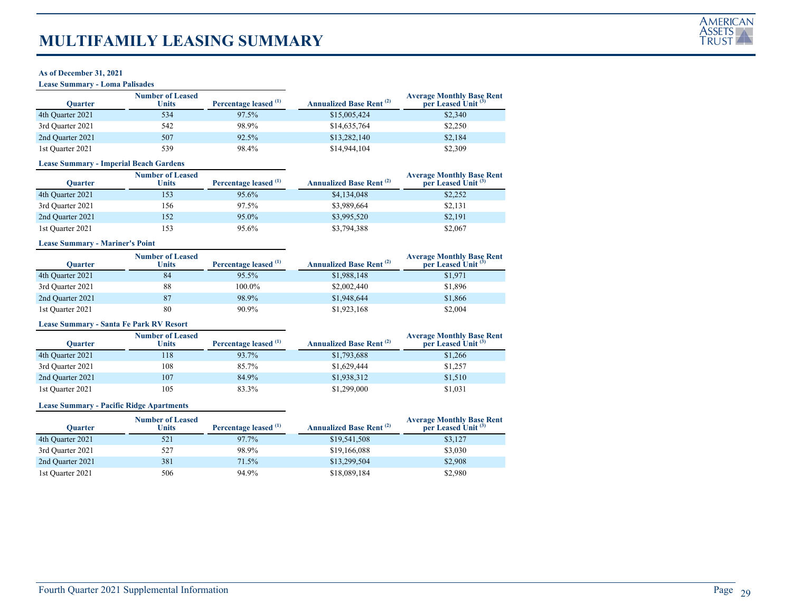![](_page_28_Picture_1.jpeg)

#### <span id="page-28-0"></span>**Lease Summary - Loma Palisades**

| <b>Ouarter</b>   | <b>Number of Leased</b><br>Units | Percentage leased <sup>(1)</sup> | <b>Annualized Base Rent (2)</b> | <b>Average Monthly Base Rent</b><br>per Leased Unit <sup>(3)</sup> |
|------------------|----------------------------------|----------------------------------|---------------------------------|--------------------------------------------------------------------|
| 4th Quarter 2021 | 534                              | 97.5%                            | \$15,005,424                    | \$2,340                                                            |
| 3rd Quarter 2021 | 542                              | 98.9%                            | \$14,635,764                    | \$2,250                                                            |
| 2nd Quarter 2021 | 507                              | 92.5%                            | \$13,282,140                    | \$2,184                                                            |
| 1st Ouarter 2021 | 539                              | 98.4%                            | \$14,944,104                    | \$2,309                                                            |

#### **Lease Summary - Imperial Beach Gardens**

| <b>Ouarter</b>   | <b>Number of Leased</b><br>Units | Percentage leased <sup>(1)</sup> | <b>Annualized Base Rent (2)</b> | <b>Average Monthly Base Rent</b><br>per Leased Unit <sup>(3)</sup> |
|------------------|----------------------------------|----------------------------------|---------------------------------|--------------------------------------------------------------------|
| 4th Ouarter 2021 | 153                              | 95.6%                            | \$4,134,048                     | \$2,252                                                            |
| 3rd Quarter 2021 | 156                              | 97.5%                            | \$3,989,664                     | \$2,131                                                            |
| 2nd Ouarter 2021 | 152                              | 95.0%                            | \$3,995,520                     | \$2,191                                                            |
| 1st Quarter 2021 |                                  | 95.6%                            | \$3,794,388                     | \$2,067                                                            |

#### **Lease Summary - Mariner's Point**

| <b>Ouarter</b>   | <b>Number of Leased</b><br>Units | Percentage leased <sup>(1)</sup> | <b>Annualized Base Rent (2)</b> | <b>Average Monthly Base Rent</b><br>per Leased Unit <sup>(3)</sup> |
|------------------|----------------------------------|----------------------------------|---------------------------------|--------------------------------------------------------------------|
| 4th Quarter 2021 | 84                               | 95.5%                            | \$1,988,148                     | \$1,971                                                            |
| 3rd Ouarter 2021 | 88                               | 100.0%                           | \$2,002,440                     | \$1,896                                                            |
| 2nd Quarter 2021 | 87                               | 98.9%                            | \$1,948,644                     | \$1,866                                                            |
| 1st Ouarter 2021 | 80                               | $90.9\%$                         | \$1,923,168                     | \$2,004                                                            |

#### **Lease Summary - Santa Fe Park RV Resort**

| <b>Ouarter</b>   | <b>Number of Leased</b><br>Units | Percentage leased <sup>(1)</sup> | <b>Annualized Base Rent (2)</b> | <b>Average Monthly Base Rent</b><br>per Leased Unit <sup>(3)</sup> |
|------------------|----------------------------------|----------------------------------|---------------------------------|--------------------------------------------------------------------|
| 4th Quarter 2021 | 18                               | 93.7%                            | \$1,793,688                     | \$1,266                                                            |
| 3rd Ouarter 2021 | 108                              | 85.7%                            | \$1,629,444                     | \$1,257                                                            |
| 2nd Quarter 2021 | 107                              | 84.9%                            | \$1,938,312                     | \$1,510                                                            |
| 1st Ouarter 2021 | 105                              | 83.3%                            | \$1,299,000                     | \$1,031                                                            |

#### **Lease Summary - Pacific Ridge Apartments**

| <b>Ouarter</b>   | <b>Number of Leased</b><br>Units | Percentage leased <sup>(1)</sup> | <b>Annualized Base Rent (2)</b> | <b>Average Monthly Base Rent</b><br>per Leased Unit <sup>(3)</sup> |
|------------------|----------------------------------|----------------------------------|---------------------------------|--------------------------------------------------------------------|
| 4th Ouarter 2021 | 521                              | 97.7%                            | \$19,541,508                    | \$3,127                                                            |
| 3rd Ouarter 2021 | 527                              | 98.9%                            | \$19,166,088                    | \$3,030                                                            |
| 2nd Quarter 2021 | 381                              | 71.5%                            | \$13,299,504                    | \$2,908                                                            |
| 1st Ouarter 2021 | 506                              | 94.9%                            | \$18,089,184                    | \$2,980                                                            |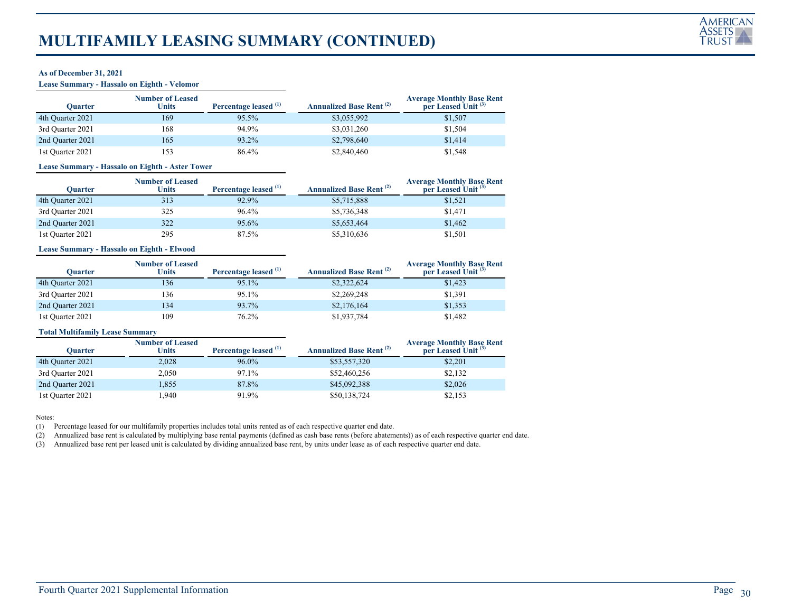![](_page_29_Picture_1.jpeg)

#### **Lease Summary - Hassalo on Eighth - Velomor**

| <b>Ouarter</b>   | <b>Number of Leased</b><br>Units | Percentage leased <sup>(1)</sup> | <b>Annualized Base Rent (2)</b> | <b>Average Monthly Base Rent</b><br>per Leased Unit <sup>(3)</sup> |
|------------------|----------------------------------|----------------------------------|---------------------------------|--------------------------------------------------------------------|
| 4th Quarter 2021 | 169                              | 95.5%                            | \$3,055,992                     | \$1,507                                                            |
| 3rd Quarter 2021 | 168                              | 94.9%                            | \$3,031,260                     | \$1,504                                                            |
| 2nd Quarter 2021 | 165                              | 93.2%                            | \$2,798,640                     | \$1,414                                                            |
| 1st Ouarter 2021 | 153                              | 86.4%                            | \$2,840,460                     | \$1,548                                                            |

#### **Lease Summary - Hassalo on Eighth - Aster Tower**

| <b>Ouarter</b>   | <b>Number of Leased</b><br>Units | Percentage leased <sup>(1)</sup> | <b>Annualized Base Rent (2)</b> | <b>Average Monthly Base Rent</b><br>per Leased Unit <sup>(3)</sup> |
|------------------|----------------------------------|----------------------------------|---------------------------------|--------------------------------------------------------------------|
| 4th Quarter 2021 | 313                              | 92.9%                            | \$5,715,888                     | \$1,521                                                            |
| 3rd Ouarter 2021 | 325                              | 96.4%                            | \$5,736,348                     | \$1,471                                                            |
| 2nd Quarter 2021 | 322                              | 95.6%                            | \$5,653,464                     | \$1,462                                                            |
| 1st Quarter 2021 | 295                              | 87.5%                            | \$5,310,636                     | \$1,501                                                            |

#### **Lease Summary - Hassalo on Eighth - Elwood**

| <b>Ouarter</b>   | <b>Number of Leased</b><br>Units | Percentage leased <sup>(1)</sup> | <b>Annualized Base Rent (2)</b> | <b>Average Monthly Base Rent</b><br>per Leased Unit <sup>(3)</sup> |
|------------------|----------------------------------|----------------------------------|---------------------------------|--------------------------------------------------------------------|
| 4th Quarter 2021 | 136                              | 95.1%                            | \$2,322,624                     | \$1,423                                                            |
| 3rd Ouarter 2021 | 136                              | 95.1%                            | \$2,269,248                     | \$1,391                                                            |
| 2nd Quarter 2021 | 134                              | 93.7%                            | \$2,176,164                     | \$1,353                                                            |
| 1st Ouarter 2021 | 109                              | 76.2%                            | \$1,937,784                     | \$1,482                                                            |

#### **Total Multifamily Lease Summary**

| Ouarter          | <b>Number of Leased</b><br>Units | Percentage leased <sup>(1)</sup> | <b>Annualized Base Rent (2)</b> | <b>Average Monthly Base Rent</b><br>per Leased Unit <sup>(3)</sup> |
|------------------|----------------------------------|----------------------------------|---------------------------------|--------------------------------------------------------------------|
| 4th Quarter 2021 | 2,028                            | $96.0\%$                         | \$53,557,320                    | \$2,201                                                            |
| 3rd Ouarter 2021 | 2,050                            | 97.1%                            | \$52,460,256                    | \$2,132                                                            |
| 2nd Quarter 2021 | 1.855                            | 87.8%                            | \$45,092,388                    | \$2,026                                                            |
| 1st Ouarter 2021 | .940                             | 91.9%                            | \$50,138,724                    | \$2,153                                                            |

Notes:

(1) Percentage leased for our multifamily properties includes total units rented as of each respective quarter end date.

(2) Annualized base rent is calculated by multiplying base rental payments (defined as cash base rents (before abatements)) as of each respective quarter end date.

(3) Annualized base rent per leased unit is calculated by dividing annualized base rent, by units under lease as of each respective quarter end date.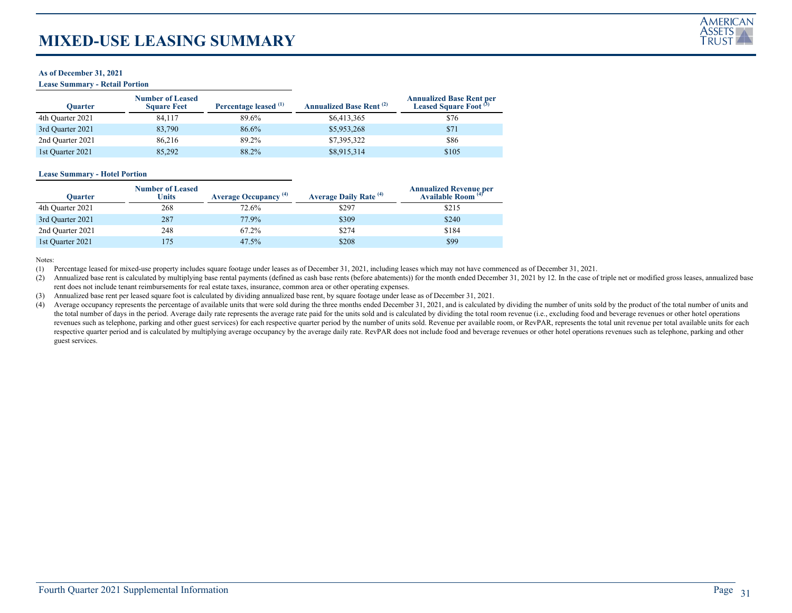![](_page_30_Picture_1.jpeg)

#### <span id="page-30-0"></span>**Lease Summary - Retail Portion**

| Ouarter          | <b>Number of Leased</b><br><b>Square Feet</b> | Percentage leased <sup>(1)</sup> | <b>Annualized Base Rent (2)</b> | <b>Annualized Base Rent per</b><br>Leased Square Foot <sup>(3)</sup> |
|------------------|-----------------------------------------------|----------------------------------|---------------------------------|----------------------------------------------------------------------|
| 4th Ouarter 2021 | 84.117                                        | 89.6%                            | \$6,413,365                     | \$76                                                                 |
| 3rd Quarter 2021 | 83.790                                        | 86.6%                            | \$5,953,268                     | \$71                                                                 |
| 2nd Ouarter 2021 | 86.216                                        | 89.2%                            | \$7,395,322                     | \$86                                                                 |
| 1st Ouarter 2021 | 85.292                                        | 88.2%                            | \$8,915,314                     | \$105                                                                |

#### **Lease Summary - Hotel Portion**

| Ouarter          | <b>Number of Leased</b><br>Units | <b>Average Occupancy</b> <sup>(4)</sup> | <b>Average Daily Rate (4)</b> | <b>Annualized Revenue per</b><br><b>Available Room</b> (4) |
|------------------|----------------------------------|-----------------------------------------|-------------------------------|------------------------------------------------------------|
| 4th Ouarter 2021 | 268                              | 72.6%                                   | \$297                         | \$215                                                      |
| 3rd Quarter 2021 | 287                              | 77.9%                                   | \$309                         | \$240                                                      |
| 2nd Ouarter 2021 | 248                              | 67.2%                                   | \$274                         | \$184                                                      |
| 1st Ouarter 2021 |                                  | 47.5%                                   | \$208                         | \$99                                                       |

Notes:

(1) Percentage leased for mixed-use property includes square footage under leases as of December 31, 2021, including leases which may not have commenced as of December 31, 2021.

(2) Annualized base rent is calculated by multiplying base rental payments (defined as cash base rents (before abatements)) for the month ended December 31, 2021 by 12. In the case of triple net or modified gross leases, a rent does not include tenant reimbursements for real estate taxes, insurance, common area or other operating expenses.

(3) Annualized base rent per leased square foot is calculated by dividing annualized base rent, by square footage under lease as of December 31, 2021.

(4) Average occupancy represents the percentage of available units that were sold during the three months ended December 31, 2021, and is calculated by dividing the number of units sold by the product of the total number o the total number of days in the period. Average daily rate represents the average rate paid for the units sold and is calculated by dividing the total room revenue (i.e., excluding food and beverage revenues or other hotel revenues such as telephone, parking and other guest services) for each respective quarter period by the number of units sold. Revenue per available room, or RevPAR, represents the total unit revenue per total available uni respective quarter period and is calculated by multiplying average occupancy by the average daily rate. RevPAR does not include food and beverage revenues or other hotel operations revenues such as telephone, parking and o guest services.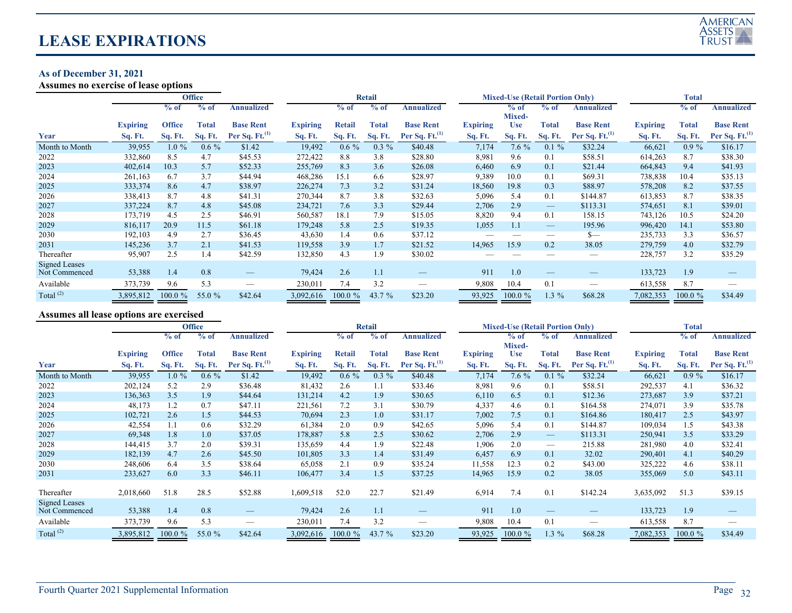### <span id="page-31-0"></span>**LEASE EXPIRATIONS**

![](_page_31_Picture_1.jpeg)

#### **As of December 31, 2021**

**Assumes no exercise of lease options**

|                                       |                 |               | <b>Office</b> |                   |                 |               | <b>Retail</b> |                          | <b>Mixed-Use (Retail Portion Only)</b> |                      |                                 |                          | <b>Total</b>    |              |                      |  |
|---------------------------------------|-----------------|---------------|---------------|-------------------|-----------------|---------------|---------------|--------------------------|----------------------------------------|----------------------|---------------------------------|--------------------------|-----------------|--------------|----------------------|--|
|                                       |                 | $%$ of        | $%$ of        | <b>Annualized</b> |                 | $%$ of        | $%$ of        | <b>Annualized</b>        |                                        | $%$ of               | % of                            | <b>Annualized</b>        |                 | $%$ of       | <b>Annualized</b>    |  |
|                                       | <b>Expiring</b> | <b>Office</b> | <b>Total</b>  | <b>Base Rent</b>  | <b>Expiring</b> | <b>Retail</b> | <b>Total</b>  | <b>Base Rent</b>         | <b>Expiring</b>                        | Mixed-<br><b>Use</b> | <b>Total</b>                    | <b>Base Rent</b>         | <b>Expiring</b> | <b>Total</b> | <b>Base Rent</b>     |  |
| Year                                  | Sq. Ft.         | Sq. Ft.       | Sq. Ft.       | Per Sq. Ft. $(1)$ | Sq. Ft.         | Sq. Ft.       | Sq. Ft.       | Per Sq. Ft. $(1)$        | Sq. Ft.                                | Sq. Ft.              | Sq. Ft.                         | Per Sq. Ft. $(1)$        | Sq. Ft.         | Sq. Ft.      | Per Sq. Ft. $^{(1)}$ |  |
| Month to Month                        | 39,955          | $1.0 \%$      | $0.6 \%$      | \$1.42            | 19,492          | $0.6 \%$      | $0.3\%$       | \$40.48                  | 7,174                                  | $7.6\%$              | $0.1 \%$                        | \$32.24                  | 66,621          | $0.9\%$      | \$16.17              |  |
| 2022                                  | 332,860         | 8.5           | 4.7           | \$45.53           | 272,422         | 8.8           | 3.8           | \$28.80                  | 8,981                                  | 9.6                  | 0.1                             | \$58.51                  | 614,263         | 8.7          | \$38.30              |  |
| 2023                                  | 402,614         | 10.3          | 5.7           | \$52.33           | 255,769         | 8.3           | 3.6           | \$26.08                  | 6,460                                  | 6.9                  | 0.1                             | \$21.44                  | 664,843         | 9.4          | \$41.93              |  |
| 2024                                  | 261,163         | 6.7           | 3.7           | \$44.94           | 468,286         | 15.1          | 6.6           | \$28.97                  | 9,389                                  | 10.0                 | 0.1                             | \$69.31                  | 738,838         | 10.4         | \$35.13              |  |
| 2025                                  | 333,374         | 8.6           | 4.7           | \$38.97           | 226,274         | 7.3           | 3.2           | \$31.24                  | 18,560                                 | 19.8                 | 0.3                             | \$88.97                  | 578,208         | 8.2          | \$37.55              |  |
| 2026                                  | 338,413         | 8.7           | 4.8           | \$41.31           | 270,344         | 8.7           | 3.8           | \$32.63                  | 5,096                                  | 5.4                  | 0.1                             | \$144.87                 | 613,853         | 8.7          | \$38.35              |  |
| 2027                                  | 337,224         | 8.7           | 4.8           | \$45.08           | 234,721         | 7.6           | 3.3           | \$29.44                  | 2,706                                  | 2.9                  | $\hspace{0.1mm}-\hspace{0.1mm}$ | \$113.31                 | 574,651         | 8.1          | \$39.01              |  |
| 2028                                  | 173,719         | 4.5           | 2.5           | \$46.91           | 560,587         | 18.1          | 7.9           | \$15.05                  | 8,820                                  | 9.4                  | 0.1                             | 158.15                   | 743,126         | 10.5         | \$24.20              |  |
| 2029                                  | 816,117         | 20.9          | 11.5          | \$61.18           | 179,248         | 5.8           | 2.5           | \$19.35                  | 1,055                                  | 1.1                  | $\overline{\phantom{m}}$        | 195.96                   | 996,420         | 14.1         | \$53.80              |  |
| 2030                                  | 192,103         | 4.9           | 2.7           | \$36.45           | 43,630          | 1.4           | 0.6           | \$37.12                  |                                        | --                   |                                 | $S-$                     | 235,733         | 3.3          | \$36.57              |  |
| 2031                                  | 145,236         | 3.7           | 2.1           | \$41.53           | 119,558         | 3.9           | 1.7           | \$21.52                  | 14,965                                 | 15.9                 | 0.2                             | 38.05                    | 279,759         | 4.0          | \$32.79              |  |
| Thereafter                            | 95,907          | 2.5           | 1.4           | \$42.59           | 132,850         | 4.3           | 1.9           | \$30.02                  |                                        | --                   |                                 | $\overline{\phantom{0}}$ | 228,757         | 3.2          | \$35.29              |  |
| <b>Signed Leases</b><br>Not Commenced | 53,388          | 1.4           | 0.8           |                   | 79,424          | 2.6           | 1.1           | $\overline{\phantom{m}}$ | 911                                    | 1.0                  |                                 |                          | 133,723         | 1.9          |                      |  |
| Available                             | 373,739         | 9.6           | 5.3           |                   | 230,011         | 7.4           | 3.2           | $\hspace{0.05cm}$        | 9,808                                  | 10.4                 | 0.1                             |                          | 613,558         | 8.7          |                      |  |
| Total $^{(2)}$                        | 3,895,812       | 100.0%        | 55.0 %        | \$42.64           | 3,092,616       | $100.0 \%$    | 43.7 %        | \$23.20                  | 93,925                                 | $100.0 \%$           | $1.3\%$                         | \$68.28                  | 7,082,353       | 100.0%       | \$34.49              |  |

#### **Assumes all lease options are exercised**

|                                |                            |                          | <b>Office</b>           |                                        |                            |                          | <b>Mixed-Use (Retail Portion Only)</b><br><b>Retail</b> |                                        |                            |                                 |                          | <b>Total</b>                           |                            |                         |                                       |
|--------------------------------|----------------------------|--------------------------|-------------------------|----------------------------------------|----------------------------|--------------------------|---------------------------------------------------------|----------------------------------------|----------------------------|---------------------------------|--------------------------|----------------------------------------|----------------------------|-------------------------|---------------------------------------|
|                                |                            | $%$ of                   | $%$ of                  | <b>Annualized</b>                      |                            | $%$ of                   | $%$ of                                                  | <b>Annualized</b>                      |                            | $%$ of                          | $%$ of                   | <b>Annualized</b>                      |                            | $%$ of                  | <b>Annualized</b>                     |
| Year                           | <b>Expiring</b><br>Sq. Ft. | <b>Office</b><br>Sq. Ft. | <b>Total</b><br>Sq. Ft. | <b>Base Rent</b><br>Per Sq. $Ft^{(1)}$ | <b>Expiring</b><br>Sq. Ft. | <b>Retail</b><br>Sq. Ft. | <b>Total</b><br>Sq. Ft.                                 | <b>Base Rent</b><br>Per Sq. $Ft^{(1)}$ | <b>Expiring</b><br>Sq. Ft. | Mixed-<br><b>Use</b><br>Sq. Ft. | <b>Total</b><br>Sq. Ft.  | <b>Base Rent</b><br>Per Sq. $Ft^{(1)}$ | <b>Expiring</b><br>Sq. Ft. | <b>Total</b><br>Sq. Ft. | <b>Base Rent</b><br>Per Sq. Ft. $(1)$ |
|                                |                            |                          |                         |                                        |                            |                          |                                                         |                                        |                            |                                 |                          |                                        |                            |                         |                                       |
| Month to Month                 | 39,955                     | $1.0 \%$                 | $0.6 \%$                | \$1.42                                 | 19,492                     | $0.6\%$                  | $0.3 \%$                                                | \$40.48                                | 7,174                      | $7.6\%$                         | $0.1 \%$                 | \$32.24                                | 66,621                     | $0.9\%$                 | \$16.17                               |
| 2022                           | 202,124                    | 5.2                      | 2.9                     | \$36.48                                | 81,432                     | 2.6                      | 1.1                                                     | \$33.46                                | 8,981                      | 9.6                             | 0.1                      | \$58.51                                | 292,537                    | 4.1                     | \$36.32                               |
| 2023                           | 136,363                    | 3.5                      | 1.9                     | \$44.64                                | 131,214                    | 4.2                      | 1.9                                                     | \$30.65                                | 6,110                      | 6.5                             | 0.1                      | \$12.36                                | 273,687                    | 3.9                     | \$37.21                               |
| 2024                           | 48,173                     | 1.2                      | 0.7                     | \$47.11                                | 221,561                    | 7.2                      | 3.1                                                     | \$30.79                                | 4,337                      | 4.6                             | 0.1                      | \$164.58                               | 274,071                    | 3.9                     | \$35.78                               |
| 2025                           | 102,721                    | 2.6                      | 1.5                     | \$44.53                                | 70,694                     | 2.3                      | 1.0                                                     | \$31.17                                | 7,002                      | 7.5                             | 0.1                      | \$164.86                               | 180,417                    | 2.5                     | \$43.97                               |
| 2026                           | 42,554                     | 1.1                      | 0.6                     | \$32.29                                | 61,384                     | 2.0                      | 0.9                                                     | \$42.65                                | 5,096                      | 5.4                             | 0.1                      | \$144.87                               | 109,034                    | 1.5                     | \$43.38                               |
| 2027                           | 69,348                     | 1.8                      | 1.0                     | \$37.05                                | 178,887                    | 5.8                      | 2.5                                                     | \$30.62                                | 2,706                      | 2.9                             | $\qquad \qquad -$        | \$113.31                               | 250,941                    | 3.5                     | \$33.29                               |
| 2028                           | 144,415                    | 3.7                      | 2.0                     | \$39.31                                | 135,659                    | 4.4                      | 1.9                                                     | \$22.48                                | 1,906                      | 2.0                             | $\overline{\phantom{0}}$ | 215.88                                 | 281,980                    | 4.0                     | \$32.41                               |
| 2029                           | 182,139                    | 4.7                      | 2.6                     | \$45.50                                | 101,805                    | 3.3                      | 1.4                                                     | \$31.49                                | 6,457                      | 6.9                             | 0.1                      | 32.02                                  | 290,401                    | 4.1                     | \$40.29                               |
| 2030                           | 248,606                    | 6.4                      | 3.5                     | \$38.64                                | 65,058                     | 2.1                      | 0.9                                                     | \$35.24                                | 11,558                     | 12.3                            | 0.2                      | \$43.00                                | 325,222                    | 4.6                     | \$38.11                               |
| 2031                           | 233,627                    | 6.0                      | 3.3                     | \$46.11                                | 106,477                    | 3.4                      | 1.5                                                     | \$37.25                                | 14,965                     | 15.9                            | 0.2                      | 38.05                                  | 355,069                    | 5.0                     | \$43.11                               |
| Thereafter                     | 2,018,660                  | 51.8                     | 28.5                    | \$52.88                                | 1,609,518                  | 52.0                     | 22.7                                                    | \$21.49                                | 6,914                      | 7.4                             | 0.1                      | \$142.24                               | 3,635,092                  | 51.3                    | \$39.15                               |
| Signed Leases<br>Not Commenced | 53,388                     | 1.4                      | 0.8                     |                                        | 79,424                     | 2.6                      | 1.1                                                     |                                        | 911                        | 1.0                             |                          |                                        | 133,723                    | 1.9                     |                                       |
| Available                      | 373,739                    | 9.6                      | 5.3                     |                                        | 230,011                    | 7.4                      | 3.2                                                     |                                        | 9,808                      | 10.4                            | 0.1                      |                                        | 613,558                    | 8.7                     |                                       |
| Total $^{(2)}$                 | 3,895,812                  | $100.0 \%$               | 55.0 %                  | \$42.64                                | 3,092,616                  | 100.0 %                  | 43.7 %                                                  | \$23.20                                | 93,925                     | 100.0 %                         | $1.3\%$                  | \$68.28                                | 7,082,353                  | 100.0 %                 | \$34.49                               |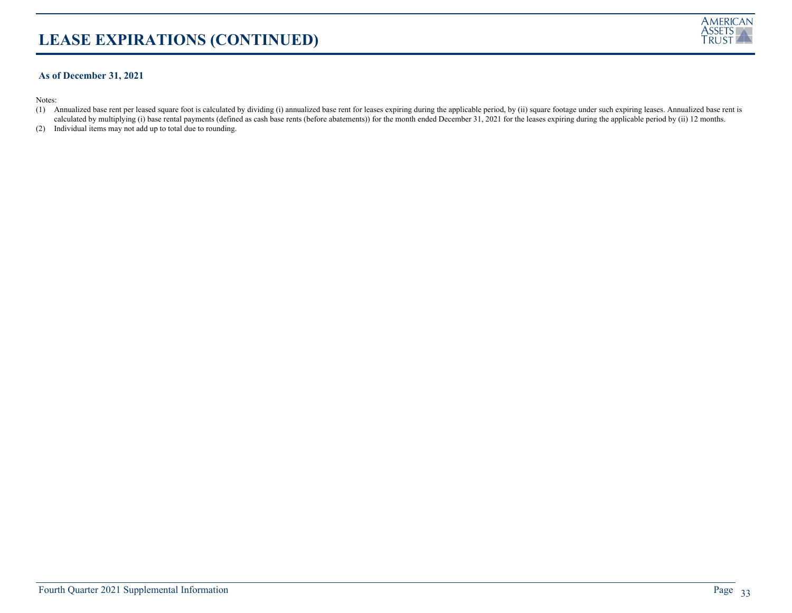Notes:

- (1) Annualized base rent per leased square foot is calculated by dividing (i) annualized base rent for leases expiring during the applicable period, by (ii) square footage under such expiring leases. Annualized base rent is calculated by multiplying (i) base rental payments (defined as cash base rents (before abatements)) for the month ended December 31, 2021 for the leases expiring during the applicable period by (ii) 12 months.
- (2) Individual items may not add up to total due to rounding.

![](_page_32_Picture_7.jpeg)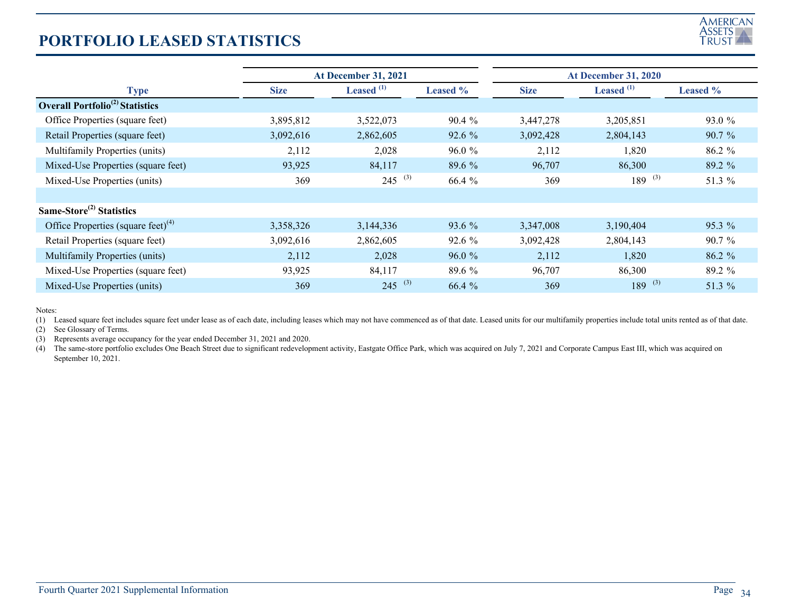### <span id="page-33-0"></span>**PORTFOLIO LEASED STATISTICS**

![](_page_33_Picture_1.jpeg)

|                                                   |             | <b>At December 31, 2021</b> |                 | <b>At December 31, 2020</b> |              |                 |  |  |  |  |
|---------------------------------------------------|-------------|-----------------------------|-----------------|-----------------------------|--------------|-----------------|--|--|--|--|
| <b>Type</b>                                       | <b>Size</b> | Leased $(1)$                | <b>Leased %</b> | <b>Size</b>                 | Leased $(1)$ | <b>Leased</b> % |  |  |  |  |
| <b>Overall Portfolio<sup>(2)</sup> Statistics</b> |             |                             |                 |                             |              |                 |  |  |  |  |
| Office Properties (square feet)                   | 3,895,812   | 3,522,073                   | $90.4 \%$       | 3,447,278                   | 3,205,851    | 93.0 %          |  |  |  |  |
| Retail Properties (square feet)                   | 3,092,616   | 2,862,605                   | 92.6 %          | 3,092,428                   | 2,804,143    | 90.7%           |  |  |  |  |
| Multifamily Properties (units)                    | 2,112       | 2,028                       | 96.0%           | 2,112                       | 1,820        | 86.2 %          |  |  |  |  |
| Mixed-Use Properties (square feet)                | 93,925      | 84,117                      | 89.6 %          | 96,707                      | 86,300       | 89.2 %          |  |  |  |  |
| Mixed-Use Properties (units)                      | 369         | $245^{(3)}$                 | 66.4 %          | 369                         | $189^{(3)}$  | 51.3 %          |  |  |  |  |
|                                                   |             |                             |                 |                             |              |                 |  |  |  |  |
| Same-Store <sup>(2)</sup> Statistics              |             |                             |                 |                             |              |                 |  |  |  |  |
| Office Properties (square feet) <sup>(4)</sup>    | 3,358,326   | 3,144,336                   | 93.6 %          | 3,347,008                   | 3,190,404    | $95.3\%$        |  |  |  |  |
| Retail Properties (square feet)                   | 3,092,616   | 2,862,605                   | $92.6\%$        | 3,092,428                   | 2,804,143    | $90.7 \%$       |  |  |  |  |
| Multifamily Properties (units)                    | 2,112       | 2,028                       | 96.0%           | 2,112                       | 1,820        | 86.2 %          |  |  |  |  |
| Mixed-Use Properties (square feet)                | 93,925      | 84,117                      | 89.6 %          | 96,707                      | 86,300       | 89.2 %          |  |  |  |  |
| Mixed-Use Properties (units)                      | 369         | $245$ <sup>(3)</sup>        | 66.4 %          | 369                         | $189^{(3)}$  | 51.3 %          |  |  |  |  |

Notes:

(1) Leased square feet includes square feet under lease as of each date, including leases which may not have commenced as of that date. Leased units for our multifamily properties include total units rented as of that date.

(2) See Glossary of Terms.

(3) Represents average occupancy for the year ended December 31, 2021 and 2020.

(4) The same-store portfolio excludes One Beach Street due to significant redevelopment activity, Eastgate Office Park, which was acquired on July 7, 2021 and Corporate Campus East III, which was acquired on September 10, 2021.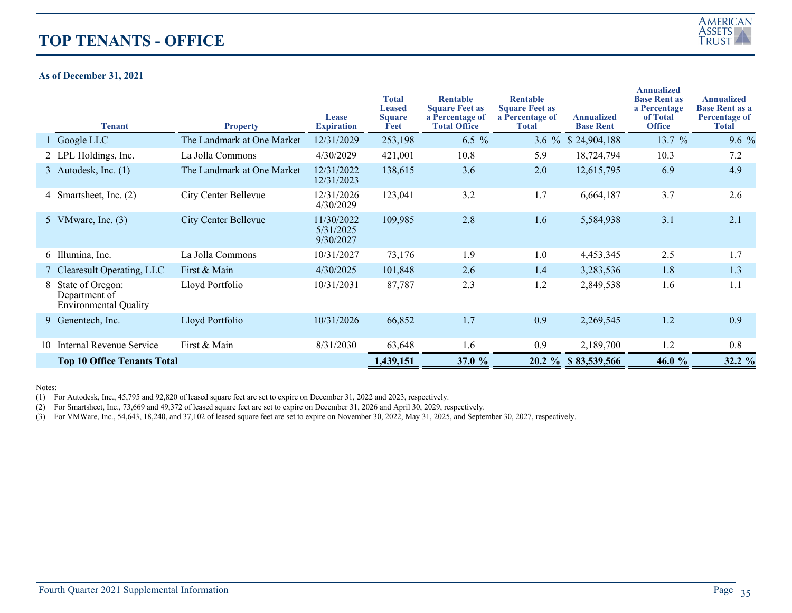### <span id="page-34-0"></span>**TOP TENANTS - OFFICE**

![](_page_34_Picture_1.jpeg)

#### **As of December 31, 2021**

| <b>Tenant</b>                                                       | <b>Property</b>             | <b>Lease</b><br><b>Expiration</b>    | <b>Total</b><br><b>Leased</b><br><b>Square</b><br>Feet | Rentable<br><b>Square Feet as</b><br>a Percentage of<br><b>Total Office</b> | <b>Rentable</b><br><b>Square Feet as</b><br>a Percentage of<br><b>Total</b> | <b>Annualized</b><br><b>Base Rent</b> | <b>Annualized</b><br><b>Base Rent as</b><br>a Percentage<br>of Total<br><b>Office</b> | <b>Annualized</b><br><b>Base Rent as a</b><br><b>Percentage of</b><br><b>Total</b> |
|---------------------------------------------------------------------|-----------------------------|--------------------------------------|--------------------------------------------------------|-----------------------------------------------------------------------------|-----------------------------------------------------------------------------|---------------------------------------|---------------------------------------------------------------------------------------|------------------------------------------------------------------------------------|
| 1 Google LLC                                                        | The Landmark at One Market  | 12/31/2029                           | 253,198                                                | $6.5\%$                                                                     | $3.6\%$                                                                     | \$24,904,188                          | 13.7 %                                                                                | $9.6\%$                                                                            |
| 2 LPL Holdings, Inc.                                                | La Jolla Commons            | 4/30/2029                            | 421,001                                                | 10.8                                                                        | 5.9                                                                         | 18,724,794                            | 10.3                                                                                  | 7.2                                                                                |
| 3 Autodesk, Inc. (1)                                                | The Landmark at One Market  | 12/31/2022<br>12/31/2023             | 138,615                                                | 3.6                                                                         | 2.0                                                                         | 12,615,795                            | 6.9                                                                                   | 4.9                                                                                |
| 4 Smartsheet, Inc. (2)                                              | City Center Bellevue        | 12/31/2026<br>4/30/2029              | 123,041                                                | 3.2                                                                         | 1.7                                                                         | 6,664,187                             | 3.7                                                                                   | 2.6                                                                                |
| 5 VMware, Inc. $(3)$                                                | <b>City Center Bellevue</b> | 11/30/2022<br>5/31/2025<br>9/30/2027 | 109,985                                                | 2.8                                                                         | 1.6                                                                         | 5,584,938                             | 3.1                                                                                   | 2.1                                                                                |
| 6 Illumina, Inc.                                                    | La Jolla Commons            | 10/31/2027                           | 73,176                                                 | 1.9                                                                         | 1.0                                                                         | 4,453,345                             | 2.5                                                                                   | 1.7                                                                                |
| 7 Clearesult Operating, LLC                                         | First & Main                | 4/30/2025                            | 101,848                                                | 2.6                                                                         | 1.4                                                                         | 3,283,536                             | 1.8                                                                                   | 1.3                                                                                |
| 8 State of Oregon:<br>Department of<br><b>Environmental Quality</b> | Lloyd Portfolio             | 10/31/2031                           | 87,787                                                 | 2.3                                                                         | 1.2                                                                         | 2,849,538                             | 1.6                                                                                   | 1.1                                                                                |
| 9 Genentech, Inc.                                                   | Lloyd Portfolio             | 10/31/2026                           | 66,852                                                 | 1.7                                                                         | 0.9                                                                         | 2,269,545                             | 1.2                                                                                   | 0.9                                                                                |
| 10 Internal Revenue Service                                         | First & Main                | 8/31/2030                            | 63,648                                                 | 1.6                                                                         | 0.9                                                                         | 2,189,700                             | 1.2                                                                                   | 0.8                                                                                |
| <b>Top 10 Office Tenants Total</b>                                  |                             |                                      | 1,439,151                                              | 37.0 %                                                                      | $20.2 \%$                                                                   | \$83,539,566                          | 46.0 %                                                                                | 32.2 %                                                                             |

Notes:

(1) For Autodesk, Inc., 45,795 and 92,820 of leased square feet are set to expire on December 31, 2022 and 2023, respectively.

(2) For Smartsheet, Inc., 73,669 and 49,372 of leased square feet are set to expire on December 31, 2026 and April 30, 2029, respectively.

(3) For VMWare, Inc., 54,643, 18,240, and 37,102 of leased square feet are set to expire on November 30, 2022, May 31, 2025, and September 30, 2027, respectively.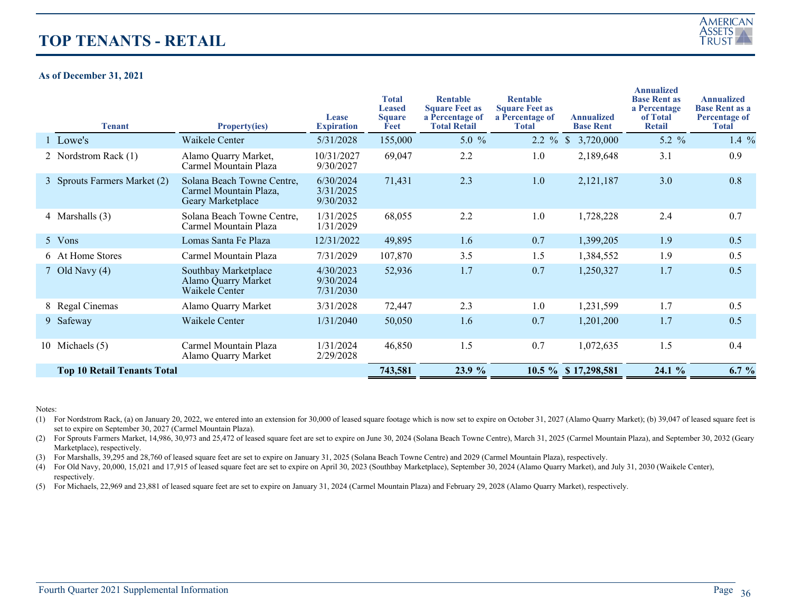### <span id="page-35-0"></span>**TOP TENANTS - RETAIL**

![](_page_35_Picture_1.jpeg)

#### **As of December 31, 2021**

| <b>Tenant</b>                      | <b>Property(ies)</b>                                                      | <b>Lease</b><br><b>Expiration</b>   | <b>Total</b><br><b>Leased</b><br><b>Square</b><br>Feet | Rentable<br><b>Square Feet as</b><br>a Percentage of<br><b>Total Retail</b> | Rentable<br><b>Square Feet as</b><br>a Percentage of<br><b>Total</b> | <b>Annualized</b><br><b>Base Rent</b> | <b>Annualized</b><br><b>Base Rent as</b><br>a Percentage<br>of Total<br><b>Retail</b> | <b>Annualized</b><br><b>Base Rent as a</b><br><b>Percentage of</b><br><b>Total</b> |
|------------------------------------|---------------------------------------------------------------------------|-------------------------------------|--------------------------------------------------------|-----------------------------------------------------------------------------|----------------------------------------------------------------------|---------------------------------------|---------------------------------------------------------------------------------------|------------------------------------------------------------------------------------|
| 1 Lowe's                           | Waikele Center                                                            | 5/31/2028                           | 155,000                                                | 5.0 $%$                                                                     | $2.2 \%$ \$                                                          | 3,720,000                             | 5.2 $%$                                                                               | 1.4 $%$                                                                            |
| 2 Nordstrom Rack (1)               | Alamo Quarry Market,<br>Carmel Mountain Plaza                             | 10/31/2027<br>9/30/2027             | 69,047                                                 | 2.2                                                                         | 1.0                                                                  | 2,189,648                             | 3.1                                                                                   | 0.9                                                                                |
| 3 Sprouts Farmers Market (2)       | Solana Beach Towne Centre,<br>Carmel Mountain Plaza,<br>Geary Marketplace | 6/30/2024<br>3/31/2025<br>9/30/2032 | 71,431                                                 | 2.3                                                                         | 1.0                                                                  | 2,121,187                             | 3.0                                                                                   | 0.8                                                                                |
| 4 Marshalls (3)                    | Solana Beach Towne Centre,<br>Carmel Mountain Plaza                       | 1/31/2025<br>1/31/2029              | 68,055                                                 | 2.2                                                                         | 1.0                                                                  | 1,728,228                             | 2.4                                                                                   | 0.7                                                                                |
| 5 Vons                             | Lomas Santa Fe Plaza                                                      | 12/31/2022                          | 49,895                                                 | 1.6                                                                         | 0.7                                                                  | 1,399,205                             | 1.9                                                                                   | 0.5                                                                                |
| 6 At Home Stores                   | Carmel Mountain Plaza                                                     | 7/31/2029                           | 107,870                                                | 3.5                                                                         | 1.5                                                                  | 1,384,552                             | 1.9                                                                                   | 0.5                                                                                |
| 7 Old Navy $(4)$                   | Southbay Marketplace<br><b>Alamo Quarry Market</b><br>Waikele Center      | 4/30/2023<br>9/30/2024<br>7/31/2030 | 52,936                                                 | 1.7                                                                         | 0.7                                                                  | 1,250,327                             | 1.7                                                                                   | 0.5                                                                                |
| 8 Regal Cinemas                    | Alamo Quarry Market                                                       | 3/31/2028                           | 72,447                                                 | 2.3                                                                         | 1.0                                                                  | 1,231,599                             | 1.7                                                                                   | 0.5                                                                                |
| 9 Safeway                          | Waikele Center                                                            | 1/31/2040                           | 50,050                                                 | 1.6                                                                         | 0.7                                                                  | 1,201,200                             | 1.7                                                                                   | 0.5                                                                                |
| 10 Michaels (5)                    | Carmel Mountain Plaza<br>Alamo Quarry Market                              | 1/31/2024<br>2/29/2028              | 46,850                                                 | 1.5                                                                         | 0.7                                                                  | 1,072,635                             | 1.5                                                                                   | 0.4                                                                                |
| <b>Top 10 Retail Tenants Total</b> |                                                                           |                                     | 743,581                                                | 23.9 %                                                                      | $10.5 \%$                                                            | \$17,298,581                          | 24.1 %                                                                                | $6.7 \%$                                                                           |

Notes:

(1) For Nordstrom Rack, (a) on January 20, 2022, we entered into an extension for 30,000 of leased square footage which is now set to expire on October 31, 2027 (Alamo Quarry Market); (b) 39,047 of leased square feet is set to expire on September 30, 2027 (Carmel Mountain Plaza).

(2) For Sprouts Farmers Market, 14,986, 30,973 and 25,472 of leased square feet are set to expire on June 30, 2024 (Solana Beach Towne Centre), March 31, 2025 (Carmel Mountain Plaza), and September 30, 2032 (Geary Marketplace), respectively.

(3) For Marshalls, 39,295 and 28,760 of leased square feet are set to expire on January 31, 2025 (Solana Beach Towne Centre) and 2029 (Carmel Mountain Plaza), respectively.

(4) For Old Navy, 20,000, 15,021 and 17,915 of leased square feet are set to expire on April 30, 2023 (Southbay Marketplace), September 30, 2024 (Alamo Quarry Market), and July 31, 2030 (Waikele Center), respectively.

(5) For Michaels, 22,969 and 23,881 of leased square feet are set to expire on January 31, 2024 (Carmel Mountain Plaza) and February 29, 2028 (Alamo Quarry Market), respectively.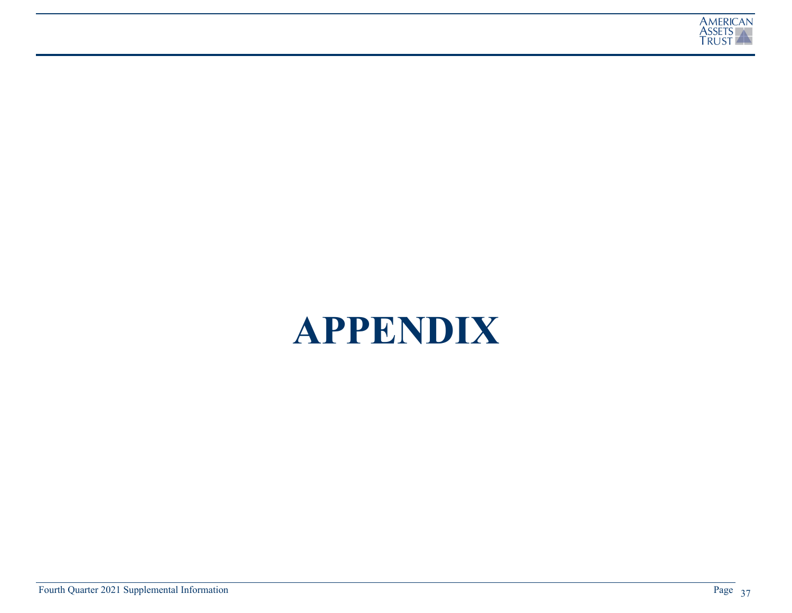![](_page_36_Picture_0.jpeg)

## **APPENDIX**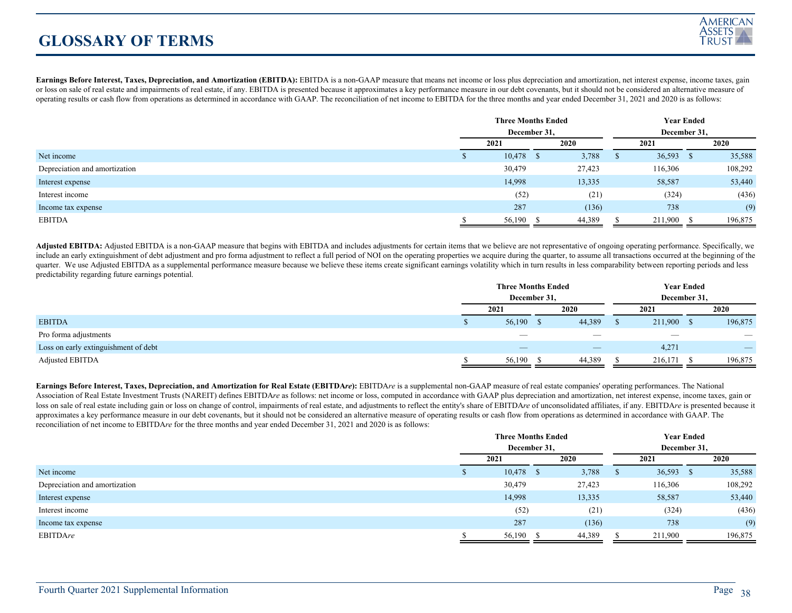### <span id="page-37-0"></span>**GLOSSARY OF TERMS**

Earnings Before Interest, Taxes, Depreciation, and Amortization (EBITDA): EBITDA is a non-GAAP measure that means net income or loss plus depreciation and amortization, net interest expense, income taxes, gain or loss on sale of real estate and impairments of real estate, if any. EBITDA is presented because it approximates a key performance measure in our debt covenants, but it should not be considered an alternative measure of operating results or cash flow from operations as determined in accordance with GAAP. The reconciliation of net income to EBITDA for the three months and year ended December 31, 2021 and 2020 is as follows:

|                               | <b>Three Months Ended</b> |        |  |        |  | <b>Year Ended</b> |  |             |  |
|-------------------------------|---------------------------|--------|--|--------|--|-------------------|--|-------------|--|
|                               | December 31,              |        |  |        |  | December 31,      |  |             |  |
|                               |                           | 2021   |  | 2020   |  | 2021              |  | <b>2020</b> |  |
| Net income                    |                           | 10,478 |  | 3,788  |  | $36,593$ \$       |  | 35,588      |  |
| Depreciation and amortization |                           | 30,479 |  | 27,423 |  | 116,306           |  | 108,292     |  |
| Interest expense              |                           | 14,998 |  | 13,335 |  | 58,587            |  | 53,440      |  |
| Interest income               |                           | (52)   |  | (21)   |  | (324)             |  | (436)       |  |
| Income tax expense            |                           | 287    |  | (136)  |  | 738               |  | (9)         |  |
| <b>EBITDA</b>                 |                           | 56,190 |  | 44,389 |  | 211,900           |  | 196,875     |  |

Adjusted EBITDA: Adjusted EBITDA is a non-GAAP measure that begins with EBITDA and includes adjustments for certain items that we believe are not representative of ongoing operating performance. Specifically, we include an early extinguishment of debt adjustment and pro forma adjustment to reflect a full period of NOI on the operating properties we acquire during the quarter, to assume all transactions occurred at the beginning of quarter. We use Adjusted EBITDA as a supplemental performance measure because we believe these items create significant earnings volatility which in turn results in less comparability between reporting periods and less predictability regarding future earnings potential.

|                                      | <b>Three Months Ended</b> |                          |  |                          |  | <b>Year Ended</b>        |  |                          |
|--------------------------------------|---------------------------|--------------------------|--|--------------------------|--|--------------------------|--|--------------------------|
|                                      | December 31,              |                          |  |                          |  | December 31,             |  |                          |
|                                      |                           | 2021                     |  | 2020                     |  | 2021                     |  | 2020                     |
| <b>EBITDA</b>                        |                           | 56,190 \$                |  | 44,389                   |  | 211,900                  |  | 196,875                  |
| Pro forma adjustments                |                           | $\overline{\phantom{m}}$ |  | $\overline{\phantom{m}}$ |  | $\overline{\phantom{a}}$ |  | $\overline{\phantom{m}}$ |
| Loss on early extinguishment of debt |                           |                          |  |                          |  | 4,271                    |  |                          |
| Adjusted EBITDA                      |                           | 56,190                   |  | 44,389                   |  | 216,171                  |  | 196,875                  |

Earnings Before Interest, Taxes, Depreciation, and Amortization for Real Estate (EBITDAre): EBITDAre is a supplemental non-GAAP measure of real estate companies' operating performances. The National Association of Real Estate Investment Trusts (NAREIT) defines EBITDA*re* as follows: net income or loss, computed in accordance with GAAP plus depreciation and amortization, net interest expense, income taxes, gain or loss on sale of real estate including gain or loss on change of control, impairments of real estate, and adjustments to reflect the entity's share of EBITDAre of unconsolidated affiliates, if any. EBITDAre is presented bec approximates a key performance measure in our debt covenants, but it should not be considered an alternative measure of operating results or cash flow from operations as determined in accordance with GAAP. The reconciliation of net income to EBITDA*re* for the three months and year ended December 31, 2021 and 2020 is as follows:

|                               | <b>Three Months Ended</b> |        |  |        |  | <b>Year Ended</b> |  |             |  |
|-------------------------------|---------------------------|--------|--|--------|--|-------------------|--|-------------|--|
|                               | December 31,              |        |  |        |  | December 31,      |  |             |  |
|                               | 2021                      |        |  | 2020   |  | 2021              |  | <b>2020</b> |  |
| Net income                    |                           | 10,478 |  | 3,788  |  | $36,593$ \$       |  | 35,588      |  |
| Depreciation and amortization |                           | 30,479 |  | 27,423 |  | 116,306           |  | 108,292     |  |
| Interest expense              |                           | 14,998 |  | 13,335 |  | 58,587            |  | 53,440      |  |
| Interest income               |                           | (52)   |  | (21)   |  | (324)             |  | (436)       |  |
| Income tax expense            |                           | 287    |  | (136)  |  | 738               |  | (9)         |  |
| EBITDAre                      |                           | 56,190 |  | 44,389 |  | 211,900           |  | 196,875     |  |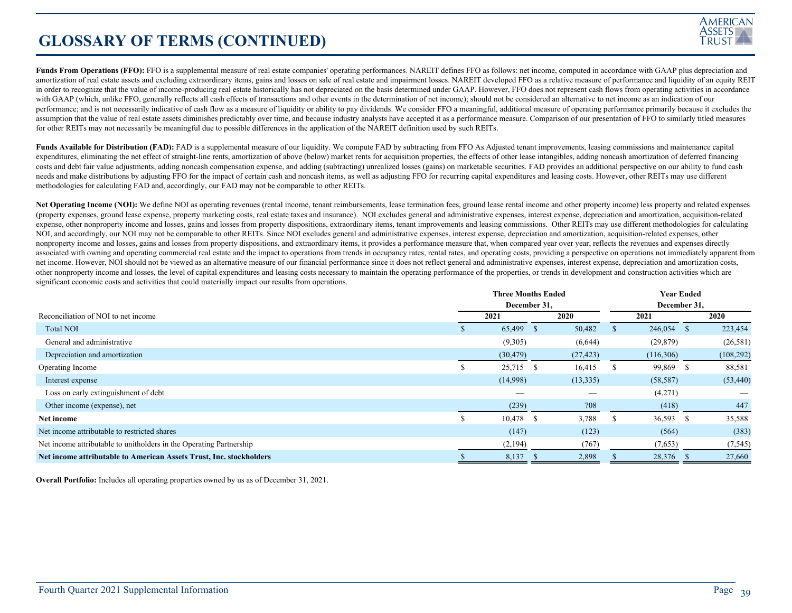![](_page_38_Picture_1.jpeg)

Funds From Operations (FFO): FFO is a supplemental measure of real estate companies' operating performances. NAREIT defines FFO as follows: net income, computed in accordance with GAAP plus depreciation and amortization of real estate assets and excluding extraordinary items, gains and losses on sale of real estate and impairment losses. NAREIT developed FFO as a relative measure of performance and liquidity of an equity REIT in order to recognize that the value of income-producing real estate historically has not depreciated on the basis determined under GAAP. However, FFO does not represent cash flows from operating activities in accordance with GAAP (which, unlike FFO, generally reflects all cash effects of transactions and other events in the determination of net income); should not be considered an alternative to net income as an indication of our performance; and is not necessarily indicative of cash flow as a measure of liquidity or ability to pay dividends. We consider FFO a meaningful, additional measure of operating performance primarily because it excludes the assumption that the value of real estate assets diminishes predictably over time, and because industry analysts have accepted it as a performance measure. Comparison of our presentation of FFO to similarly titled measures for other REITs may not necessarily be meaningful due to possible differences in the application of the NAREIT definition used by such REITs.

Funds Available for Distribution (FAD): FAD is a supplemental measure of our liquidity. We compute FAD by subtracting from FFO As Adjusted tenant improvements, leasing commissions and maintenance capital expenditures, eliminating the net effect of straight-line rents, amortization of above (below) market rents for acquisition properties, the effects of other lease intangibles, adding noncash amortization of deferred financ costs and debt fair value adjustments, adding noncash compensation expense, and adding (subtracting) unrealized losses (gains) on marketable securities. FAD provides an additional perspective on our ability to fund cash needs and make distributions by adjusting FFO for the impact of certain cash and noncash items, as well as adjusting FFO for recurring capital expenditures and leasing costs. However, other REITs may use different methodologies for calculating FAD and, accordingly, our FAD may not be comparable to other REITs.

Net Operating Income (NOI): We define NOI as operating revenues (rental income, tenant reimbursements, lease termination fees, ground lease rental income and other property income) less property and related expenses (property expenses, ground lease expense, property marketing costs, real estate taxes and insurance). NOI excludes general and administrative expenses, interest expense, depreciation and amortization, acquisition-related expense, other nonproperty income and losses, gains and losses from property dispositions, extraordinary items, tenant improvements and leasing commissions. Other REITs may use different methodologies for calculating NOI, and accordingly, our NOI may not be comparable to other REITs. Since NOI excludes general and administrative expenses, interest expense, depreciation and amortization, acquisition-related expenses, other nonproperty income and losses, gains and losses from property dispositions, and extraordinary items, it provides a performance measure that, when compared year over year, reflects the revenues and expenses directly associated with owning and operating commercial real estate and the impact to operations from trends in occupancy rates, rental rates, and operating costs, providing a perspective on operations not immediately apparent fro net income. However, NOI should not be viewed as an alternative measure of our financial performance since it does not reflect general and administrative expenses, interest expense, depreciation and amortization costs, other nonproperty income and losses, the level of capital expenditures and leasing costs necessary to maintain the operating performance of the properties, or trends in development and construction activities which are significant economic costs and activities that could materially impact our results from operations.

| <b>Three Months Ended</b>                                           |     |              |    |           | <b>Year Ended</b> |  |            |  |  |  |
|---------------------------------------------------------------------|-----|--------------|----|-----------|-------------------|--|------------|--|--|--|
|                                                                     |     | December 31, |    |           | December 31,      |  |            |  |  |  |
| Reconciliation of NOI to net income                                 |     | 2021         |    | 2020      | 2021              |  | 2020       |  |  |  |
| <b>Total NOI</b>                                                    |     | 65,499       | -S | 50,482    | 246,054           |  | 223,454    |  |  |  |
| General and administrative                                          |     | (9,305)      |    | (6,644)   | (29, 879)         |  | (26,581)   |  |  |  |
| Depreciation and amortization                                       |     | (30, 479)    |    | (27, 423) | (116,306)         |  | (108, 292) |  |  |  |
| Operating Income                                                    | £.  | 25,715 \$    |    | 16,415    | 99,869 \$         |  | 88,581     |  |  |  |
| Interest expense                                                    |     | (14,998)     |    | (13, 335) | (58, 587)         |  | (53, 440)  |  |  |  |
| Loss on early extinguishment of debt                                |     | _            |    |           | (4,271)           |  |            |  |  |  |
| Other income (expense), net                                         |     | (239)        |    | 708       | (418)             |  | 447        |  |  |  |
| Net income                                                          | \$. | $10,478$ \$  |    | 3,788     | 36,593 \$         |  | 35,588     |  |  |  |
| Net income attributable to restricted shares                        |     | (147)        |    | (123)     | (564)             |  | (383)      |  |  |  |
| Net income attributable to unitholders in the Operating Partnership |     | (2,194)      |    | (767)     | (7,653)           |  | (7, 545)   |  |  |  |
| Net income attributable to American Assets Trust, Inc. stockholders |     | 8,137        |    | 2,898     | 28,376            |  | 27,660     |  |  |  |

**Overall Portfolio:** Includes all operating properties owned by us as of December 31, 2021.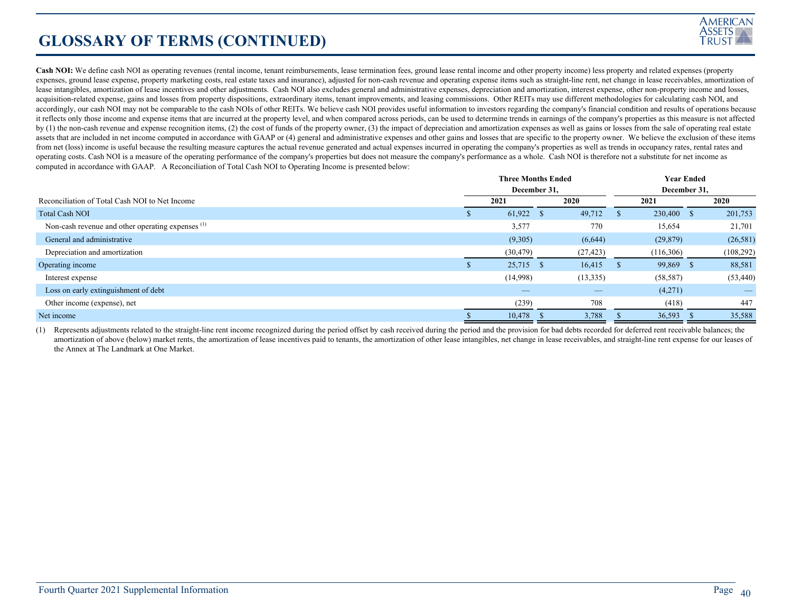![](_page_39_Picture_1.jpeg)

Cash NOI: We define cash NOI as operating revenues (rental income, tenant reimbursements, lease termination fees, ground lease rental income and other property income) less property and related expenses (property expenses, ground lease expense, property marketing costs, real estate taxes and insurance), adjusted for non-cash revenue and operating expense items such as straight-line rent, net change in lease receivables, amortizatio lease intangibles, amortization of lease incentives and other adjustments. Cash NOI also excludes general and administrative expenses, depreciation and amortization, interest expense, other non-property income and losses, acquisition-related expense, gains and losses from property dispositions, extraordinary items, tenant improvements, and leasing commissions. Other REITs may use different methodologies for calculating cash NOI, and accordingly, our cash NOI may not be comparable to the cash NOIs of other REITs. We believe cash NOI provides useful information to investors regarding the company's financial condition and results of operations because it reflects only those income and expense items that are incurred at the property level, and when compared across periods, can be used to determine trends in earnings of the company's properties as this measure is not affe by (1) the non-cash revenue and expense recognition items, (2) the cost of funds of the property owner, (3) the impact of depreciation and amortization expenses as well as gains or losses from the sale of operating real es assets that are included in net income computed in accordance with GAAP or (4) general and administrative expenses and other gains and losses that are specific to the property owner. We believe the exclusion of these items from net (loss) income is useful because the resulting measure captures the actual revenue generated and actual expenses incurred in operating the company's properties as well as trends in occupancy rates, rental rates and operating costs. Cash NOI is a measure of the operating performance of the company's properties but does not measure the company's performance as a whole. Cash NOI is therefore not a substitute for net income as computed in accordance with GAAP. A Reconciliation of Total Cash NOI to Operating Income is presented below:

| <b>Three Months Ended</b> |           |                               |             |              |           |        |                   |  |
|---------------------------|-----------|-------------------------------|-------------|--------------|-----------|--------|-------------------|--|
|                           |           |                               |             | December 31, |           |        |                   |  |
|                           | 2021      |                               | 2020        |              | 2021      |        | <b>2020</b>       |  |
|                           |           |                               | 49,712      |              | 230,400   |        | 201,753           |  |
|                           | 3,577     |                               | 770         |              | 15,654    |        | 21,701            |  |
|                           |           |                               | (6,644)     |              | (29, 879) |        | (26, 581)         |  |
|                           | (30, 479) |                               | (27, 423)   |              | (116,306) |        | (108,292)         |  |
|                           |           |                               | 16,415      |              |           | - 35   | 88,581            |  |
|                           |           |                               | (13, 335)   |              | (58, 587) |        | (53, 440)         |  |
|                           |           |                               |             |              | (4,271)   |        |                   |  |
|                           | (239)     |                               | 708         |              | (418)     |        | 447               |  |
|                           | 10,478    |                               | 3,788       |              | 36,593    |        | 35,588            |  |
|                           |           | 61,922<br>(9,305)<br>(14,998) | $25,715$ \$ | December 31. |           | 99,869 | <b>Year Ended</b> |  |

(1) Represents adjustments related to the straight-line rent income recognized during the period offset by cash received during the period and the provision for bad debts recorded for deferred rent receivable balances; the amortization of above (below) market rents, the amortization of lease incentives paid to tenants, the amortization of other lease intangibles, net change in lease receivables, and straight-line rent expense for our leases the Annex at The Landmark at One Market.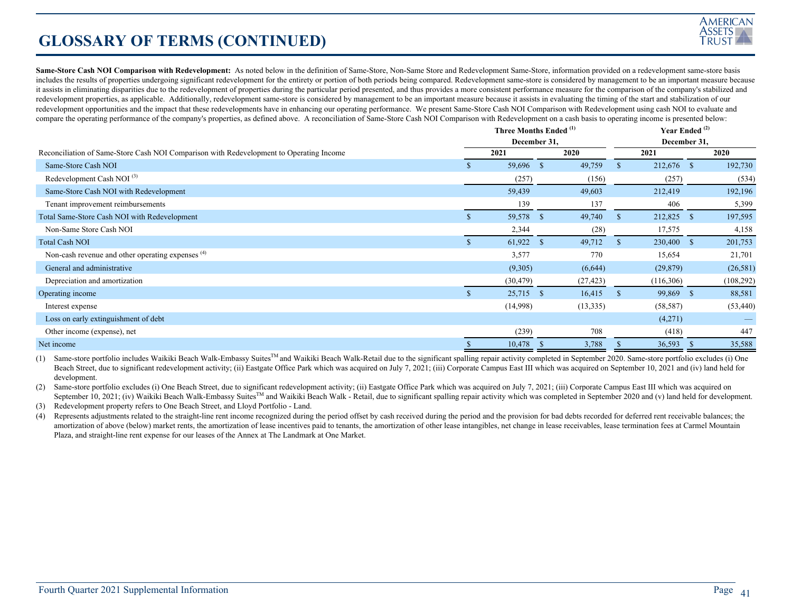![](_page_40_Picture_1.jpeg)

Same-Store Cash NOI Comparison with Redevelopment: As noted below in the definition of Same-Store, Non-Same Store and Redevelopment Same-Store, information provided on a redevelopment same-store basis includes the results of properties undergoing significant redevelopment for the entirety or portion of both periods being compared. Redevelopment same-store is considered by management to be an important measure because it assists in eliminating disparities due to the redevelopment of properties during the particular period presented, and thus provides a more consistent performance measure for the comparison of the company's stabilized and redevelopment properties, as applicable. Additionally, redevelopment same-store is considered by management to be an important measure because it assists in evaluating the timing of the start and stabilization of our redevelopment opportunities and the impact that these redevelopments have in enhancing our operating performance. We present Same-Store Cash NOI Comparison with Redevelopment using cash NOI to evaluate and compare the operating performance of the company's properties, as defined above. A reconciliation of Same-Store Cash NOI Comparison with Redevelopment on a cash basis to operating income is presented below:

|                                                                                         | Three Months Ended <sup>(1)</sup> |              |           |              | Year Ended <sup>(2)</sup> |               |            |  |
|-----------------------------------------------------------------------------------------|-----------------------------------|--------------|-----------|--------------|---------------------------|---------------|------------|--|
|                                                                                         | December 31,                      |              |           |              |                           | December 31,  |            |  |
| Reconciliation of Same-Store Cash NOI Comparison with Redevelopment to Operating Income | 2021                              |              | 2020      |              | 2021                      |               | 2020       |  |
| Same-Store Cash NOI                                                                     | 59,696                            | -S           | 49,759    | <sup>S</sup> | 212,676 \$                |               | 192,730    |  |
| Redevelopment Cash NOI <sup>(3)</sup>                                                   | (257)                             |              | (156)     |              | (257)                     |               | (534)      |  |
| Same-Store Cash NOI with Redevelopment                                                  | 59,439                            |              | 49,603    |              | 212,419                   |               | 192,196    |  |
| Tenant improvement reimbursements                                                       | 139                               |              | 137       |              | 406                       |               | 5,399      |  |
| Total Same-Store Cash NOI with Redevelopment                                            | 59,578                            | -S           | 49,740    |              | 212,825 \$                |               | 197,595    |  |
| Non-Same Store Cash NOI                                                                 | 2,344                             |              | (28)      |              | 17,575                    |               | 4,158      |  |
| <b>Total Cash NOI</b>                                                                   | 61,922                            | $\mathbf S$  | 49,712    |              | 230,400                   | -S            | 201,753    |  |
| Non-cash revenue and other operating expenses <sup>(4)</sup>                            | 3,577                             |              | 770       |              | 15,654                    |               | 21,701     |  |
| General and administrative                                                              | (9,305)                           |              | (6,644)   |              | (29, 879)                 |               | (26, 581)  |  |
| Depreciation and amortization                                                           | (30, 479)                         |              | (27, 423) |              | (116,306)                 |               | (108, 292) |  |
| Operating income                                                                        | 25,715                            | <sup>S</sup> | 16,415    | -S           | 99,869                    | - S           | 88,581     |  |
| Interest expense                                                                        | (14,998)                          |              | (13,335)  |              | (58, 587)                 |               | (53, 440)  |  |
| Loss on early extinguishment of debt                                                    |                                   |              |           |              | (4,271)                   |               |            |  |
| Other income (expense), net                                                             | (239)                             |              | 708       |              | (418)                     |               | 447        |  |
| Net income                                                                              | 10,478                            | - 55         | 3,788     | ъ            | 36,593                    | $\mathcal{P}$ | 35,588     |  |

(1) Same-store portfolio includes Waikiki Beach Walk-Embassy SuitesTM and Waikiki Beach Walk-Retail due to the significant spalling repair activity completed in September 2020. Same-store portfolio excludes (i) One Beach Street, due to significant redevelopment activity; (ii) Eastgate Office Park which was acquired on July 7, 2021; (iii) Corporate Campus East III which was acquired on September 10, 2021 and (iv) land held for development.

(2) Same-store portfolio excludes (i) One Beach Street, due to significant redevelopment activity; (ii) Eastgate Office Park which was acquired on July 7, 2021; (iii) Corporate Campus East III which was acquired on September 10, 2021; (iv) Waikiki Beach Walk-Embassy Suites $^{TM}$  and Waikiki Beach Walk - Retail, due to significant spalling repair activity which was completed in September 2020 and (v) land held for development.

(3) Redevelopment property refers to One Beach Street, and Lloyd Portfolio - Land.

(4) Represents adjustments related to the straight-line rent income recognized during the period offset by cash received during the period and the provision for bad debts recorded for deferred rent receivable balances; the amortization of above (below) market rents, the amortization of lease incentives paid to tenants, the amortization of other lease intangibles, net change in lease receivables, lease termination fees at Carmel Mountain Plaza, and straight-line rent expense for our leases of the Annex at The Landmark at One Market.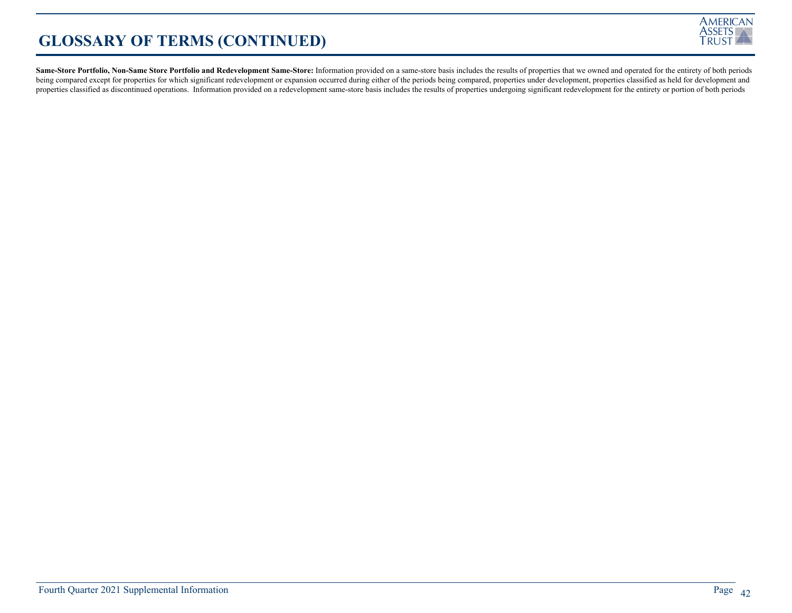**AMERICAN** ASSETS TRUST

### **GLOSSARY OF TERMS (CONTINUED)**

Same-Store Portfolio, Non-Same Store Portfolio and Redevelopment Same-Store: Information provided on a same-store basis includes the results of properties that we owned and operated for the entirety of both periods being compared except for properties for which significant redevelopment or expansion occurred during either of the periods being compared, properties under development, properties classified as held for development and properties classified as discontinued operations. Information provided on a redevelopment same-store basis includes the results of properties undergoing significant redevelopment for the entirety or portion of both periods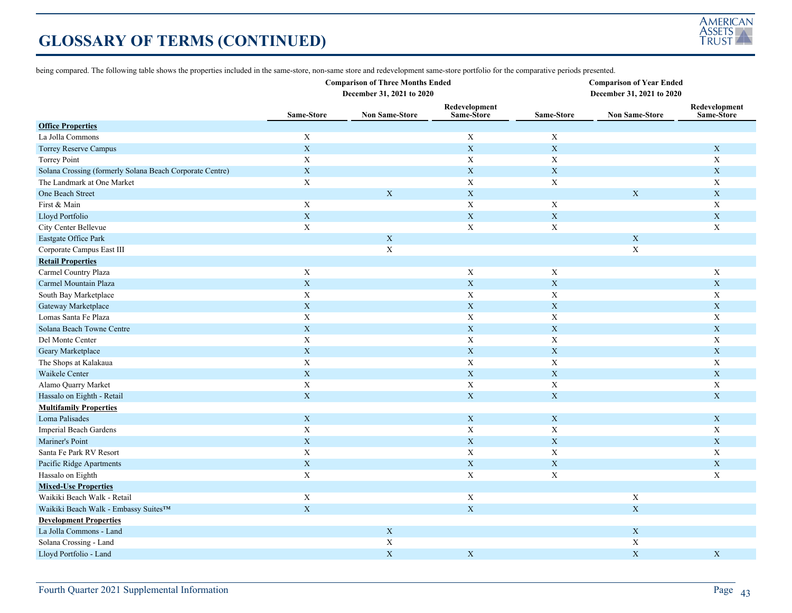![](_page_42_Picture_1.jpeg)

being compared. The following table shows the properties included in the same-store, non-same store and redevelopment same-store portfolio for the comparative periods presented.

|                                                          | <b>Comparison of Three Months Ended</b><br>December 31, 2021 to 2020 |                       |                             | <b>Comparison of Year Ended</b><br>December 31, 2021 to 2020 |                       |                             |
|----------------------------------------------------------|----------------------------------------------------------------------|-----------------------|-----------------------------|--------------------------------------------------------------|-----------------------|-----------------------------|
|                                                          |                                                                      |                       |                             |                                                              |                       |                             |
|                                                          | Same-Store                                                           | <b>Non Same-Store</b> | Redevelopment<br>Same-Store | Same-Store                                                   | <b>Non Same-Store</b> | Redevelopment<br>Same-Store |
| <b>Office Properties</b>                                 |                                                                      |                       |                             |                                                              |                       |                             |
| La Jolla Commons                                         | X                                                                    |                       | X                           | $\mathbf X$                                                  |                       |                             |
| Torrey Reserve Campus                                    | $\mathbf X$                                                          |                       | $\mathbf X$                 | $\mathbf X$                                                  |                       | $\mathbf X$                 |
| Torrey Point                                             | $\mathbf X$                                                          |                       | $\mathbf X$                 | $\mathbf X$                                                  |                       | $\mathbf X$                 |
| Solana Crossing (formerly Solana Beach Corporate Centre) | $\mathbf X$                                                          |                       | $\mathbf X$                 | $\mathbf X$                                                  |                       | $\mathbf X$                 |
| The Landmark at One Market                               | $\mathbf X$                                                          |                       | $\mathbf X$                 | $\mathbf X$                                                  |                       | $\mathbf X$                 |
| One Beach Street                                         |                                                                      | $\mathbf X$           | $\mathbf X$                 |                                                              | $\mathbf X$           | $\mathbf X$                 |
| First & Main                                             | $\mathbf X$                                                          |                       | $\mathbf X$                 | $\mathbf X$                                                  |                       | $\mathbf X$                 |
| Lloyd Portfolio                                          | $\mathbf X$                                                          |                       | $\mathbf X$                 | $\mathbf X$                                                  |                       | $\mathbf X$                 |
| City Center Bellevue                                     | $\mathbf X$                                                          |                       | $\mathbf X$                 | $\mathbf X$                                                  |                       | $\mathbf X$                 |
| Eastgate Office Park                                     |                                                                      | X                     |                             |                                                              | $\mathbf X$           |                             |
| Corporate Campus East III                                |                                                                      | $\mathbf X$           |                             |                                                              | $\mathbf X$           |                             |
| <b>Retail Properties</b>                                 |                                                                      |                       |                             |                                                              |                       |                             |
| Carmel Country Plaza                                     | $\mathbf X$                                                          |                       | $\mathbf X$                 | $\mathbf X$                                                  |                       | $\mathbf X$                 |
| Carmel Mountain Plaza                                    | $\mathbf X$                                                          |                       | $\mathbf X$                 | $\mathbf X$                                                  |                       | $\mathbf X$                 |
| South Bay Marketplace                                    | $\mathbf X$                                                          |                       | $\mathbf X$                 | $\mathbf X$                                                  |                       | $\mathbf X$                 |
| Gateway Marketplace                                      | $\mathbf X$                                                          |                       | $\mathbf X$                 | $\mathbf X$                                                  |                       | $\mathbf X$                 |
| Lomas Santa Fe Plaza                                     | $\mathbf X$                                                          |                       | $\mathbf X$                 | $\mathbf X$                                                  |                       | $\mathbf X$                 |
| Solana Beach Towne Centre                                | $\mathbf X$                                                          |                       | $\mathbf X$                 | $\mathbf X$                                                  |                       | $\mathbf X$                 |
| Del Monte Center                                         | $\mathbf X$                                                          |                       | $\mathbf X$                 | $\mathbf X$                                                  |                       | $\mathbf X$                 |
| Geary Marketplace                                        | $\mathbf X$                                                          |                       | $\mathbf X$                 | $\mathbf X$                                                  |                       | $\mathbf X$                 |
| The Shops at Kalakaua                                    | $\mathbf X$                                                          |                       | $\mathbf X$                 | $\mathbf X$                                                  |                       | $\mathbf X$                 |
| Waikele Center                                           | $\mathbf X$                                                          |                       | $\mathbf X$                 | $\mathbf X$                                                  |                       | $\mathbf X$                 |
| Alamo Quarry Market                                      | $\mathbf X$                                                          |                       | $\mathbf X$                 | $\mathbf X$                                                  |                       | $\mathbf X$                 |
| Hassalo on Eighth - Retail                               | $\mathbf X$                                                          |                       | $\mathbf{X}$                | $\mathbf X$                                                  |                       | $\mathbf X$                 |
| <b>Multifamily Properties</b>                            |                                                                      |                       |                             |                                                              |                       |                             |
| Loma Palisades                                           | $\mathbf X$                                                          |                       | $\mathbf X$                 | $\mathbf X$                                                  |                       | $\mathbf X$                 |
| Imperial Beach Gardens                                   | $\mathbf X$                                                          |                       | $\mathbf X$                 | $\mathbf X$                                                  |                       | $\mathbf X$                 |
| Mariner's Point                                          | $\mathbf X$                                                          |                       | $\mathbf X$                 | $\mathbf X$                                                  |                       | $\mathbf X$                 |
| Santa Fe Park RV Resort                                  | $\overline{\mathbf{X}}$                                              |                       | $\mathbf X$                 | $\mathbf X$                                                  |                       | $\mathbf X$                 |
| Pacific Ridge Apartments                                 | $\mathbf X$                                                          |                       | $\mathbf X$                 | $\mathbf X$                                                  |                       | $\mathbf X$                 |
| Hassalo on Eighth                                        | $\mathbf X$                                                          |                       | $\mathbf X$                 | $\mathbf X$                                                  |                       | $\mathbf X$                 |
| <b>Mixed-Use Properties</b>                              |                                                                      |                       |                             |                                                              |                       |                             |
| Waikiki Beach Walk - Retail                              | $\overline{\mathbf{X}}$                                              |                       | $\mathbf X$                 |                                                              | $\mathbf X$           |                             |
| Waikiki Beach Walk - Embassy Suites™                     | $\mathbf X$                                                          |                       | $\mathbf X$                 |                                                              | $\mathbf X$           |                             |
| <b>Development Properties</b>                            |                                                                      |                       |                             |                                                              |                       |                             |
| La Jolla Commons - Land                                  |                                                                      | $\mathbf X$           |                             |                                                              | $\mathbf X$           |                             |
| Solana Crossing - Land                                   |                                                                      | $\mathbf X$           |                             |                                                              | $\mathbf X$           |                             |
| Lloyd Portfolio - Land                                   |                                                                      | $\mathbf X$           | $\mathbf X$                 |                                                              | $\mathbf X$           | $\mathbf X$                 |